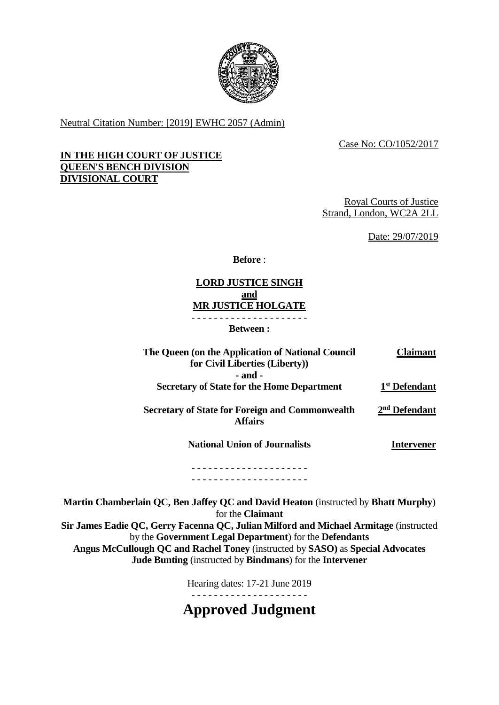

Neutral Citation Number: [2019] EWHC 2057 (Admin)

Case No: CO/1052/2017

## **IN THE HIGH COURT OF JUSTICE QUEEN'S BENCH DIVISION DIVISIONAL COURT**

Royal Courts of Justice Strand, London, WC2A 2LL

Date: 29/07/2019

**Before** :

### **LORD JUSTICE SINGH and MR JUSTICE HOLGATE** - - - - - - - - - - - - - - - - - - - - -

**Between :**

| <b>Claimant</b>           |
|---------------------------|
|                           |
|                           |
| 1 <sup>st</sup> Defendant |
|                           |
|                           |

**Secretary of State for Foreign and Commonwealth Affairs 2 nd Defendant**

**National Union of Journalists**

**Intervener**

#### - - - - - - - - - - - - - - - - - - - - - - - - - - - - - - - - - - - - - - - - - -

**Martin Chamberlain QC, Ben Jaffey QC and David Heaton** (instructed by **Bhatt Murphy**) for the **Claimant Sir James Eadie QC, Gerry Facenna QC, Julian Milford and Michael Armitage** (instructed

by the **Government Legal Department**) for the **Defendants**

**Angus McCullough QC and Rachel Toney** (instructed by **SASO)** as **Special Advocates Jude Bunting** (instructed by **Bindmans**) for the **Intervener**

Hearing dates: 17-21 June 2019

**Approved Judgment**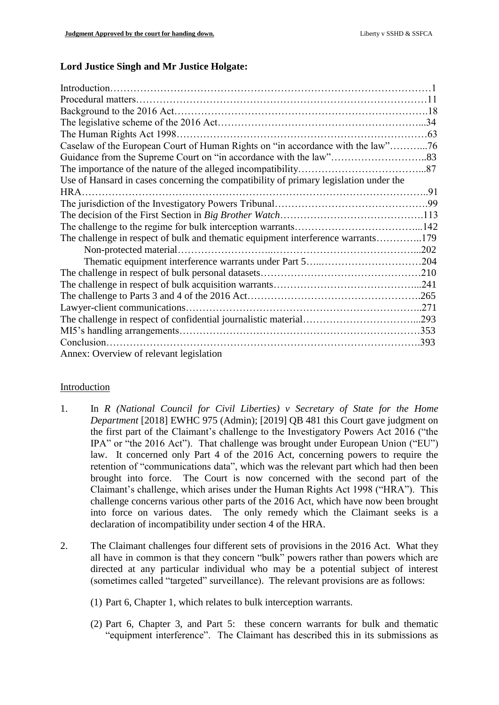# **Lord Justice Singh and Mr Justice Holgate:**

| Caselaw of the European Court of Human Rights on "in accordance with the law"76       |  |
|---------------------------------------------------------------------------------------|--|
|                                                                                       |  |
|                                                                                       |  |
| Use of Hansard in cases concerning the compatibility of primary legislation under the |  |
|                                                                                       |  |
|                                                                                       |  |
|                                                                                       |  |
|                                                                                       |  |
| The challenge in respect of bulk and thematic equipment interference warrants179      |  |
|                                                                                       |  |
|                                                                                       |  |
|                                                                                       |  |
|                                                                                       |  |
|                                                                                       |  |
|                                                                                       |  |
|                                                                                       |  |
|                                                                                       |  |
|                                                                                       |  |
| Annex: Overview of relevant legislation                                               |  |

### Introduction

- 1. In *R (National Council for Civil Liberties) v Secretary of State for the Home Department* [2018] EWHC 975 (Admin); [2019] QB 481 this Court gave judgment on the first part of the Claimant's challenge to the Investigatory Powers Act 2016 ("the IPA" or "the 2016 Act"). That challenge was brought under European Union ("EU") law. It concerned only Part 4 of the 2016 Act, concerning powers to require the retention of "communications data", which was the relevant part which had then been brought into force. The Court is now concerned with the second part of the Claimant's challenge, which arises under the Human Rights Act 1998 ("HRA"). This challenge concerns various other parts of the 2016 Act, which have now been brought into force on various dates. The only remedy which the Claimant seeks is a declaration of incompatibility under section 4 of the HRA.
- 2. The Claimant challenges four different sets of provisions in the 2016 Act. What they all have in common is that they concern "bulk" powers rather than powers which are directed at any particular individual who may be a potential subject of interest (sometimes called "targeted" surveillance). The relevant provisions are as follows:
	- (1) Part 6, Chapter 1, which relates to bulk interception warrants.
	- (2) Part 6, Chapter 3, and Part 5: these concern warrants for bulk and thematic "equipment interference". The Claimant has described this in its submissions as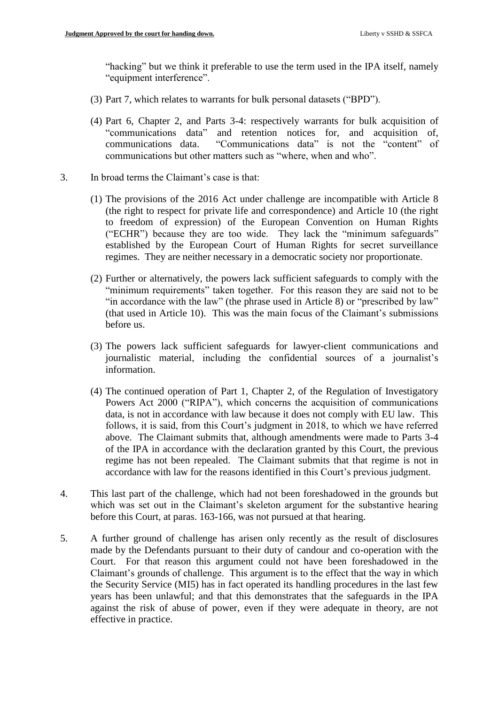"hacking" but we think it preferable to use the term used in the IPA itself, namely "equipment interference".

- (3) Part 7, which relates to warrants for bulk personal datasets ("BPD").
- (4) Part 6, Chapter 2, and Parts 3-4: respectively warrants for bulk acquisition of "communications data" and retention notices for, and acquisition of, communications data. "Communications data" is not the "content" of communications but other matters such as "where, when and who".
- 3. In broad terms the Claimant's case is that:
	- (1) The provisions of the 2016 Act under challenge are incompatible with Article 8 (the right to respect for private life and correspondence) and Article 10 (the right to freedom of expression) of the European Convention on Human Rights ("ECHR") because they are too wide. They lack the "minimum safeguards" established by the European Court of Human Rights for secret surveillance regimes. They are neither necessary in a democratic society nor proportionate.
	- (2) Further or alternatively, the powers lack sufficient safeguards to comply with the "minimum requirements" taken together. For this reason they are said not to be "in accordance with the law" (the phrase used in Article 8) or "prescribed by law" (that used in Article 10). This was the main focus of the Claimant's submissions before us.
	- (3) The powers lack sufficient safeguards for lawyer-client communications and journalistic material, including the confidential sources of a journalist's information.
	- (4) The continued operation of Part 1, Chapter 2, of the Regulation of Investigatory Powers Act 2000 ("RIPA"), which concerns the acquisition of communications data, is not in accordance with law because it does not comply with EU law. This follows, it is said, from this Court's judgment in 2018, to which we have referred above. The Claimant submits that, although amendments were made to Parts 3-4 of the IPA in accordance with the declaration granted by this Court, the previous regime has not been repealed. The Claimant submits that that regime is not in accordance with law for the reasons identified in this Court's previous judgment.
- 4. This last part of the challenge, which had not been foreshadowed in the grounds but which was set out in the Claimant's skeleton argument for the substantive hearing before this Court, at paras. 163-166, was not pursued at that hearing.
- 5. A further ground of challenge has arisen only recently as the result of disclosures made by the Defendants pursuant to their duty of candour and co-operation with the Court. For that reason this argument could not have been foreshadowed in the Claimant's grounds of challenge. This argument is to the effect that the way in which the Security Service (MI5) has in fact operated its handling procedures in the last few years has been unlawful; and that this demonstrates that the safeguards in the IPA against the risk of abuse of power, even if they were adequate in theory, are not effective in practice.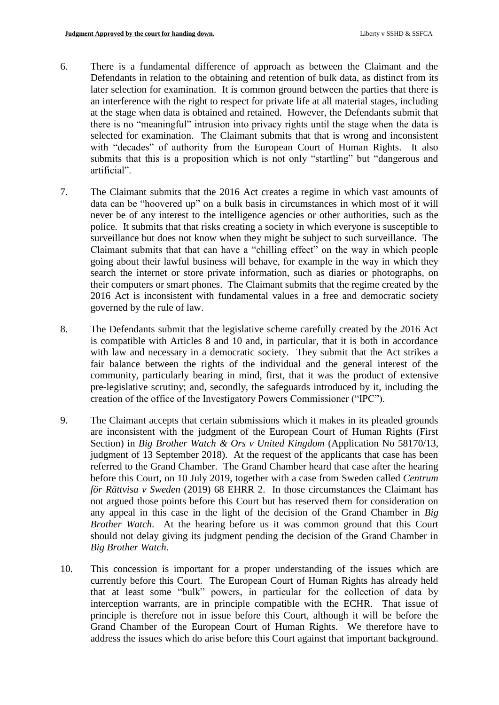- 6. There is a fundamental difference of approach as between the Claimant and the Defendants in relation to the obtaining and retention of bulk data, as distinct from its later selection for examination. It is common ground between the parties that there is an interference with the right to respect for private life at all material stages, including at the stage when data is obtained and retained. However, the Defendants submit that there is no "meaningful" intrusion into privacy rights until the stage when the data is selected for examination. The Claimant submits that that is wrong and inconsistent with "decades" of authority from the European Court of Human Rights. It also submits that this is a proposition which is not only "startling" but "dangerous and artificial".
- 7. The Claimant submits that the 2016 Act creates a regime in which vast amounts of data can be "hoovered up" on a bulk basis in circumstances in which most of it will never be of any interest to the intelligence agencies or other authorities, such as the police. It submits that that risks creating a society in which everyone is susceptible to surveillance but does not know when they might be subject to such surveillance. The Claimant submits that that can have a "chilling effect" on the way in which people going about their lawful business will behave, for example in the way in which they search the internet or store private information, such as diaries or photographs, on their computers or smart phones. The Claimant submits that the regime created by the 2016 Act is inconsistent with fundamental values in a free and democratic society governed by the rule of law.
- 8. The Defendants submit that the legislative scheme carefully created by the 2016 Act is compatible with Articles 8 and 10 and, in particular, that it is both in accordance with law and necessary in a democratic society. They submit that the Act strikes a fair balance between the rights of the individual and the general interest of the community, particularly bearing in mind, first, that it was the product of extensive pre-legislative scrutiny; and, secondly, the safeguards introduced by it, including the creation of the office of the Investigatory Powers Commissioner ("IPC").
- 9. The Claimant accepts that certain submissions which it makes in its pleaded grounds are inconsistent with the judgment of the European Court of Human Rights (First Section) in *Big Brother Watch & Ors v United Kingdom* (Application No 58170/13, judgment of 13 September 2018). At the request of the applicants that case has been referred to the Grand Chamber. The Grand Chamber heard that case after the hearing before this Court, on 10 July 2019, together with a case from Sweden called *Centrum för Rättvisa v Sweden* (2019) 68 EHRR 2. In those circumstances the Claimant has not argued those points before this Court but has reserved them for consideration on any appeal in this case in the light of the decision of the Grand Chamber in *Big Brother Watch*. At the hearing before us it was common ground that this Court should not delay giving its judgment pending the decision of the Grand Chamber in *Big Brother Watch*.
- 10. This concession is important for a proper understanding of the issues which are currently before this Court. The European Court of Human Rights has already held that at least some "bulk" powers, in particular for the collection of data by interception warrants, are in principle compatible with the ECHR. That issue of principle is therefore not in issue before this Court, although it will be before the Grand Chamber of the European Court of Human Rights. We therefore have to address the issues which do arise before this Court against that important background.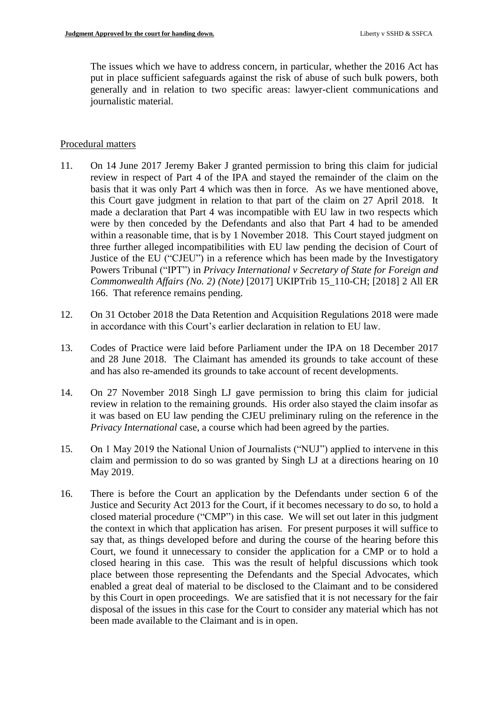The issues which we have to address concern, in particular, whether the 2016 Act has put in place sufficient safeguards against the risk of abuse of such bulk powers, both generally and in relation to two specific areas: lawyer-client communications and journalistic material.

## Procedural matters

- 11. On 14 June 2017 Jeremy Baker J granted permission to bring this claim for judicial review in respect of Part 4 of the IPA and stayed the remainder of the claim on the basis that it was only Part 4 which was then in force. As we have mentioned above, this Court gave judgment in relation to that part of the claim on 27 April 2018. It made a declaration that Part 4 was incompatible with EU law in two respects which were by then conceded by the Defendants and also that Part 4 had to be amended within a reasonable time, that is by 1 November 2018. This Court stayed judgment on three further alleged incompatibilities with EU law pending the decision of Court of Justice of the EU ("CJEU") in a reference which has been made by the Investigatory Powers Tribunal ("IPT") in *Privacy International v Secretary of State for Foreign and Commonwealth Affairs (No. 2) (Note)* [2017] UKIPTrib 15\_110-CH; [2018] 2 All ER 166. That reference remains pending.
- 12. On 31 October 2018 the Data Retention and Acquisition Regulations 2018 were made in accordance with this Court's earlier declaration in relation to EU law.
- 13. Codes of Practice were laid before Parliament under the IPA on 18 December 2017 and 28 June 2018. The Claimant has amended its grounds to take account of these and has also re-amended its grounds to take account of recent developments.
- 14. On 27 November 2018 Singh LJ gave permission to bring this claim for judicial review in relation to the remaining grounds. His order also stayed the claim insofar as it was based on EU law pending the CJEU preliminary ruling on the reference in the *Privacy International* case, a course which had been agreed by the parties.
- 15. On 1 May 2019 the National Union of Journalists ("NUJ") applied to intervene in this claim and permission to do so was granted by Singh LJ at a directions hearing on 10 May 2019.
- 16. There is before the Court an application by the Defendants under section 6 of the Justice and Security Act 2013 for the Court, if it becomes necessary to do so, to hold a closed material procedure ("CMP") in this case. We will set out later in this judgment the context in which that application has arisen. For present purposes it will suffice to say that, as things developed before and during the course of the hearing before this Court, we found it unnecessary to consider the application for a CMP or to hold a closed hearing in this case. This was the result of helpful discussions which took place between those representing the Defendants and the Special Advocates, which enabled a great deal of material to be disclosed to the Claimant and to be considered by this Court in open proceedings. We are satisfied that it is not necessary for the fair disposal of the issues in this case for the Court to consider any material which has not been made available to the Claimant and is in open.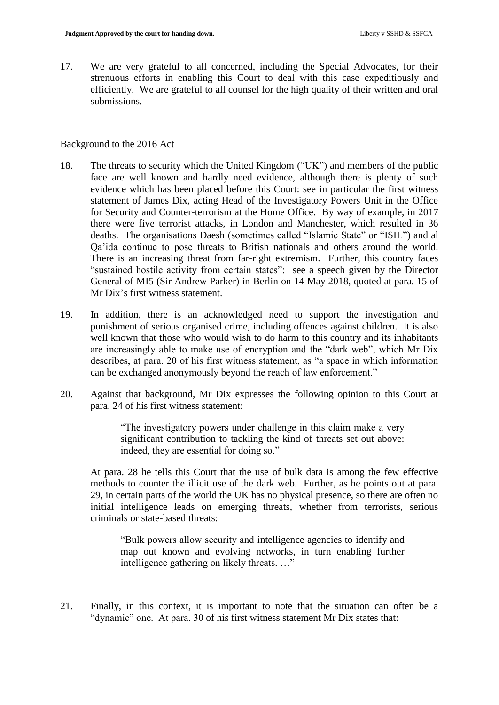17. We are very grateful to all concerned, including the Special Advocates, for their strenuous efforts in enabling this Court to deal with this case expeditiously and efficiently. We are grateful to all counsel for the high quality of their written and oral submissions.

## Background to the 2016 Act

- 18. The threats to security which the United Kingdom ("UK") and members of the public face are well known and hardly need evidence, although there is plenty of such evidence which has been placed before this Court: see in particular the first witness statement of James Dix, acting Head of the Investigatory Powers Unit in the Office for Security and Counter-terrorism at the Home Office. By way of example, in 2017 there were five terrorist attacks, in London and Manchester, which resulted in 36 deaths. The organisations Daesh (sometimes called "Islamic State" or "ISIL") and al Qa'ida continue to pose threats to British nationals and others around the world. There is an increasing threat from far-right extremism. Further, this country faces "sustained hostile activity from certain states": see a speech given by the Director General of MI5 (Sir Andrew Parker) in Berlin on 14 May 2018, quoted at para. 15 of Mr Dix's first witness statement.
- 19. In addition, there is an acknowledged need to support the investigation and punishment of serious organised crime, including offences against children. It is also well known that those who would wish to do harm to this country and its inhabitants are increasingly able to make use of encryption and the "dark web", which Mr Dix describes, at para. 20 of his first witness statement, as "a space in which information can be exchanged anonymously beyond the reach of law enforcement."
- 20. Against that background, Mr Dix expresses the following opinion to this Court at para. 24 of his first witness statement:

"The investigatory powers under challenge in this claim make a very significant contribution to tackling the kind of threats set out above: indeed, they are essential for doing so."

At para. 28 he tells this Court that the use of bulk data is among the few effective methods to counter the illicit use of the dark web. Further, as he points out at para. 29, in certain parts of the world the UK has no physical presence, so there are often no initial intelligence leads on emerging threats, whether from terrorists, serious criminals or state-based threats:

"Bulk powers allow security and intelligence agencies to identify and map out known and evolving networks, in turn enabling further intelligence gathering on likely threats. …"

21. Finally, in this context, it is important to note that the situation can often be a "dynamic" one. At para. 30 of his first witness statement Mr Dix states that: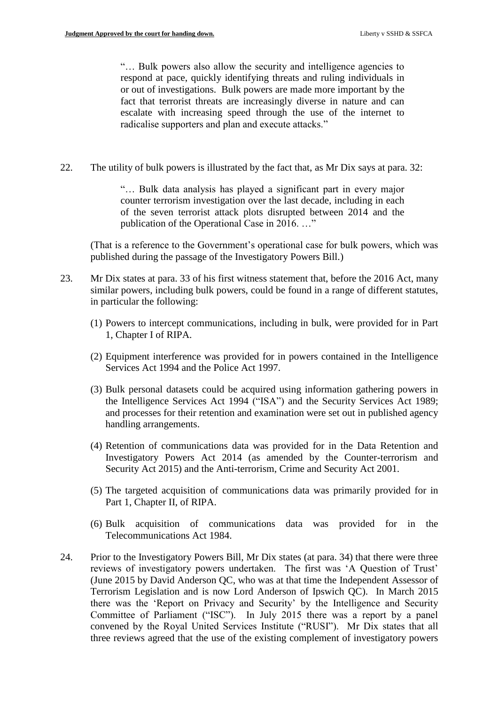"… Bulk powers also allow the security and intelligence agencies to respond at pace, quickly identifying threats and ruling individuals in or out of investigations. Bulk powers are made more important by the fact that terrorist threats are increasingly diverse in nature and can escalate with increasing speed through the use of the internet to radicalise supporters and plan and execute attacks."

22. The utility of bulk powers is illustrated by the fact that, as Mr Dix says at para. 32:

"… Bulk data analysis has played a significant part in every major counter terrorism investigation over the last decade, including in each of the seven terrorist attack plots disrupted between 2014 and the publication of the Operational Case in 2016. …"

(That is a reference to the Government's operational case for bulk powers, which was published during the passage of the Investigatory Powers Bill.)

- 23. Mr Dix states at para. 33 of his first witness statement that, before the 2016 Act, many similar powers, including bulk powers, could be found in a range of different statutes, in particular the following:
	- (1) Powers to intercept communications, including in bulk, were provided for in Part 1, Chapter I of RIPA.
	- (2) Equipment interference was provided for in powers contained in the Intelligence Services Act 1994 and the Police Act 1997.
	- (3) Bulk personal datasets could be acquired using information gathering powers in the Intelligence Services Act 1994 ("ISA") and the Security Services Act 1989; and processes for their retention and examination were set out in published agency handling arrangements.
	- (4) Retention of communications data was provided for in the Data Retention and Investigatory Powers Act 2014 (as amended by the Counter-terrorism and Security Act 2015) and the Anti-terrorism, Crime and Security Act 2001.
	- (5) The targeted acquisition of communications data was primarily provided for in Part 1, Chapter II, of RIPA.
	- (6) Bulk acquisition of communications data was provided for in the Telecommunications Act 1984.
- 24. Prior to the Investigatory Powers Bill, Mr Dix states (at para. 34) that there were three reviews of investigatory powers undertaken. The first was 'A Question of Trust' (June 2015 by David Anderson QC, who was at that time the Independent Assessor of Terrorism Legislation and is now Lord Anderson of Ipswich QC). In March 2015 there was the 'Report on Privacy and Security' by the Intelligence and Security Committee of Parliament ("ISC"). In July 2015 there was a report by a panel convened by the Royal United Services Institute ("RUSI"). Mr Dix states that all three reviews agreed that the use of the existing complement of investigatory powers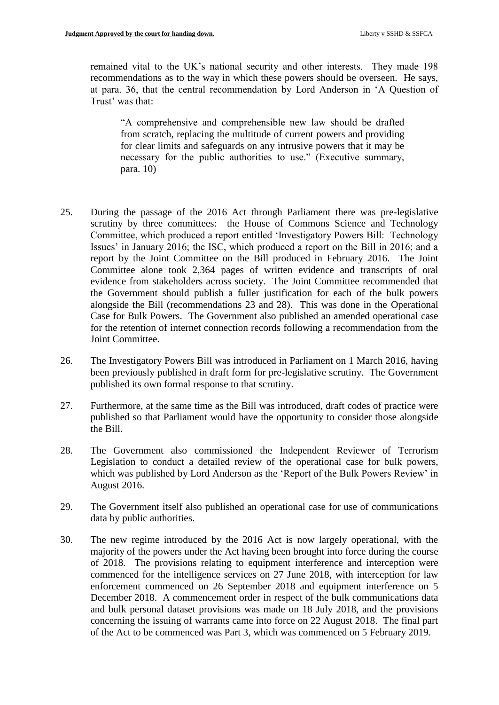remained vital to the UK's national security and other interests. They made 198 recommendations as to the way in which these powers should be overseen. He says, at para. 36, that the central recommendation by Lord Anderson in 'A Question of Trust' was that:

"A comprehensive and comprehensible new law should be drafted from scratch, replacing the multitude of current powers and providing for clear limits and safeguards on any intrusive powers that it may be necessary for the public authorities to use." (Executive summary, para. 10)

- 25. During the passage of the 2016 Act through Parliament there was pre-legislative scrutiny by three committees: the House of Commons Science and Technology Committee, which produced a report entitled 'Investigatory Powers Bill: Technology Issues' in January 2016; the ISC, which produced a report on the Bill in 2016; and a report by the Joint Committee on the Bill produced in February 2016. The Joint Committee alone took 2,364 pages of written evidence and transcripts of oral evidence from stakeholders across society. The Joint Committee recommended that the Government should publish a fuller justification for each of the bulk powers alongside the Bill (recommendations 23 and 28). This was done in the Operational Case for Bulk Powers. The Government also published an amended operational case for the retention of internet connection records following a recommendation from the Joint Committee.
- 26. The Investigatory Powers Bill was introduced in Parliament on 1 March 2016, having been previously published in draft form for pre-legislative scrutiny. The Government published its own formal response to that scrutiny.
- 27. Furthermore, at the same time as the Bill was introduced, draft codes of practice were published so that Parliament would have the opportunity to consider those alongside the Bill.
- 28. The Government also commissioned the Independent Reviewer of Terrorism Legislation to conduct a detailed review of the operational case for bulk powers, which was published by Lord Anderson as the 'Report of the Bulk Powers Review' in August 2016.
- 29. The Government itself also published an operational case for use of communications data by public authorities.
- 30. The new regime introduced by the 2016 Act is now largely operational, with the majority of the powers under the Act having been brought into force during the course of 2018. The provisions relating to equipment interference and interception were commenced for the intelligence services on 27 June 2018, with interception for law enforcement commenced on 26 September 2018 and equipment interference on 5 December 2018. A commencement order in respect of the bulk communications data and bulk personal dataset provisions was made on 18 July 2018, and the provisions concerning the issuing of warrants came into force on 22 August 2018. The final part of the Act to be commenced was Part 3, which was commenced on 5 February 2019.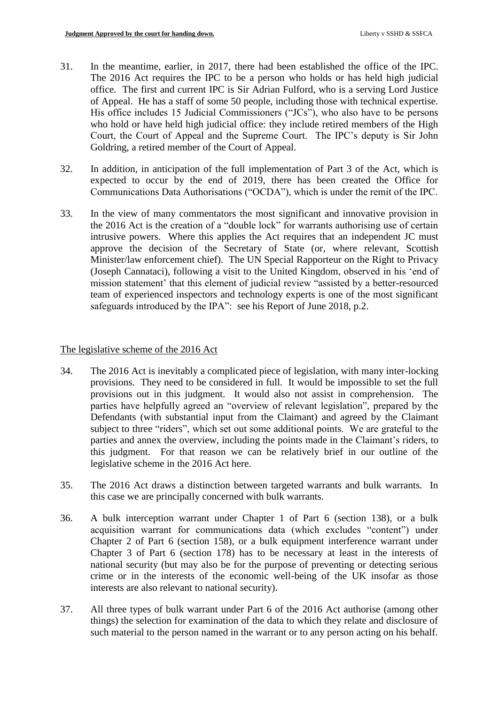- 31. In the meantime, earlier, in 2017, there had been established the office of the IPC. The 2016 Act requires the IPC to be a person who holds or has held high judicial office. The first and current IPC is Sir Adrian Fulford, who is a serving Lord Justice of Appeal. He has a staff of some 50 people, including those with technical expertise. His office includes 15 Judicial Commissioners ("JCs"), who also have to be persons who hold or have held high judicial office: they include retired members of the High Court, the Court of Appeal and the Supreme Court. The IPC's deputy is Sir John Goldring, a retired member of the Court of Appeal.
- 32. In addition, in anticipation of the full implementation of Part 3 of the Act, which is expected to occur by the end of 2019, there has been created the Office for Communications Data Authorisations ("OCDA"), which is under the remit of the IPC.
- 33. In the view of many commentators the most significant and innovative provision in the 2016 Act is the creation of a "double lock" for warrants authorising use of certain intrusive powers. Where this applies the Act requires that an independent JC must approve the decision of the Secretary of State (or, where relevant, Scottish Minister/law enforcement chief). The UN Special Rapporteur on the Right to Privacy (Joseph Cannataci), following a visit to the United Kingdom, observed in his 'end of mission statement' that this element of judicial review "assisted by a better-resourced team of experienced inspectors and technology experts is one of the most significant safeguards introduced by the IPA": see his Report of June 2018, p.2.

## The legislative scheme of the 2016 Act

- 34. The 2016 Act is inevitably a complicated piece of legislation, with many inter-locking provisions. They need to be considered in full. It would be impossible to set the full provisions out in this judgment. It would also not assist in comprehension. The parties have helpfully agreed an "overview of relevant legislation", prepared by the Defendants (with substantial input from the Claimant) and agreed by the Claimant subject to three "riders", which set out some additional points. We are grateful to the parties and annex the overview, including the points made in the Claimant's riders, to this judgment. For that reason we can be relatively brief in our outline of the legislative scheme in the 2016 Act here.
- 35. The 2016 Act draws a distinction between targeted warrants and bulk warrants. In this case we are principally concerned with bulk warrants.
- 36. A bulk interception warrant under Chapter 1 of Part 6 (section 138), or a bulk acquisition warrant for communications data (which excludes "content") under Chapter 2 of Part 6 (section 158), or a bulk equipment interference warrant under Chapter 3 of Part 6 (section 178) has to be necessary at least in the interests of national security (but may also be for the purpose of preventing or detecting serious crime or in the interests of the economic well-being of the UK insofar as those interests are also relevant to national security).
- 37. All three types of bulk warrant under Part 6 of the 2016 Act authorise (among other things) the selection for examination of the data to which they relate and disclosure of such material to the person named in the warrant or to any person acting on his behalf.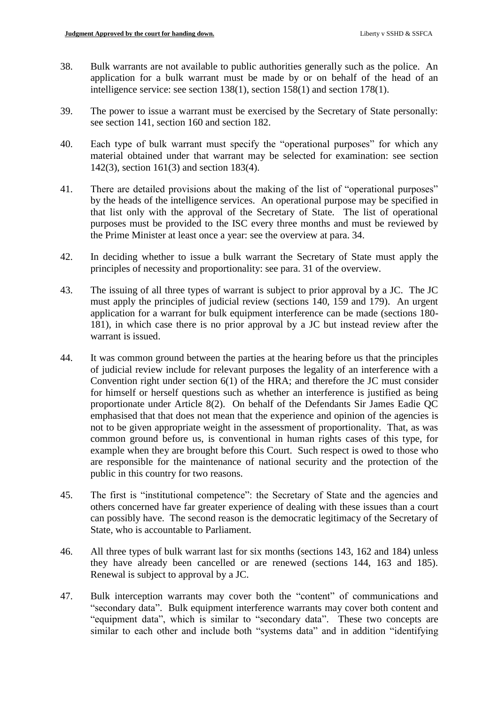- 38. Bulk warrants are not available to public authorities generally such as the police. An application for a bulk warrant must be made by or on behalf of the head of an intelligence service: see section 138(1), section 158(1) and section 178(1).
- 39. The power to issue a warrant must be exercised by the Secretary of State personally: see section 141, section 160 and section 182.
- 40. Each type of bulk warrant must specify the "operational purposes" for which any material obtained under that warrant may be selected for examination: see section 142(3), section 161(3) and section 183(4).
- 41. There are detailed provisions about the making of the list of "operational purposes" by the heads of the intelligence services. An operational purpose may be specified in that list only with the approval of the Secretary of State. The list of operational purposes must be provided to the ISC every three months and must be reviewed by the Prime Minister at least once a year: see the overview at para. 34.
- 42. In deciding whether to issue a bulk warrant the Secretary of State must apply the principles of necessity and proportionality: see para. 31 of the overview.
- 43. The issuing of all three types of warrant is subject to prior approval by a JC. The JC must apply the principles of judicial review (sections 140, 159 and 179). An urgent application for a warrant for bulk equipment interference can be made (sections 180- 181), in which case there is no prior approval by a JC but instead review after the warrant is issued.
- 44. It was common ground between the parties at the hearing before us that the principles of judicial review include for relevant purposes the legality of an interference with a Convention right under section 6(1) of the HRA; and therefore the JC must consider for himself or herself questions such as whether an interference is justified as being proportionate under Article 8(2). On behalf of the Defendants Sir James Eadie QC emphasised that that does not mean that the experience and opinion of the agencies is not to be given appropriate weight in the assessment of proportionality. That, as was common ground before us, is conventional in human rights cases of this type, for example when they are brought before this Court. Such respect is owed to those who are responsible for the maintenance of national security and the protection of the public in this country for two reasons.
- 45. The first is "institutional competence": the Secretary of State and the agencies and others concerned have far greater experience of dealing with these issues than a court can possibly have. The second reason is the democratic legitimacy of the Secretary of State, who is accountable to Parliament.
- 46. All three types of bulk warrant last for six months (sections 143, 162 and 184) unless they have already been cancelled or are renewed (sections 144, 163 and 185). Renewal is subject to approval by a JC.
- 47. Bulk interception warrants may cover both the "content" of communications and "secondary data". Bulk equipment interference warrants may cover both content and "equipment data", which is similar to "secondary data". These two concepts are similar to each other and include both "systems data" and in addition "identifying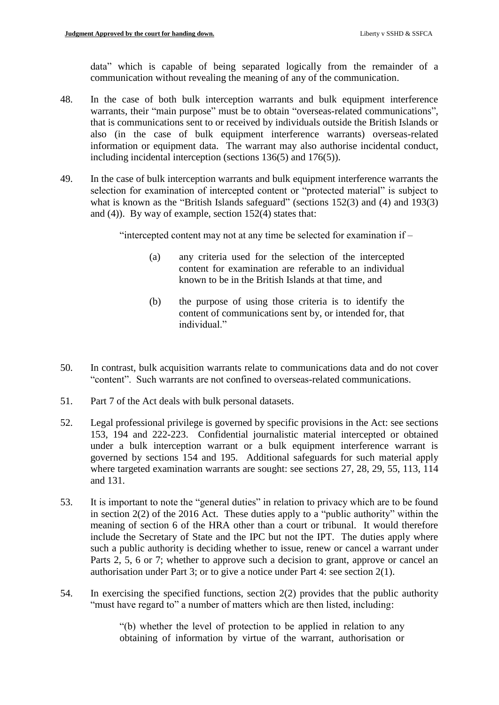data" which is capable of being separated logically from the remainder of a communication without revealing the meaning of any of the communication.

- 48. In the case of both bulk interception warrants and bulk equipment interference warrants, their "main purpose" must be to obtain "overseas-related communications", that is communications sent to or received by individuals outside the British Islands or also (in the case of bulk equipment interference warrants) overseas-related information or equipment data. The warrant may also authorise incidental conduct, including incidental interception (sections 136(5) and 176(5)).
- 49. In the case of bulk interception warrants and bulk equipment interference warrants the selection for examination of intercepted content or "protected material" is subject to what is known as the "British Islands safeguard" (sections 152(3) and (4) and 193(3) and (4)). By way of example, section 152(4) states that:

"intercepted content may not at any time be selected for examination if –

- (a) any criteria used for the selection of the intercepted content for examination are referable to an individual known to be in the British Islands at that time, and
- (b) the purpose of using those criteria is to identify the content of communications sent by, or intended for, that individual."
- 50. In contrast, bulk acquisition warrants relate to communications data and do not cover "content". Such warrants are not confined to overseas-related communications.
- 51. Part 7 of the Act deals with bulk personal datasets.
- 52. Legal professional privilege is governed by specific provisions in the Act: see sections 153, 194 and 222-223. Confidential journalistic material intercepted or obtained under a bulk interception warrant or a bulk equipment interference warrant is governed by sections 154 and 195. Additional safeguards for such material apply where targeted examination warrants are sought: see sections 27, 28, 29, 55, 113, 114 and 131.
- 53. It is important to note the "general duties" in relation to privacy which are to be found in section 2(2) of the 2016 Act. These duties apply to a "public authority" within the meaning of section 6 of the HRA other than a court or tribunal. It would therefore include the Secretary of State and the IPC but not the IPT. The duties apply where such a public authority is deciding whether to issue, renew or cancel a warrant under Parts 2, 5, 6 or 7; whether to approve such a decision to grant, approve or cancel an authorisation under Part 3; or to give a notice under Part 4: see section 2(1).
- 54. In exercising the specified functions, section 2(2) provides that the public authority "must have regard to" a number of matters which are then listed, including:

"(b) whether the level of protection to be applied in relation to any obtaining of information by virtue of the warrant, authorisation or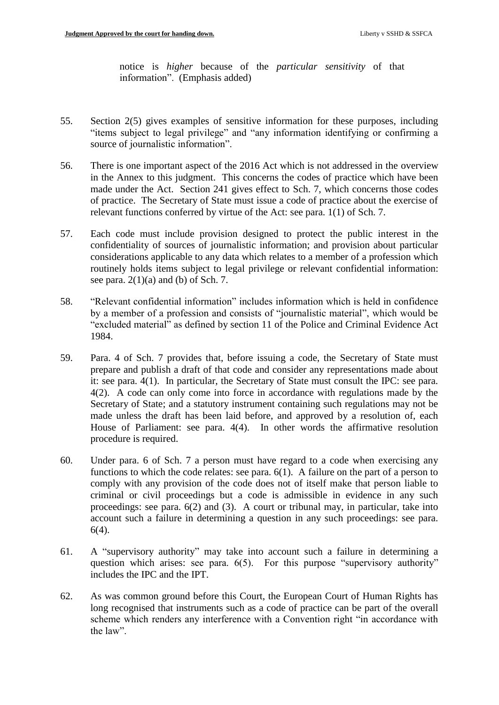notice is *higher* because of the *particular sensitivity* of that information". (Emphasis added)

- 55. Section 2(5) gives examples of sensitive information for these purposes, including "items subject to legal privilege" and "any information identifying or confirming a source of journalistic information".
- 56. There is one important aspect of the 2016 Act which is not addressed in the overview in the Annex to this judgment. This concerns the codes of practice which have been made under the Act. Section 241 gives effect to Sch. 7, which concerns those codes of practice. The Secretary of State must issue a code of practice about the exercise of relevant functions conferred by virtue of the Act: see para. 1(1) of Sch. 7.
- 57. Each code must include provision designed to protect the public interest in the confidentiality of sources of journalistic information; and provision about particular considerations applicable to any data which relates to a member of a profession which routinely holds items subject to legal privilege or relevant confidential information: see para.  $2(1)(a)$  and (b) of Sch. 7.
- 58. "Relevant confidential information" includes information which is held in confidence by a member of a profession and consists of "journalistic material", which would be "excluded material" as defined by section 11 of the Police and Criminal Evidence Act 1984.
- 59. Para. 4 of Sch. 7 provides that, before issuing a code, the Secretary of State must prepare and publish a draft of that code and consider any representations made about it: see para. 4(1). In particular, the Secretary of State must consult the IPC: see para. 4(2). A code can only come into force in accordance with regulations made by the Secretary of State; and a statutory instrument containing such regulations may not be made unless the draft has been laid before, and approved by a resolution of, each House of Parliament: see para. 4(4). In other words the affirmative resolution procedure is required.
- 60. Under para. 6 of Sch. 7 a person must have regard to a code when exercising any functions to which the code relates: see para. 6(1). A failure on the part of a person to comply with any provision of the code does not of itself make that person liable to criminal or civil proceedings but a code is admissible in evidence in any such proceedings: see para. 6(2) and (3). A court or tribunal may, in particular, take into account such a failure in determining a question in any such proceedings: see para. 6(4).
- 61. A "supervisory authority" may take into account such a failure in determining a question which arises: see para. 6(5). For this purpose "supervisory authority" includes the IPC and the IPT.
- 62. As was common ground before this Court, the European Court of Human Rights has long recognised that instruments such as a code of practice can be part of the overall scheme which renders any interference with a Convention right "in accordance with the law".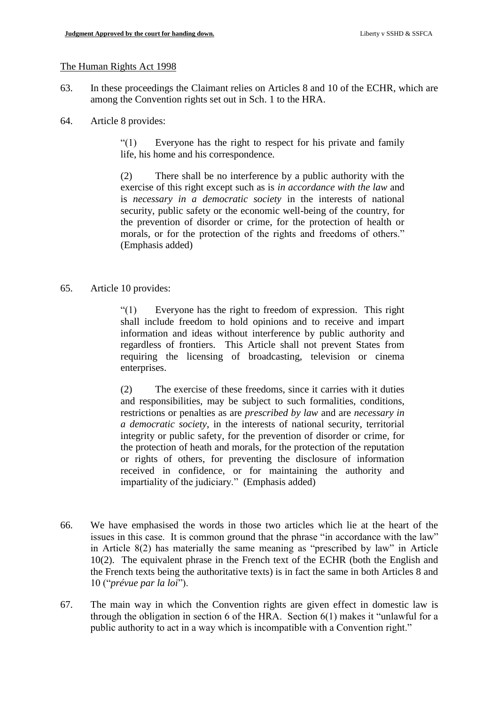#### The Human Rights Act 1998

- 63. In these proceedings the Claimant relies on Articles 8 and 10 of the ECHR, which are among the Convention rights set out in Sch. 1 to the HRA.
- 64. Article 8 provides:

"(1) Everyone has the right to respect for his private and family life, his home and his correspondence.

(2) There shall be no interference by a public authority with the exercise of this right except such as is *in accordance with the law* and is *necessary in a democratic society* in the interests of national security, public safety or the economic well-being of the country, for the prevention of disorder or crime, for the protection of health or morals, or for the protection of the rights and freedoms of others." (Emphasis added)

### 65. Article 10 provides:

"(1) Everyone has the right to freedom of expression. This right shall include freedom to hold opinions and to receive and impart information and ideas without interference by public authority and regardless of frontiers. This Article shall not prevent States from requiring the licensing of broadcasting, television or cinema enterprises.

(2) The exercise of these freedoms, since it carries with it duties and responsibilities, may be subject to such formalities, conditions, restrictions or penalties as are *prescribed by law* and are *necessary in a democratic society*, in the interests of national security, territorial integrity or public safety, for the prevention of disorder or crime, for the protection of heath and morals, for the protection of the reputation or rights of others, for preventing the disclosure of information received in confidence, or for maintaining the authority and impartiality of the judiciary." (Emphasis added)

- 66. We have emphasised the words in those two articles which lie at the heart of the issues in this case. It is common ground that the phrase "in accordance with the law" in Article 8(2) has materially the same meaning as "prescribed by law" in Article 10(2). The equivalent phrase in the French text of the ECHR (both the English and the French texts being the authoritative texts) is in fact the same in both Articles 8 and 10 ("*prévue par la loi*").
- 67. The main way in which the Convention rights are given effect in domestic law is through the obligation in section 6 of the HRA. Section 6(1) makes it "unlawful for a public authority to act in a way which is incompatible with a Convention right."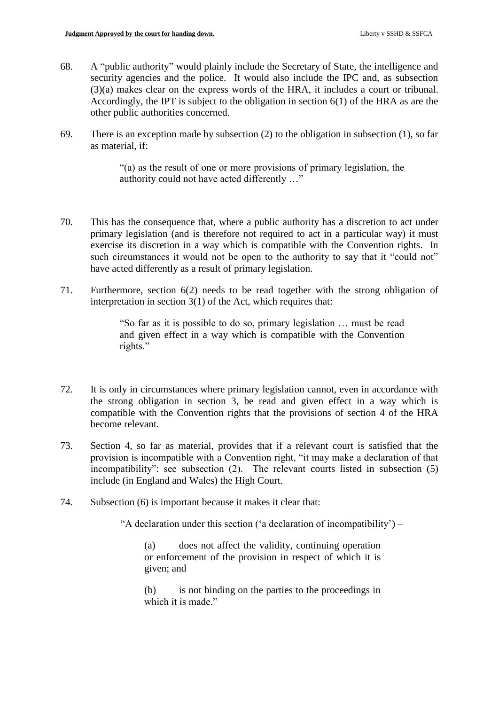- 68. A "public authority" would plainly include the Secretary of State, the intelligence and security agencies and the police. It would also include the IPC and, as subsection (3)(a) makes clear on the express words of the HRA, it includes a court or tribunal. Accordingly, the IPT is subject to the obligation in section 6(1) of the HRA as are the other public authorities concerned.
- 69. There is an exception made by subsection (2) to the obligation in subsection (1), so far as material, if:

"(a) as the result of one or more provisions of primary legislation, the authority could not have acted differently …"

- 70. This has the consequence that, where a public authority has a discretion to act under primary legislation (and is therefore not required to act in a particular way) it must exercise its discretion in a way which is compatible with the Convention rights. In such circumstances it would not be open to the authority to say that it "could not" have acted differently as a result of primary legislation.
- 71. Furthermore, section 6(2) needs to be read together with the strong obligation of interpretation in section 3(1) of the Act, which requires that:

"So far as it is possible to do so, primary legislation … must be read and given effect in a way which is compatible with the Convention rights."

- 72. It is only in circumstances where primary legislation cannot, even in accordance with the strong obligation in section 3, be read and given effect in a way which is compatible with the Convention rights that the provisions of section 4 of the HRA become relevant.
- 73. Section 4, so far as material, provides that if a relevant court is satisfied that the provision is incompatible with a Convention right, "it may make a declaration of that incompatibility": see subsection (2). The relevant courts listed in subsection (5) include (in England and Wales) the High Court.
- 74. Subsection (6) is important because it makes it clear that:

"A declaration under this section ('a declaration of incompatibility') –

(a) does not affect the validity, continuing operation or enforcement of the provision in respect of which it is given; and

(b) is not binding on the parties to the proceedings in which it is made."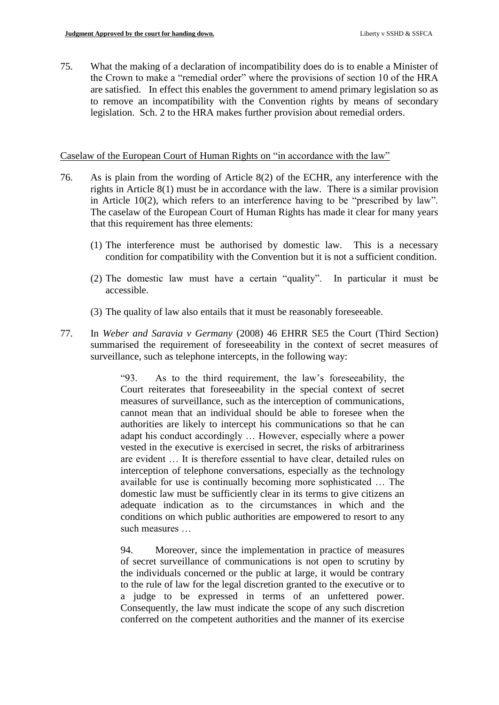75. What the making of a declaration of incompatibility does do is to enable a Minister of the Crown to make a "remedial order" where the provisions of section 10 of the HRA are satisfied. In effect this enables the government to amend primary legislation so as to remove an incompatibility with the Convention rights by means of secondary legislation. Sch. 2 to the HRA makes further provision about remedial orders.

### Caselaw of the European Court of Human Rights on "in accordance with the law"

- 76. As is plain from the wording of Article 8(2) of the ECHR, any interference with the rights in Article 8(1) must be in accordance with the law. There is a similar provision in Article 10(2), which refers to an interference having to be "prescribed by law". The caselaw of the European Court of Human Rights has made it clear for many years that this requirement has three elements:
	- (1) The interference must be authorised by domestic law. This is a necessary condition for compatibility with the Convention but it is not a sufficient condition.
	- (2) The domestic law must have a certain "quality". In particular it must be accessible.
	- (3) The quality of law also entails that it must be reasonably foreseeable.
- 77. In *Weber and Saravia v Germany* (2008) 46 EHRR SE5 the Court (Third Section) summarised the requirement of foreseeability in the context of secret measures of surveillance, such as telephone intercepts, in the following way:

"93. As to the third requirement, the law's foreseeability, the Court reiterates that foreseeability in the special context of secret measures of surveillance, such as the interception of communications, cannot mean that an individual should be able to foresee when the authorities are likely to intercept his communications so that he can adapt his conduct accordingly … However, especially where a power vested in the executive is exercised in secret, the risks of arbitrariness are evident … It is therefore essential to have clear, detailed rules on interception of telephone conversations, especially as the technology available for use is continually becoming more sophisticated … The domestic law must be sufficiently clear in its terms to give citizens an adequate indication as to the circumstances in which and the conditions on which public authorities are empowered to resort to any such measures …

94. Moreover, since the implementation in practice of measures of secret surveillance of communications is not open to scrutiny by the individuals concerned or the public at large, it would be contrary to the rule of law for the legal discretion granted to the executive or to a judge to be expressed in terms of an unfettered power. Consequently, the law must indicate the scope of any such discretion conferred on the competent authorities and the manner of its exercise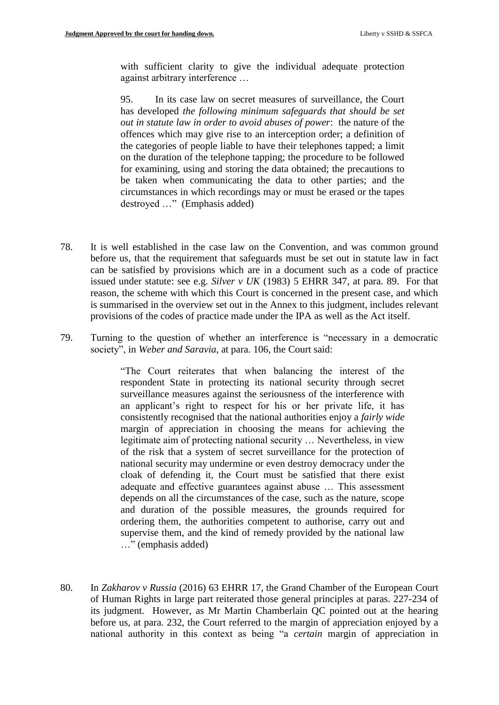with sufficient clarity to give the individual adequate protection against arbitrary interference …

95. In its case law on secret measures of surveillance, the Court has developed *the following minimum safeguards that should be set out in statute law in order to avoid abuses of power*: the nature of the offences which may give rise to an interception order; a definition of the categories of people liable to have their telephones tapped; a limit on the duration of the telephone tapping; the procedure to be followed for examining, using and storing the data obtained; the precautions to be taken when communicating the data to other parties; and the circumstances in which recordings may or must be erased or the tapes destroyed …" (Emphasis added)

- 78. It is well established in the case law on the Convention, and was common ground before us, that the requirement that safeguards must be set out in statute law in fact can be satisfied by provisions which are in a document such as a code of practice issued under statute: see e.g. *Silver v UK* (1983) 5 EHRR 347, at para. 89. For that reason, the scheme with which this Court is concerned in the present case, and which is summarised in the overview set out in the Annex to this judgment, includes relevant provisions of the codes of practice made under the IPA as well as the Act itself.
- 79. Turning to the question of whether an interference is "necessary in a democratic society", in *Weber and Saravia*, at para. 106, the Court said:

"The Court reiterates that when balancing the interest of the respondent State in protecting its national security through secret surveillance measures against the seriousness of the interference with an applicant's right to respect for his or her private life, it has consistently recognised that the national authorities enjoy a *fairly wide* margin of appreciation in choosing the means for achieving the legitimate aim of protecting national security … Nevertheless, in view of the risk that a system of secret surveillance for the protection of national security may undermine or even destroy democracy under the cloak of defending it, the Court must be satisfied that there exist adequate and effective guarantees against abuse … This assessment depends on all the circumstances of the case, such as the nature, scope and duration of the possible measures, the grounds required for ordering them, the authorities competent to authorise, carry out and supervise them, and the kind of remedy provided by the national law …" (emphasis added)

80. In *Zakharov v Russia* (2016) 63 EHRR 17, the Grand Chamber of the European Court of Human Rights in large part reiterated those general principles at paras. 227-234 of its judgment. However, as Mr Martin Chamberlain QC pointed out at the hearing before us, at para. 232, the Court referred to the margin of appreciation enjoyed by a national authority in this context as being "a *certain* margin of appreciation in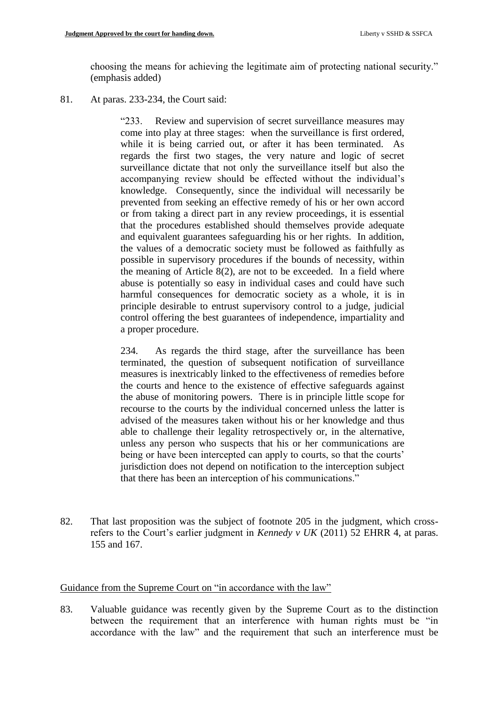choosing the means for achieving the legitimate aim of protecting national security." (emphasis added)

81. At paras. 233-234, the Court said:

"233. Review and supervision of secret surveillance measures may come into play at three stages: when the surveillance is first ordered, while it is being carried out, or after it has been terminated. As regards the first two stages, the very nature and logic of secret surveillance dictate that not only the surveillance itself but also the accompanying review should be effected without the individual's knowledge. Consequently, since the individual will necessarily be prevented from seeking an effective remedy of his or her own accord or from taking a direct part in any review proceedings, it is essential that the procedures established should themselves provide adequate and equivalent guarantees safeguarding his or her rights. In addition, the values of a democratic society must be followed as faithfully as possible in supervisory procedures if the bounds of necessity, within the meaning of Article 8(2), are not to be exceeded. In a field where abuse is potentially so easy in individual cases and could have such harmful consequences for democratic society as a whole, it is in principle desirable to entrust supervisory control to a judge, judicial control offering the best guarantees of independence, impartiality and a proper procedure.

234. As regards the third stage, after the surveillance has been terminated, the question of subsequent notification of surveillance measures is inextricably linked to the effectiveness of remedies before the courts and hence to the existence of effective safeguards against the abuse of monitoring powers. There is in principle little scope for recourse to the courts by the individual concerned unless the latter is advised of the measures taken without his or her knowledge and thus able to challenge their legality retrospectively or, in the alternative, unless any person who suspects that his or her communications are being or have been intercepted can apply to courts, so that the courts' jurisdiction does not depend on notification to the interception subject that there has been an interception of his communications."

82. That last proposition was the subject of footnote 205 in the judgment, which crossrefers to the Court's earlier judgment in *Kennedy v UK* (2011) 52 EHRR 4, at paras. 155 and 167.

#### Guidance from the Supreme Court on "in accordance with the law"

83. Valuable guidance was recently given by the Supreme Court as to the distinction between the requirement that an interference with human rights must be "in accordance with the law" and the requirement that such an interference must be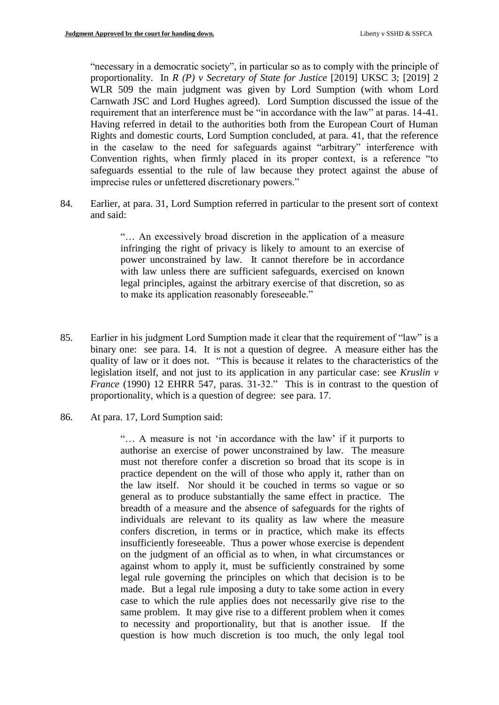"necessary in a democratic society", in particular so as to comply with the principle of proportionality. In *R (P) v Secretary of State for Justice* [2019] UKSC 3; [2019] 2 WLR 509 the main judgment was given by Lord Sumption (with whom Lord Carnwath JSC and Lord Hughes agreed). Lord Sumption discussed the issue of the requirement that an interference must be "in accordance with the law" at paras. 14-41. Having referred in detail to the authorities both from the European Court of Human Rights and domestic courts, Lord Sumption concluded, at para. 41, that the reference in the caselaw to the need for safeguards against "arbitrary" interference with Convention rights, when firmly placed in its proper context, is a reference "to safeguards essential to the rule of law because they protect against the abuse of imprecise rules or unfettered discretionary powers."

84. Earlier, at para. 31, Lord Sumption referred in particular to the present sort of context and said:

> "… An excessively broad discretion in the application of a measure infringing the right of privacy is likely to amount to an exercise of power unconstrained by law. It cannot therefore be in accordance with law unless there are sufficient safeguards, exercised on known legal principles, against the arbitrary exercise of that discretion, so as to make its application reasonably foreseeable."

- 85. Earlier in his judgment Lord Sumption made it clear that the requirement of "law" is a binary one: see para. 14. It is not a question of degree. A measure either has the quality of law or it does not. "This is because it relates to the characteristics of the legislation itself, and not just to its application in any particular case: see *Kruslin v France* (1990) 12 EHRR 547, paras. 31-32." This is in contrast to the question of proportionality, which is a question of degree: see para. 17.
- 86. At para. 17, Lord Sumption said:

"… A measure is not 'in accordance with the law' if it purports to authorise an exercise of power unconstrained by law. The measure must not therefore confer a discretion so broad that its scope is in practice dependent on the will of those who apply it, rather than on the law itself. Nor should it be couched in terms so vague or so general as to produce substantially the same effect in practice. The breadth of a measure and the absence of safeguards for the rights of individuals are relevant to its quality as law where the measure confers discretion, in terms or in practice, which make its effects insufficiently foreseeable. Thus a power whose exercise is dependent on the judgment of an official as to when, in what circumstances or against whom to apply it, must be sufficiently constrained by some legal rule governing the principles on which that decision is to be made. But a legal rule imposing a duty to take some action in every case to which the rule applies does not necessarily give rise to the same problem. It may give rise to a different problem when it comes to necessity and proportionality, but that is another issue. If the question is how much discretion is too much, the only legal tool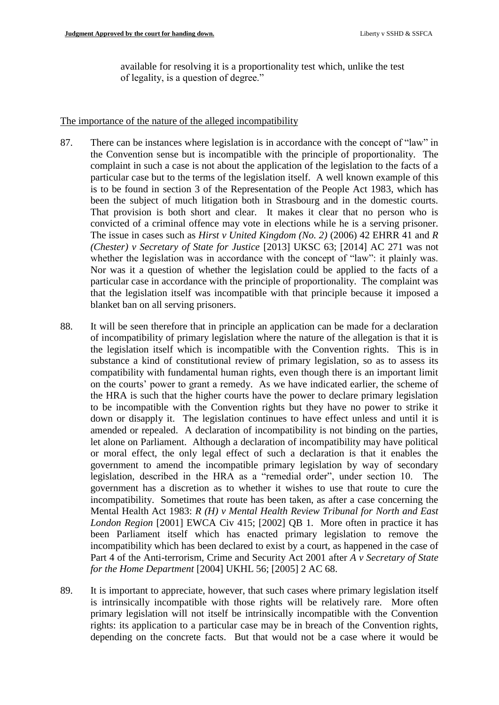available for resolving it is a proportionality test which, unlike the test of legality, is a question of degree."

#### The importance of the nature of the alleged incompatibility

- 87. There can be instances where legislation is in accordance with the concept of "law" in the Convention sense but is incompatible with the principle of proportionality. The complaint in such a case is not about the application of the legislation to the facts of a particular case but to the terms of the legislation itself. A well known example of this is to be found in section 3 of the Representation of the People Act 1983, which has been the subject of much litigation both in Strasbourg and in the domestic courts. That provision is both short and clear. It makes it clear that no person who is convicted of a criminal offence may vote in elections while he is a serving prisoner. The issue in cases such as *Hirst v United Kingdom (No. 2)* (2006) 42 EHRR 41 and *R (Chester) v Secretary of State for Justice* [2013] UKSC 63; [2014] AC 271 was not whether the legislation was in accordance with the concept of "law": it plainly was. Nor was it a question of whether the legislation could be applied to the facts of a particular case in accordance with the principle of proportionality. The complaint was that the legislation itself was incompatible with that principle because it imposed a blanket ban on all serving prisoners.
- 88. It will be seen therefore that in principle an application can be made for a declaration of incompatibility of primary legislation where the nature of the allegation is that it is the legislation itself which is incompatible with the Convention rights. This is in substance a kind of constitutional review of primary legislation, so as to assess its compatibility with fundamental human rights, even though there is an important limit on the courts' power to grant a remedy. As we have indicated earlier, the scheme of the HRA is such that the higher courts have the power to declare primary legislation to be incompatible with the Convention rights but they have no power to strike it down or disapply it. The legislation continues to have effect unless and until it is amended or repealed. A declaration of incompatibility is not binding on the parties, let alone on Parliament. Although a declaration of incompatibility may have political or moral effect, the only legal effect of such a declaration is that it enables the government to amend the incompatible primary legislation by way of secondary legislation, described in the HRA as a "remedial order", under section 10. The government has a discretion as to whether it wishes to use that route to cure the incompatibility. Sometimes that route has been taken, as after a case concerning the Mental Health Act 1983: *R (H) v Mental Health Review Tribunal for North and East London Region* [2001] EWCA Civ 415; [2002] QB 1. More often in practice it has been Parliament itself which has enacted primary legislation to remove the incompatibility which has been declared to exist by a court, as happened in the case of Part 4 of the Anti-terrorism, Crime and Security Act 2001 after *A v Secretary of State for the Home Department* [2004] UKHL 56; [2005] 2 AC 68.
- 89. It is important to appreciate, however, that such cases where primary legislation itself is intrinsically incompatible with those rights will be relatively rare. More often primary legislation will not itself be intrinsically incompatible with the Convention rights: its application to a particular case may be in breach of the Convention rights, depending on the concrete facts. But that would not be a case where it would be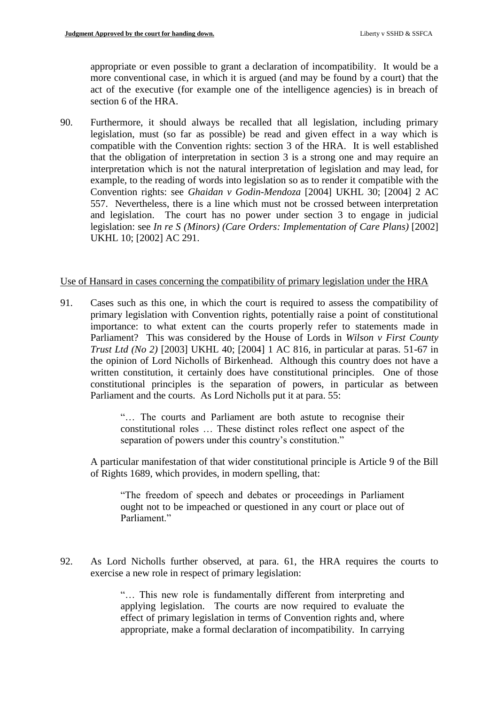appropriate or even possible to grant a declaration of incompatibility. It would be a more conventional case, in which it is argued (and may be found by a court) that the act of the executive (for example one of the intelligence agencies) is in breach of section 6 of the HRA.

90. Furthermore, it should always be recalled that all legislation, including primary legislation, must (so far as possible) be read and given effect in a way which is compatible with the Convention rights: section 3 of the HRA. It is well established that the obligation of interpretation in section 3 is a strong one and may require an interpretation which is not the natural interpretation of legislation and may lead, for example, to the reading of words into legislation so as to render it compatible with the Convention rights: see *Ghaidan v Godin-Mendoza* [2004] UKHL 30; [2004] 2 AC 557. Nevertheless, there is a line which must not be crossed between interpretation and legislation. The court has no power under section 3 to engage in judicial legislation: see *In re S (Minors) (Care Orders: Implementation of Care Plans)* [2002] UKHL 10; [2002] AC 291.

### Use of Hansard in cases concerning the compatibility of primary legislation under the HRA

91. Cases such as this one, in which the court is required to assess the compatibility of primary legislation with Convention rights, potentially raise a point of constitutional importance: to what extent can the courts properly refer to statements made in Parliament? This was considered by the House of Lords in *Wilson v First County Trust Ltd (No 2)* [2003] UKHL 40; [2004] 1 AC 816, in particular at paras. 51-67 in the opinion of Lord Nicholls of Birkenhead. Although this country does not have a written constitution, it certainly does have constitutional principles. One of those constitutional principles is the separation of powers, in particular as between Parliament and the courts. As Lord Nicholls put it at para. 55:

> "… The courts and Parliament are both astute to recognise their constitutional roles … These distinct roles reflect one aspect of the separation of powers under this country's constitution."

A particular manifestation of that wider constitutional principle is Article 9 of the Bill of Rights 1689, which provides, in modern spelling, that:

"The freedom of speech and debates or proceedings in Parliament ought not to be impeached or questioned in any court or place out of Parliament."

92. As Lord Nicholls further observed, at para. 61, the HRA requires the courts to exercise a new role in respect of primary legislation:

> "… This new role is fundamentally different from interpreting and applying legislation. The courts are now required to evaluate the effect of primary legislation in terms of Convention rights and, where appropriate, make a formal declaration of incompatibility. In carrying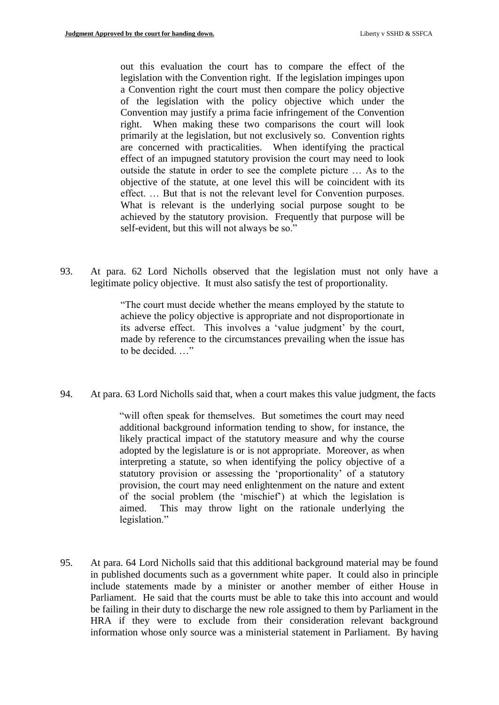out this evaluation the court has to compare the effect of the legislation with the Convention right. If the legislation impinges upon a Convention right the court must then compare the policy objective of the legislation with the policy objective which under the Convention may justify a prima facie infringement of the Convention right. When making these two comparisons the court will look primarily at the legislation, but not exclusively so. Convention rights are concerned with practicalities. When identifying the practical effect of an impugned statutory provision the court may need to look outside the statute in order to see the complete picture … As to the objective of the statute, at one level this will be coincident with its effect. … But that is not the relevant level for Convention purposes. What is relevant is the underlying social purpose sought to be achieved by the statutory provision. Frequently that purpose will be self-evident, but this will not always be so."

93. At para. 62 Lord Nicholls observed that the legislation must not only have a legitimate policy objective. It must also satisfy the test of proportionality.

> "The court must decide whether the means employed by the statute to achieve the policy objective is appropriate and not disproportionate in its adverse effect. This involves a 'value judgment' by the court, made by reference to the circumstances prevailing when the issue has to be decided. …"

94. At para. 63 Lord Nicholls said that, when a court makes this value judgment, the facts

"will often speak for themselves. But sometimes the court may need additional background information tending to show, for instance, the likely practical impact of the statutory measure and why the course adopted by the legislature is or is not appropriate. Moreover, as when interpreting a statute, so when identifying the policy objective of a statutory provision or assessing the 'proportionality' of a statutory provision, the court may need enlightenment on the nature and extent of the social problem (the 'mischief') at which the legislation is aimed. This may throw light on the rationale underlying the legislation."

95. At para. 64 Lord Nicholls said that this additional background material may be found in published documents such as a government white paper. It could also in principle include statements made by a minister or another member of either House in Parliament. He said that the courts must be able to take this into account and would be failing in their duty to discharge the new role assigned to them by Parliament in the HRA if they were to exclude from their consideration relevant background information whose only source was a ministerial statement in Parliament. By having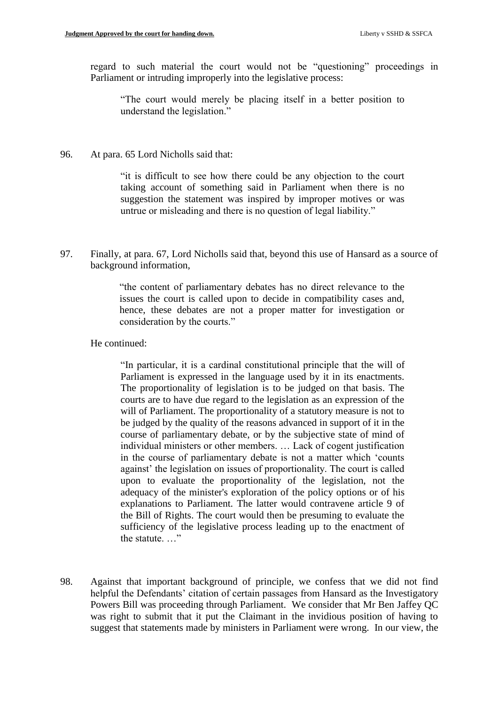regard to such material the court would not be "questioning" proceedings in Parliament or intruding improperly into the legislative process:

"The court would merely be placing itself in a better position to understand the legislation."

96. At para. 65 Lord Nicholls said that:

"it is difficult to see how there could be any objection to the court taking account of something said in Parliament when there is no suggestion the statement was inspired by improper motives or was untrue or misleading and there is no question of legal liability."

97. Finally, at para. 67, Lord Nicholls said that, beyond this use of Hansard as a source of background information,

> "the content of parliamentary debates has no direct relevance to the issues the court is called upon to decide in compatibility cases and, hence, these debates are not a proper matter for investigation or consideration by the courts."

He continued:

"In particular, it is a cardinal constitutional principle that the will of Parliament is expressed in the language used by it in its enactments. The proportionality of legislation is to be judged on that basis. The courts are to have due regard to the legislation as an expression of the will of Parliament. The proportionality of a statutory measure is not to be judged by the quality of the reasons advanced in support of it in the course of parliamentary debate, or by the subjective state of mind of individual ministers or other members. … Lack of cogent justification in the course of parliamentary debate is not a matter which 'counts against' the legislation on issues of proportionality. The court is called upon to evaluate the proportionality of the legislation, not the adequacy of the minister's exploration of the policy options or of his explanations to Parliament. The latter would contravene article 9 of the Bill of Rights. The court would then be presuming to evaluate the sufficiency of the legislative process leading up to the enactment of the statute...."

98. Against that important background of principle, we confess that we did not find helpful the Defendants' citation of certain passages from Hansard as the Investigatory Powers Bill was proceeding through Parliament. We consider that Mr Ben Jaffey QC was right to submit that it put the Claimant in the invidious position of having to suggest that statements made by ministers in Parliament were wrong. In our view, the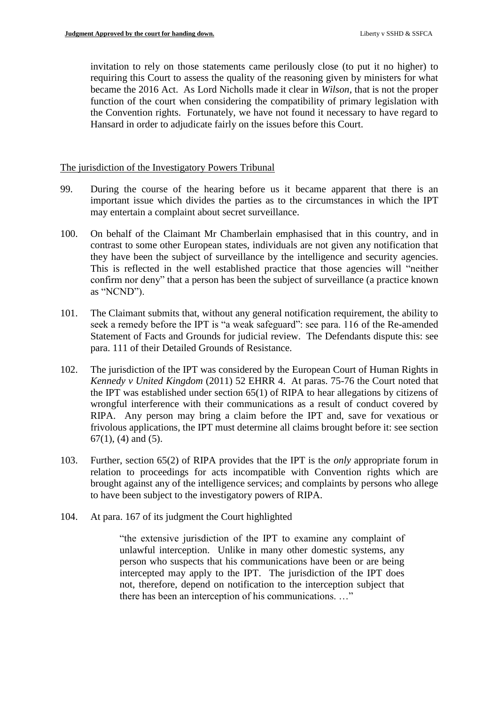invitation to rely on those statements came perilously close (to put it no higher) to requiring this Court to assess the quality of the reasoning given by ministers for what became the 2016 Act. As Lord Nicholls made it clear in *Wilson*, that is not the proper function of the court when considering the compatibility of primary legislation with the Convention rights. Fortunately, we have not found it necessary to have regard to Hansard in order to adjudicate fairly on the issues before this Court.

## The jurisdiction of the Investigatory Powers Tribunal

- 99. During the course of the hearing before us it became apparent that there is an important issue which divides the parties as to the circumstances in which the IPT may entertain a complaint about secret surveillance.
- 100. On behalf of the Claimant Mr Chamberlain emphasised that in this country, and in contrast to some other European states, individuals are not given any notification that they have been the subject of surveillance by the intelligence and security agencies. This is reflected in the well established practice that those agencies will "neither confirm nor deny" that a person has been the subject of surveillance (a practice known as "NCND").
- 101. The Claimant submits that, without any general notification requirement, the ability to seek a remedy before the IPT is "a weak safeguard": see para. 116 of the Re-amended Statement of Facts and Grounds for judicial review. The Defendants dispute this: see para. 111 of their Detailed Grounds of Resistance.
- 102. The jurisdiction of the IPT was considered by the European Court of Human Rights in *Kennedy v United Kingdom* (2011) 52 EHRR 4. At paras. 75-76 the Court noted that the IPT was established under section 65(1) of RIPA to hear allegations by citizens of wrongful interference with their communications as a result of conduct covered by RIPA. Any person may bring a claim before the IPT and, save for vexatious or frivolous applications, the IPT must determine all claims brought before it: see section  $67(1)$ , (4) and (5).
- 103. Further, section 65(2) of RIPA provides that the IPT is the *only* appropriate forum in relation to proceedings for acts incompatible with Convention rights which are brought against any of the intelligence services; and complaints by persons who allege to have been subject to the investigatory powers of RIPA.
- 104. At para. 167 of its judgment the Court highlighted

"the extensive jurisdiction of the IPT to examine any complaint of unlawful interception. Unlike in many other domestic systems, any person who suspects that his communications have been or are being intercepted may apply to the IPT. The jurisdiction of the IPT does not, therefore, depend on notification to the interception subject that there has been an interception of his communications. …"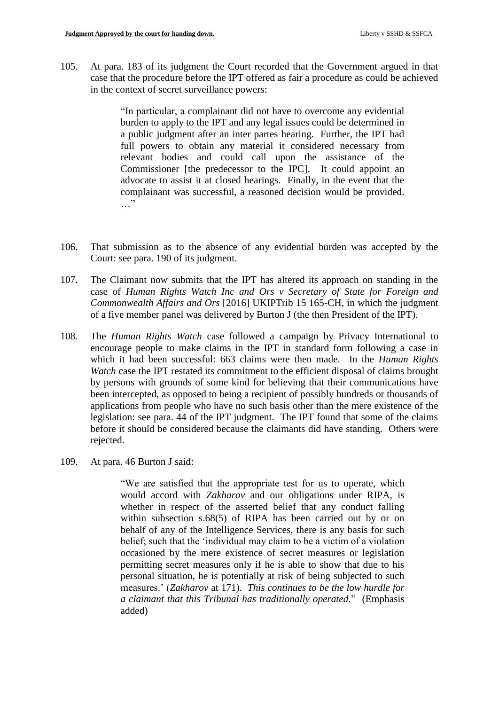105. At para. 183 of its judgment the Court recorded that the Government argued in that case that the procedure before the IPT offered as fair a procedure as could be achieved in the context of secret surveillance powers:

> "In particular, a complainant did not have to overcome any evidential burden to apply to the IPT and any legal issues could be determined in a public judgment after an inter partes hearing. Further, the IPT had full powers to obtain any material it considered necessary from relevant bodies and could call upon the assistance of the Commissioner [the predecessor to the IPC]. It could appoint an advocate to assist it at closed hearings. Finally, in the event that the complainant was successful, a reasoned decision would be provided. …"

- 106. That submission as to the absence of any evidential burden was accepted by the Court: see para. 190 of its judgment.
- 107. The Claimant now submits that the IPT has altered its approach on standing in the case of *Human Rights Watch Inc and Ors v Secretary of State for Foreign and Commonwealth Affairs and Ors* [2016] UKIPTrib 15 165-CH, in which the judgment of a five member panel was delivered by Burton J (the then President of the IPT).
- 108. The *Human Rights Watch* case followed a campaign by Privacy International to encourage people to make claims in the IPT in standard form following a case in which it had been successful: 663 claims were then made. In the *Human Rights Watch* case the IPT restated its commitment to the efficient disposal of claims brought by persons with grounds of some kind for believing that their communications have been intercepted, as opposed to being a recipient of possibly hundreds or thousands of applications from people who have no such basis other than the mere existence of the legislation: see para. 44 of the IPT judgment. The IPT found that some of the claims before it should be considered because the claimants did have standing. Others were rejected.
- 109. At para. 46 Burton J said:

"We are satisfied that the appropriate test for us to operate, which would accord with *Zakharov* and our obligations under RIPA, is whether in respect of the asserted belief that any conduct falling within subsection s.68(5) of RIPA has been carried out by or on behalf of any of the Intelligence Services, there is any basis for such belief; such that the 'individual may claim to be a victim of a violation occasioned by the mere existence of secret measures or legislation permitting secret measures only if he is able to show that due to his personal situation, he is potentially at risk of being subjected to such measures.' (*Zakharov* at 171). *This continues to be the low hurdle for a claimant that this Tribunal has traditionally operated.*" (Emphasis added)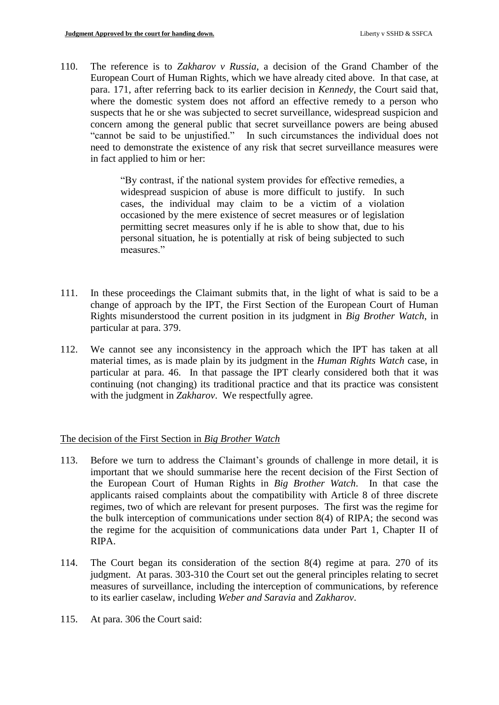110. The reference is to *Zakharov v Russia*, a decision of the Grand Chamber of the European Court of Human Rights, which we have already cited above. In that case, at para. 171, after referring back to its earlier decision in *Kennedy*, the Court said that, where the domestic system does not afford an effective remedy to a person who suspects that he or she was subjected to secret surveillance, widespread suspicion and concern among the general public that secret surveillance powers are being abused "cannot be said to be unjustified." In such circumstances the individual does not need to demonstrate the existence of any risk that secret surveillance measures were in fact applied to him or her:

> "By contrast, if the national system provides for effective remedies, a widespread suspicion of abuse is more difficult to justify. In such cases, the individual may claim to be a victim of a violation occasioned by the mere existence of secret measures or of legislation permitting secret measures only if he is able to show that, due to his personal situation, he is potentially at risk of being subjected to such measures."

- 111. In these proceedings the Claimant submits that, in the light of what is said to be a change of approach by the IPT, the First Section of the European Court of Human Rights misunderstood the current position in its judgment in *Big Brother Watch*, in particular at para. 379.
- 112. We cannot see any inconsistency in the approach which the IPT has taken at all material times, as is made plain by its judgment in the *Human Rights Watch* case, in particular at para. 46. In that passage the IPT clearly considered both that it was continuing (not changing) its traditional practice and that its practice was consistent with the judgment in *Zakharov*. We respectfully agree.

# The decision of the First Section in *Big Brother Watch*

- 113. Before we turn to address the Claimant's grounds of challenge in more detail, it is important that we should summarise here the recent decision of the First Section of the European Court of Human Rights in *Big Brother Watch*. In that case the applicants raised complaints about the compatibility with Article 8 of three discrete regimes, two of which are relevant for present purposes. The first was the regime for the bulk interception of communications under section 8(4) of RIPA; the second was the regime for the acquisition of communications data under Part 1, Chapter II of RIPA.
- 114. The Court began its consideration of the section 8(4) regime at para. 270 of its judgment. At paras. 303-310 the Court set out the general principles relating to secret measures of surveillance, including the interception of communications, by reference to its earlier caselaw, including *Weber and Saravia* and *Zakharov*.
- 115. At para. 306 the Court said: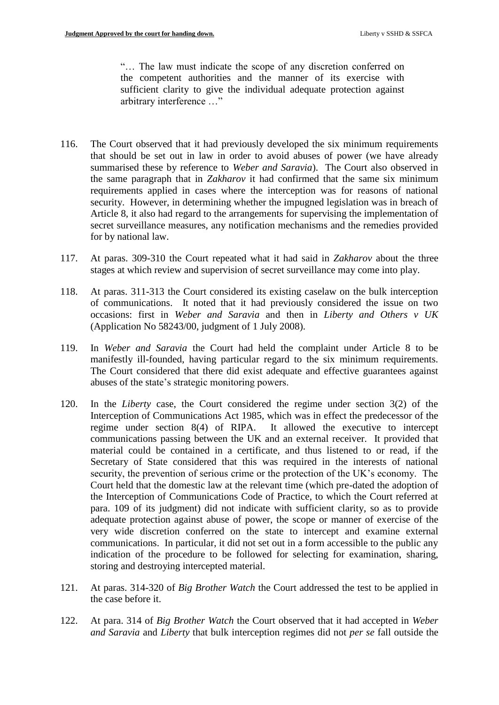"… The law must indicate the scope of any discretion conferred on the competent authorities and the manner of its exercise with sufficient clarity to give the individual adequate protection against arbitrary interference …"

- 116. The Court observed that it had previously developed the six minimum requirements that should be set out in law in order to avoid abuses of power (we have already summarised these by reference to *Weber and Saravia*). The Court also observed in the same paragraph that in *Zakharov* it had confirmed that the same six minimum requirements applied in cases where the interception was for reasons of national security. However, in determining whether the impugned legislation was in breach of Article 8, it also had regard to the arrangements for supervising the implementation of secret surveillance measures, any notification mechanisms and the remedies provided for by national law.
- 117. At paras. 309-310 the Court repeated what it had said in *Zakharov* about the three stages at which review and supervision of secret surveillance may come into play.
- 118. At paras. 311-313 the Court considered its existing caselaw on the bulk interception of communications. It noted that it had previously considered the issue on two occasions: first in *Weber and Saravia* and then in *Liberty and Others v UK* (Application No 58243/00, judgment of 1 July 2008).
- 119. In *Weber and Saravia* the Court had held the complaint under Article 8 to be manifestly ill-founded, having particular regard to the six minimum requirements. The Court considered that there did exist adequate and effective guarantees against abuses of the state's strategic monitoring powers.
- 120. In the *Liberty* case, the Court considered the regime under section 3(2) of the Interception of Communications Act 1985, which was in effect the predecessor of the regime under section 8(4) of RIPA. It allowed the executive to intercept communications passing between the UK and an external receiver. It provided that material could be contained in a certificate, and thus listened to or read, if the Secretary of State considered that this was required in the interests of national security, the prevention of serious crime or the protection of the UK's economy. The Court held that the domestic law at the relevant time (which pre-dated the adoption of the Interception of Communications Code of Practice, to which the Court referred at para. 109 of its judgment) did not indicate with sufficient clarity, so as to provide adequate protection against abuse of power, the scope or manner of exercise of the very wide discretion conferred on the state to intercept and examine external communications. In particular, it did not set out in a form accessible to the public any indication of the procedure to be followed for selecting for examination, sharing, storing and destroying intercepted material.
- 121. At paras. 314-320 of *Big Brother Watch* the Court addressed the test to be applied in the case before it.
- 122. At para. 314 of *Big Brother Watch* the Court observed that it had accepted in *Weber and Saravia* and *Liberty* that bulk interception regimes did not *per se* fall outside the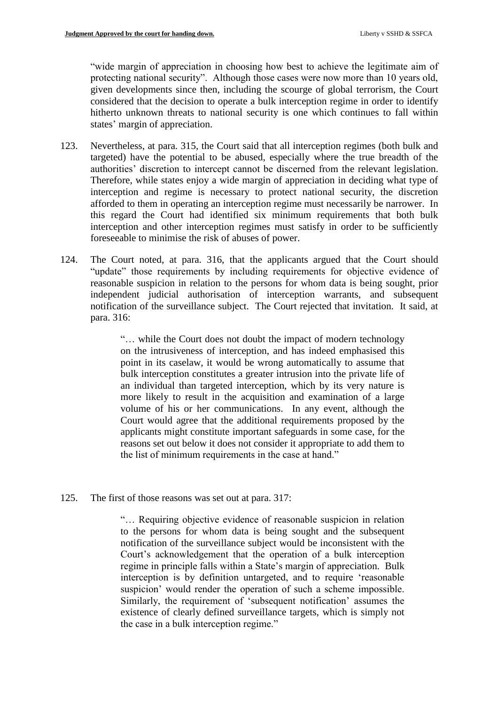"wide margin of appreciation in choosing how best to achieve the legitimate aim of protecting national security". Although those cases were now more than 10 years old, given developments since then, including the scourge of global terrorism, the Court considered that the decision to operate a bulk interception regime in order to identify hitherto unknown threats to national security is one which continues to fall within states' margin of appreciation.

- 123. Nevertheless, at para. 315, the Court said that all interception regimes (both bulk and targeted) have the potential to be abused, especially where the true breadth of the authorities' discretion to intercept cannot be discerned from the relevant legislation. Therefore, while states enjoy a wide margin of appreciation in deciding what type of interception and regime is necessary to protect national security, the discretion afforded to them in operating an interception regime must necessarily be narrower. In this regard the Court had identified six minimum requirements that both bulk interception and other interception regimes must satisfy in order to be sufficiently foreseeable to minimise the risk of abuses of power.
- 124. The Court noted, at para. 316, that the applicants argued that the Court should "update" those requirements by including requirements for objective evidence of reasonable suspicion in relation to the persons for whom data is being sought, prior independent judicial authorisation of interception warrants, and subsequent notification of the surveillance subject. The Court rejected that invitation. It said, at para. 316:

"… while the Court does not doubt the impact of modern technology on the intrusiveness of interception, and has indeed emphasised this point in its caselaw, it would be wrong automatically to assume that bulk interception constitutes a greater intrusion into the private life of an individual than targeted interception, which by its very nature is more likely to result in the acquisition and examination of a large volume of his or her communications. In any event, although the Court would agree that the additional requirements proposed by the applicants might constitute important safeguards in some case, for the reasons set out below it does not consider it appropriate to add them to the list of minimum requirements in the case at hand."

125. The first of those reasons was set out at para. 317:

"… Requiring objective evidence of reasonable suspicion in relation to the persons for whom data is being sought and the subsequent notification of the surveillance subject would be inconsistent with the Court's acknowledgement that the operation of a bulk interception regime in principle falls within a State's margin of appreciation. Bulk interception is by definition untargeted, and to require 'reasonable suspicion' would render the operation of such a scheme impossible. Similarly, the requirement of 'subsequent notification' assumes the existence of clearly defined surveillance targets, which is simply not the case in a bulk interception regime."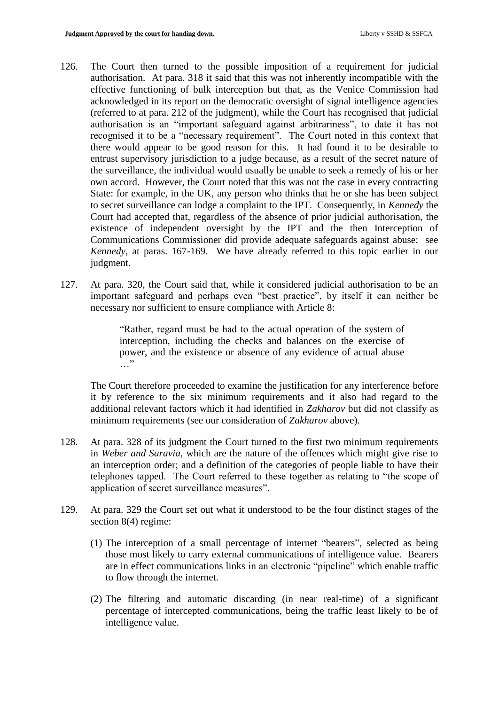- 126. The Court then turned to the possible imposition of a requirement for judicial authorisation. At para. 318 it said that this was not inherently incompatible with the effective functioning of bulk interception but that, as the Venice Commission had acknowledged in its report on the democratic oversight of signal intelligence agencies (referred to at para. 212 of the judgment), while the Court has recognised that judicial authorisation is an "important safeguard against arbitrariness", to date it has not recognised it to be a "necessary requirement". The Court noted in this context that there would appear to be good reason for this. It had found it to be desirable to entrust supervisory jurisdiction to a judge because, as a result of the secret nature of the surveillance, the individual would usually be unable to seek a remedy of his or her own accord. However, the Court noted that this was not the case in every contracting State: for example, in the UK, any person who thinks that he or she has been subject to secret surveillance can lodge a complaint to the IPT. Consequently, in *Kennedy* the Court had accepted that, regardless of the absence of prior judicial authorisation, the existence of independent oversight by the IPT and the then Interception of Communications Commissioner did provide adequate safeguards against abuse: see *Kennedy*, at paras. 167-169. We have already referred to this topic earlier in our judgment.
- 127. At para. 320, the Court said that, while it considered judicial authorisation to be an important safeguard and perhaps even "best practice", by itself it can neither be necessary nor sufficient to ensure compliance with Article 8:

"Rather, regard must be had to the actual operation of the system of interception, including the checks and balances on the exercise of power, and the existence or absence of any evidence of actual abuse …"

The Court therefore proceeded to examine the justification for any interference before it by reference to the six minimum requirements and it also had regard to the additional relevant factors which it had identified in *Zakharov* but did not classify as minimum requirements (see our consideration of *Zakharov* above).

- 128. At para. 328 of its judgment the Court turned to the first two minimum requirements in *Weber and Saravia*, which are the nature of the offences which might give rise to an interception order; and a definition of the categories of people liable to have their telephones tapped. The Court referred to these together as relating to "the scope of application of secret surveillance measures".
- 129. At para. 329 the Court set out what it understood to be the four distinct stages of the section 8(4) regime:
	- (1) The interception of a small percentage of internet "bearers", selected as being those most likely to carry external communications of intelligence value. Bearers are in effect communications links in an electronic "pipeline" which enable traffic to flow through the internet.
	- (2) The filtering and automatic discarding (in near real-time) of a significant percentage of intercepted communications, being the traffic least likely to be of intelligence value.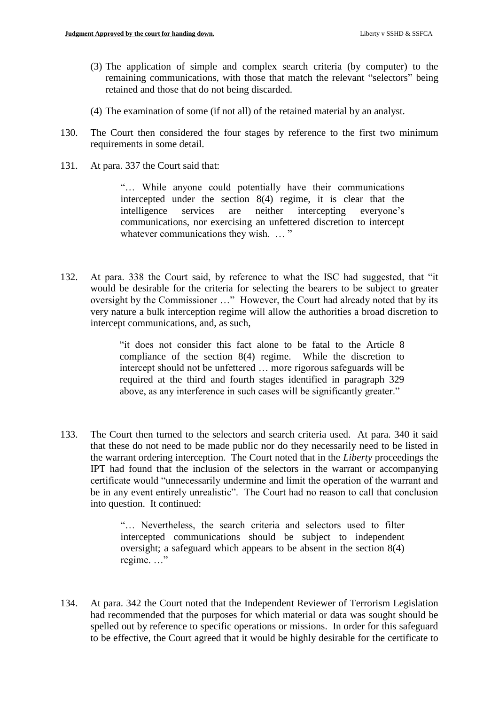- (3) The application of simple and complex search criteria (by computer) to the remaining communications, with those that match the relevant "selectors" being retained and those that do not being discarded.
- (4) The examination of some (if not all) of the retained material by an analyst.
- 130. The Court then considered the four stages by reference to the first two minimum requirements in some detail.
- 131. At para. 337 the Court said that:

"… While anyone could potentially have their communications intercepted under the section 8(4) regime, it is clear that the intelligence services are neither intercepting everyone's communications, nor exercising an unfettered discretion to intercept whatever communications they wish. ... "

132. At para. 338 the Court said, by reference to what the ISC had suggested, that "it would be desirable for the criteria for selecting the bearers to be subject to greater oversight by the Commissioner …" However, the Court had already noted that by its very nature a bulk interception regime will allow the authorities a broad discretion to intercept communications, and, as such,

> "it does not consider this fact alone to be fatal to the Article 8 compliance of the section 8(4) regime. While the discretion to intercept should not be unfettered … more rigorous safeguards will be required at the third and fourth stages identified in paragraph 329 above, as any interference in such cases will be significantly greater."

133. The Court then turned to the selectors and search criteria used. At para. 340 it said that these do not need to be made public nor do they necessarily need to be listed in the warrant ordering interception. The Court noted that in the *Liberty* proceedings the IPT had found that the inclusion of the selectors in the warrant or accompanying certificate would "unnecessarily undermine and limit the operation of the warrant and be in any event entirely unrealistic". The Court had no reason to call that conclusion into question. It continued:

> "… Nevertheless, the search criteria and selectors used to filter intercepted communications should be subject to independent oversight; a safeguard which appears to be absent in the section 8(4) regime. …"

134. At para. 342 the Court noted that the Independent Reviewer of Terrorism Legislation had recommended that the purposes for which material or data was sought should be spelled out by reference to specific operations or missions. In order for this safeguard to be effective, the Court agreed that it would be highly desirable for the certificate to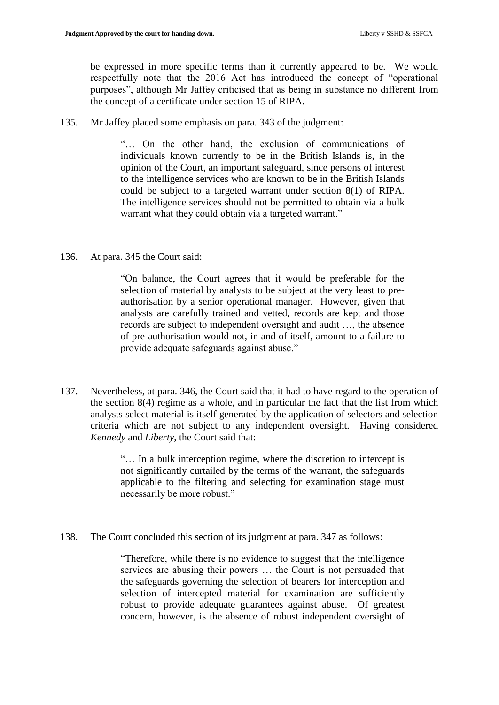be expressed in more specific terms than it currently appeared to be. We would respectfully note that the 2016 Act has introduced the concept of "operational purposes", although Mr Jaffey criticised that as being in substance no different from the concept of a certificate under section 15 of RIPA.

135. Mr Jaffey placed some emphasis on para. 343 of the judgment:

"… On the other hand, the exclusion of communications of individuals known currently to be in the British Islands is, in the opinion of the Court, an important safeguard, since persons of interest to the intelligence services who are known to be in the British Islands could be subject to a targeted warrant under section 8(1) of RIPA. The intelligence services should not be permitted to obtain via a bulk warrant what they could obtain via a targeted warrant."

136. At para. 345 the Court said:

"On balance, the Court agrees that it would be preferable for the selection of material by analysts to be subject at the very least to preauthorisation by a senior operational manager. However, given that analysts are carefully trained and vetted, records are kept and those records are subject to independent oversight and audit …, the absence of pre-authorisation would not, in and of itself, amount to a failure to provide adequate safeguards against abuse."

137. Nevertheless, at para. 346, the Court said that it had to have regard to the operation of the section 8(4) regime as a whole, and in particular the fact that the list from which analysts select material is itself generated by the application of selectors and selection criteria which are not subject to any independent oversight. Having considered *Kennedy* and *Liberty*, the Court said that:

> "… In a bulk interception regime, where the discretion to intercept is not significantly curtailed by the terms of the warrant, the safeguards applicable to the filtering and selecting for examination stage must necessarily be more robust."

138. The Court concluded this section of its judgment at para. 347 as follows:

"Therefore, while there is no evidence to suggest that the intelligence services are abusing their powers … the Court is not persuaded that the safeguards governing the selection of bearers for interception and selection of intercepted material for examination are sufficiently robust to provide adequate guarantees against abuse. Of greatest concern, however, is the absence of robust independent oversight of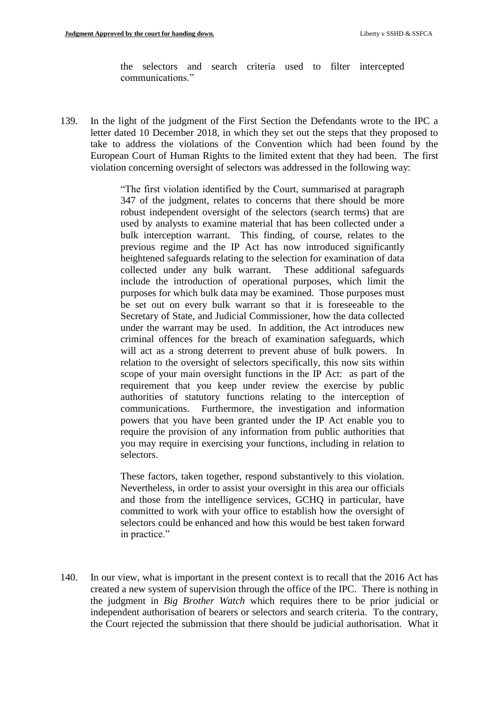the selectors and search criteria used to filter intercepted communications."

139. In the light of the judgment of the First Section the Defendants wrote to the IPC a letter dated 10 December 2018, in which they set out the steps that they proposed to take to address the violations of the Convention which had been found by the European Court of Human Rights to the limited extent that they had been. The first violation concerning oversight of selectors was addressed in the following way:

> "The first violation identified by the Court, summarised at paragraph 347 of the judgment, relates to concerns that there should be more robust independent oversight of the selectors (search terms) that are used by analysts to examine material that has been collected under a bulk interception warrant. This finding, of course, relates to the previous regime and the IP Act has now introduced significantly heightened safeguards relating to the selection for examination of data collected under any bulk warrant. These additional safeguards include the introduction of operational purposes, which limit the purposes for which bulk data may be examined. Those purposes must be set out on every bulk warrant so that it is foreseeable to the Secretary of State, and Judicial Commissioner, how the data collected under the warrant may be used. In addition, the Act introduces new criminal offences for the breach of examination safeguards, which will act as a strong deterrent to prevent abuse of bulk powers. In relation to the oversight of selectors specifically, this now sits within scope of your main oversight functions in the IP Act: as part of the requirement that you keep under review the exercise by public authorities of statutory functions relating to the interception of communications. Furthermore, the investigation and information powers that you have been granted under the IP Act enable you to require the provision of any information from public authorities that you may require in exercising your functions, including in relation to selectors.

> These factors, taken together, respond substantively to this violation. Nevertheless, in order to assist your oversight in this area our officials and those from the intelligence services, GCHQ in particular, have committed to work with your office to establish how the oversight of selectors could be enhanced and how this would be best taken forward in practice."

140. In our view, what is important in the present context is to recall that the 2016 Act has created a new system of supervision through the office of the IPC. There is nothing in the judgment in *Big Brother Watch* which requires there to be prior judicial or independent authorisation of bearers or selectors and search criteria. To the contrary, the Court rejected the submission that there should be judicial authorisation. What it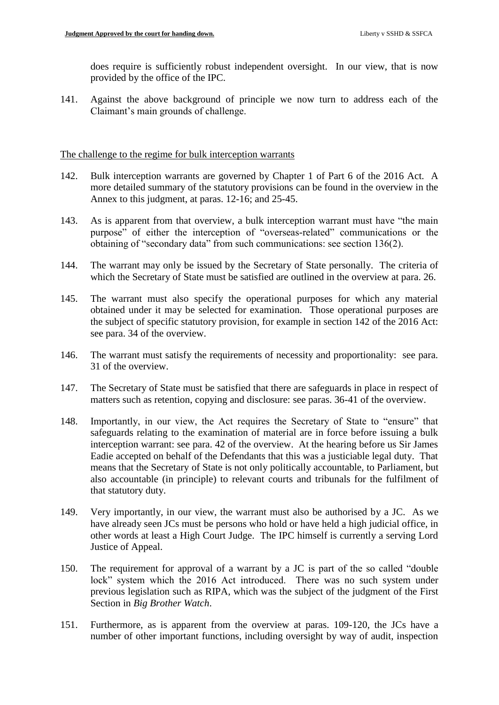does require is sufficiently robust independent oversight. In our view, that is now provided by the office of the IPC.

141. Against the above background of principle we now turn to address each of the Claimant's main grounds of challenge.

#### The challenge to the regime for bulk interception warrants

- 142. Bulk interception warrants are governed by Chapter 1 of Part 6 of the 2016 Act. A more detailed summary of the statutory provisions can be found in the overview in the Annex to this judgment, at paras. 12-16; and 25-45.
- 143. As is apparent from that overview, a bulk interception warrant must have "the main purpose" of either the interception of "overseas-related" communications or the obtaining of "secondary data" from such communications: see section 136(2).
- 144. The warrant may only be issued by the Secretary of State personally. The criteria of which the Secretary of State must be satisfied are outlined in the overview at para. 26.
- 145. The warrant must also specify the operational purposes for which any material obtained under it may be selected for examination. Those operational purposes are the subject of specific statutory provision, for example in section 142 of the 2016 Act: see para. 34 of the overview.
- 146. The warrant must satisfy the requirements of necessity and proportionality: see para. 31 of the overview.
- 147. The Secretary of State must be satisfied that there are safeguards in place in respect of matters such as retention, copying and disclosure: see paras. 36-41 of the overview.
- 148. Importantly, in our view, the Act requires the Secretary of State to "ensure" that safeguards relating to the examination of material are in force before issuing a bulk interception warrant: see para. 42 of the overview. At the hearing before us Sir James Eadie accepted on behalf of the Defendants that this was a justiciable legal duty. That means that the Secretary of State is not only politically accountable, to Parliament, but also accountable (in principle) to relevant courts and tribunals for the fulfilment of that statutory duty.
- 149. Very importantly, in our view, the warrant must also be authorised by a JC. As we have already seen JCs must be persons who hold or have held a high judicial office, in other words at least a High Court Judge. The IPC himself is currently a serving Lord Justice of Appeal.
- 150. The requirement for approval of a warrant by a JC is part of the so called "double lock" system which the 2016 Act introduced. There was no such system under previous legislation such as RIPA, which was the subject of the judgment of the First Section in *Big Brother Watch*.
- 151. Furthermore, as is apparent from the overview at paras. 109-120, the JCs have a number of other important functions, including oversight by way of audit, inspection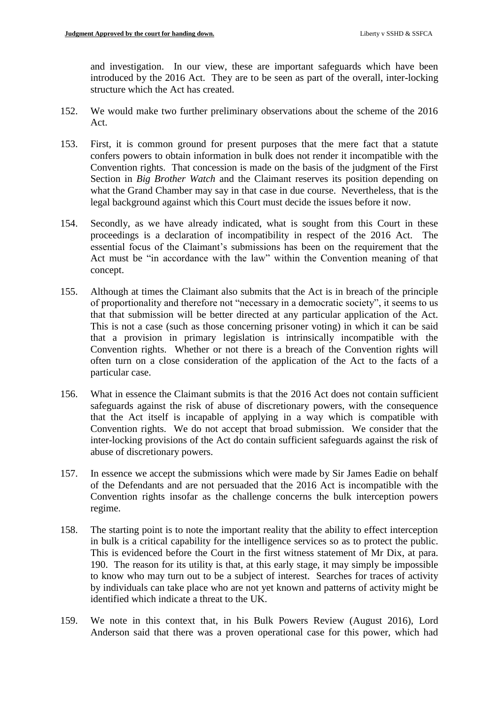and investigation. In our view, these are important safeguards which have been introduced by the 2016 Act. They are to be seen as part of the overall, inter-locking structure which the Act has created.

- 152. We would make two further preliminary observations about the scheme of the 2016 Act.
- 153. First, it is common ground for present purposes that the mere fact that a statute confers powers to obtain information in bulk does not render it incompatible with the Convention rights. That concession is made on the basis of the judgment of the First Section in *Big Brother Watch* and the Claimant reserves its position depending on what the Grand Chamber may say in that case in due course. Nevertheless, that is the legal background against which this Court must decide the issues before it now.
- 154. Secondly, as we have already indicated, what is sought from this Court in these proceedings is a declaration of incompatibility in respect of the 2016 Act. The essential focus of the Claimant's submissions has been on the requirement that the Act must be "in accordance with the law" within the Convention meaning of that concept.
- 155. Although at times the Claimant also submits that the Act is in breach of the principle of proportionality and therefore not "necessary in a democratic society", it seems to us that that submission will be better directed at any particular application of the Act. This is not a case (such as those concerning prisoner voting) in which it can be said that a provision in primary legislation is intrinsically incompatible with the Convention rights. Whether or not there is a breach of the Convention rights will often turn on a close consideration of the application of the Act to the facts of a particular case.
- 156. What in essence the Claimant submits is that the 2016 Act does not contain sufficient safeguards against the risk of abuse of discretionary powers, with the consequence that the Act itself is incapable of applying in a way which is compatible with Convention rights. We do not accept that broad submission. We consider that the inter-locking provisions of the Act do contain sufficient safeguards against the risk of abuse of discretionary powers.
- 157. In essence we accept the submissions which were made by Sir James Eadie on behalf of the Defendants and are not persuaded that the 2016 Act is incompatible with the Convention rights insofar as the challenge concerns the bulk interception powers regime.
- 158. The starting point is to note the important reality that the ability to effect interception in bulk is a critical capability for the intelligence services so as to protect the public. This is evidenced before the Court in the first witness statement of Mr Dix, at para. 190. The reason for its utility is that, at this early stage, it may simply be impossible to know who may turn out to be a subject of interest. Searches for traces of activity by individuals can take place who are not yet known and patterns of activity might be identified which indicate a threat to the UK.
- 159. We note in this context that, in his Bulk Powers Review (August 2016), Lord Anderson said that there was a proven operational case for this power, which had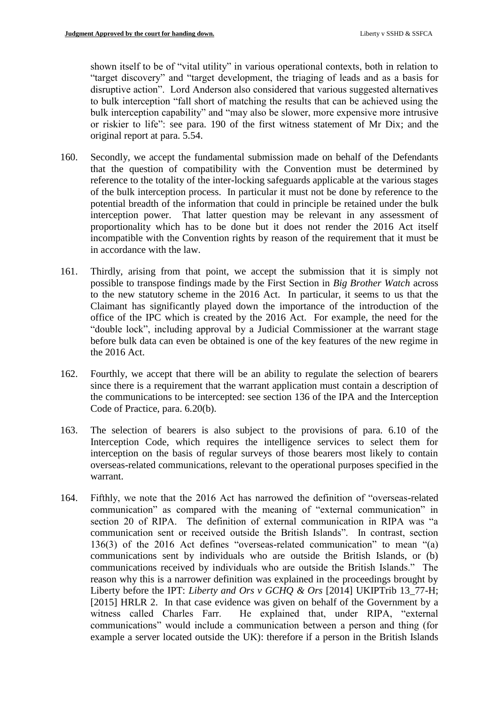shown itself to be of "vital utility" in various operational contexts, both in relation to "target discovery" and "target development, the triaging of leads and as a basis for disruptive action". Lord Anderson also considered that various suggested alternatives to bulk interception "fall short of matching the results that can be achieved using the bulk interception capability" and "may also be slower, more expensive more intrusive or riskier to life": see para. 190 of the first witness statement of Mr Dix; and the original report at para. 5.54.

- 160. Secondly, we accept the fundamental submission made on behalf of the Defendants that the question of compatibility with the Convention must be determined by reference to the totality of the inter-locking safeguards applicable at the various stages of the bulk interception process. In particular it must not be done by reference to the potential breadth of the information that could in principle be retained under the bulk interception power. That latter question may be relevant in any assessment of proportionality which has to be done but it does not render the 2016 Act itself incompatible with the Convention rights by reason of the requirement that it must be in accordance with the law.
- 161. Thirdly, arising from that point, we accept the submission that it is simply not possible to transpose findings made by the First Section in *Big Brother Watch* across to the new statutory scheme in the 2016 Act. In particular, it seems to us that the Claimant has significantly played down the importance of the introduction of the office of the IPC which is created by the 2016 Act. For example, the need for the "double lock", including approval by a Judicial Commissioner at the warrant stage before bulk data can even be obtained is one of the key features of the new regime in the 2016 Act.
- 162. Fourthly, we accept that there will be an ability to regulate the selection of bearers since there is a requirement that the warrant application must contain a description of the communications to be intercepted: see section 136 of the IPA and the Interception Code of Practice, para. 6.20(b).
- 163. The selection of bearers is also subject to the provisions of para. 6.10 of the Interception Code, which requires the intelligence services to select them for interception on the basis of regular surveys of those bearers most likely to contain overseas-related communications, relevant to the operational purposes specified in the warrant.
- 164. Fifthly, we note that the 2016 Act has narrowed the definition of "overseas-related communication" as compared with the meaning of "external communication" in section 20 of RIPA. The definition of external communication in RIPA was "a communication sent or received outside the British Islands". In contrast, section 136(3) of the 2016 Act defines "overseas-related communication" to mean "(a) communications sent by individuals who are outside the British Islands, or (b) communications received by individuals who are outside the British Islands." The reason why this is a narrower definition was explained in the proceedings brought by Liberty before the IPT: *Liberty and Ors v GCHQ & Ors* [2014] UKIPTrib 13\_77-H; [2015] HRLR 2. In that case evidence was given on behalf of the Government by a witness called Charles Farr. He explained that, under RIPA, "external communications" would include a communication between a person and thing (for example a server located outside the UK): therefore if a person in the British Islands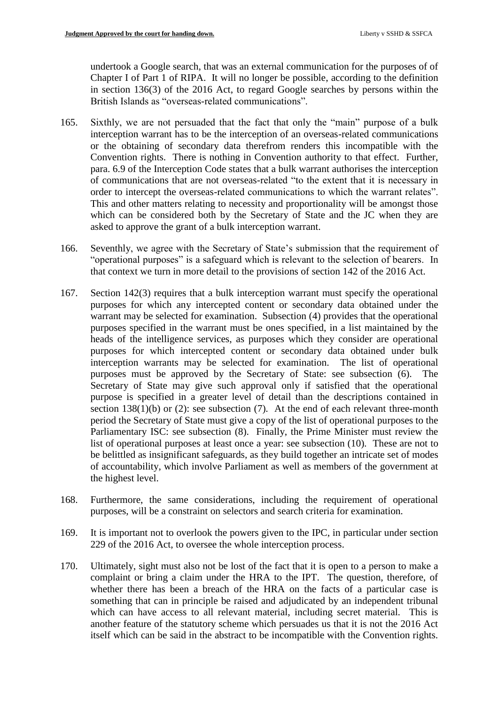undertook a Google search, that was an external communication for the purposes of of Chapter I of Part 1 of RIPA. It will no longer be possible, according to the definition in section 136(3) of the 2016 Act, to regard Google searches by persons within the British Islands as "overseas-related communications".

- 165. Sixthly, we are not persuaded that the fact that only the "main" purpose of a bulk interception warrant has to be the interception of an overseas-related communications or the obtaining of secondary data therefrom renders this incompatible with the Convention rights. There is nothing in Convention authority to that effect. Further, para. 6.9 of the Interception Code states that a bulk warrant authorises the interception of communications that are not overseas-related "to the extent that it is necessary in order to intercept the overseas-related communications to which the warrant relates". This and other matters relating to necessity and proportionality will be amongst those which can be considered both by the Secretary of State and the JC when they are asked to approve the grant of a bulk interception warrant.
- 166. Seventhly, we agree with the Secretary of State's submission that the requirement of "operational purposes" is a safeguard which is relevant to the selection of bearers. In that context we turn in more detail to the provisions of section 142 of the 2016 Act.
- 167. Section 142(3) requires that a bulk interception warrant must specify the operational purposes for which any intercepted content or secondary data obtained under the warrant may be selected for examination. Subsection (4) provides that the operational purposes specified in the warrant must be ones specified, in a list maintained by the heads of the intelligence services, as purposes which they consider are operational purposes for which intercepted content or secondary data obtained under bulk interception warrants may be selected for examination. The list of operational purposes must be approved by the Secretary of State: see subsection (6). The Secretary of State may give such approval only if satisfied that the operational purpose is specified in a greater level of detail than the descriptions contained in section  $138(1)(b)$  or (2): see subsection (7). At the end of each relevant three-month period the Secretary of State must give a copy of the list of operational purposes to the Parliamentary ISC: see subsection (8). Finally, the Prime Minister must review the list of operational purposes at least once a year: see subsection (10). These are not to be belittled as insignificant safeguards, as they build together an intricate set of modes of accountability, which involve Parliament as well as members of the government at the highest level.
- 168. Furthermore, the same considerations, including the requirement of operational purposes, will be a constraint on selectors and search criteria for examination.
- 169. It is important not to overlook the powers given to the IPC, in particular under section 229 of the 2016 Act, to oversee the whole interception process.
- 170. Ultimately, sight must also not be lost of the fact that it is open to a person to make a complaint or bring a claim under the HRA to the IPT. The question, therefore, of whether there has been a breach of the HRA on the facts of a particular case is something that can in principle be raised and adjudicated by an independent tribunal which can have access to all relevant material, including secret material. This is another feature of the statutory scheme which persuades us that it is not the 2016 Act itself which can be said in the abstract to be incompatible with the Convention rights.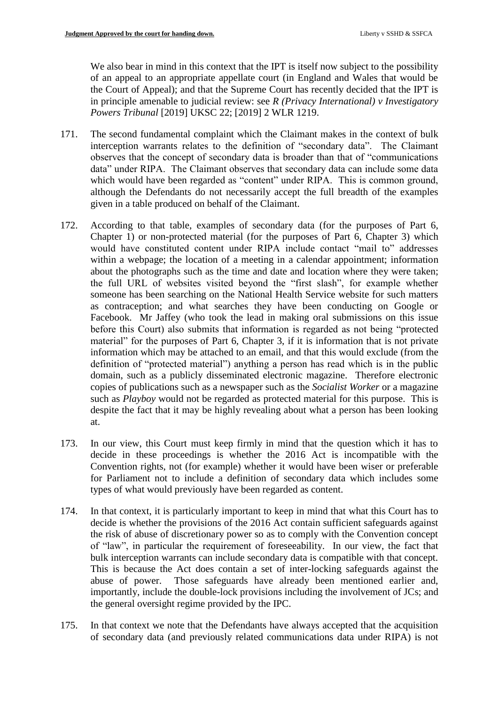We also bear in mind in this context that the IPT is itself now subject to the possibility of an appeal to an appropriate appellate court (in England and Wales that would be the Court of Appeal); and that the Supreme Court has recently decided that the IPT is in principle amenable to judicial review: see *R (Privacy International) v Investigatory Powers Tribunal* [2019] UKSC 22; [2019] 2 WLR 1219.

- 171. The second fundamental complaint which the Claimant makes in the context of bulk interception warrants relates to the definition of "secondary data". The Claimant observes that the concept of secondary data is broader than that of "communications data" under RIPA. The Claimant observes that secondary data can include some data which would have been regarded as "content" under RIPA. This is common ground, although the Defendants do not necessarily accept the full breadth of the examples given in a table produced on behalf of the Claimant.
- 172. According to that table, examples of secondary data (for the purposes of Part 6, Chapter 1) or non-protected material (for the purposes of Part 6, Chapter 3) which would have constituted content under RIPA include contact "mail to" addresses within a webpage; the location of a meeting in a calendar appointment; information about the photographs such as the time and date and location where they were taken; the full URL of websites visited beyond the "first slash", for example whether someone has been searching on the National Health Service website for such matters as contraception; and what searches they have been conducting on Google or Facebook. Mr Jaffey (who took the lead in making oral submissions on this issue before this Court) also submits that information is regarded as not being "protected material" for the purposes of Part 6, Chapter 3, if it is information that is not private information which may be attached to an email, and that this would exclude (from the definition of "protected material") anything a person has read which is in the public domain, such as a publicly disseminated electronic magazine. Therefore electronic copies of publications such as a newspaper such as the *Socialist Worker* or a magazine such as *Playboy* would not be regarded as protected material for this purpose. This is despite the fact that it may be highly revealing about what a person has been looking at.
- 173. In our view, this Court must keep firmly in mind that the question which it has to decide in these proceedings is whether the 2016 Act is incompatible with the Convention rights, not (for example) whether it would have been wiser or preferable for Parliament not to include a definition of secondary data which includes some types of what would previously have been regarded as content.
- 174. In that context, it is particularly important to keep in mind that what this Court has to decide is whether the provisions of the 2016 Act contain sufficient safeguards against the risk of abuse of discretionary power so as to comply with the Convention concept of "law", in particular the requirement of foreseeability. In our view, the fact that bulk interception warrants can include secondary data is compatible with that concept. This is because the Act does contain a set of inter-locking safeguards against the abuse of power. Those safeguards have already been mentioned earlier and, importantly, include the double-lock provisions including the involvement of JCs; and the general oversight regime provided by the IPC.
- 175. In that context we note that the Defendants have always accepted that the acquisition of secondary data (and previously related communications data under RIPA) is not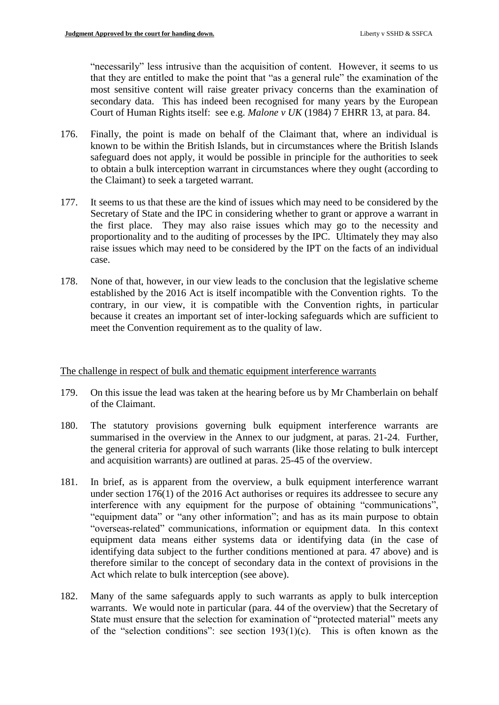"necessarily" less intrusive than the acquisition of content. However, it seems to us that they are entitled to make the point that "as a general rule" the examination of the most sensitive content will raise greater privacy concerns than the examination of secondary data. This has indeed been recognised for many years by the European Court of Human Rights itself: see e.g. *Malone v UK* (1984) 7 EHRR 13, at para. 84.

- 176. Finally, the point is made on behalf of the Claimant that, where an individual is known to be within the British Islands, but in circumstances where the British Islands safeguard does not apply, it would be possible in principle for the authorities to seek to obtain a bulk interception warrant in circumstances where they ought (according to the Claimant) to seek a targeted warrant.
- 177. It seems to us that these are the kind of issues which may need to be considered by the Secretary of State and the IPC in considering whether to grant or approve a warrant in the first place. They may also raise issues which may go to the necessity and proportionality and to the auditing of processes by the IPC. Ultimately they may also raise issues which may need to be considered by the IPT on the facts of an individual case.
- 178. None of that, however, in our view leads to the conclusion that the legislative scheme established by the 2016 Act is itself incompatible with the Convention rights. To the contrary, in our view, it is compatible with the Convention rights, in particular because it creates an important set of inter-locking safeguards which are sufficient to meet the Convention requirement as to the quality of law.

# The challenge in respect of bulk and thematic equipment interference warrants

- 179. On this issue the lead was taken at the hearing before us by Mr Chamberlain on behalf of the Claimant.
- 180. The statutory provisions governing bulk equipment interference warrants are summarised in the overview in the Annex to our judgment, at paras. 21-24. Further, the general criteria for approval of such warrants (like those relating to bulk intercept and acquisition warrants) are outlined at paras. 25-45 of the overview.
- 181. In brief, as is apparent from the overview, a bulk equipment interference warrant under section 176(1) of the 2016 Act authorises or requires its addressee to secure any interference with any equipment for the purpose of obtaining "communications", "equipment data" or "any other information"; and has as its main purpose to obtain "overseas-related" communications, information or equipment data. In this context equipment data means either systems data or identifying data (in the case of identifying data subject to the further conditions mentioned at para. 47 above) and is therefore similar to the concept of secondary data in the context of provisions in the Act which relate to bulk interception (see above).
- 182. Many of the same safeguards apply to such warrants as apply to bulk interception warrants. We would note in particular (para. 44 of the overview) that the Secretary of State must ensure that the selection for examination of "protected material" meets any of the "selection conditions": see section  $193(1)(c)$ . This is often known as the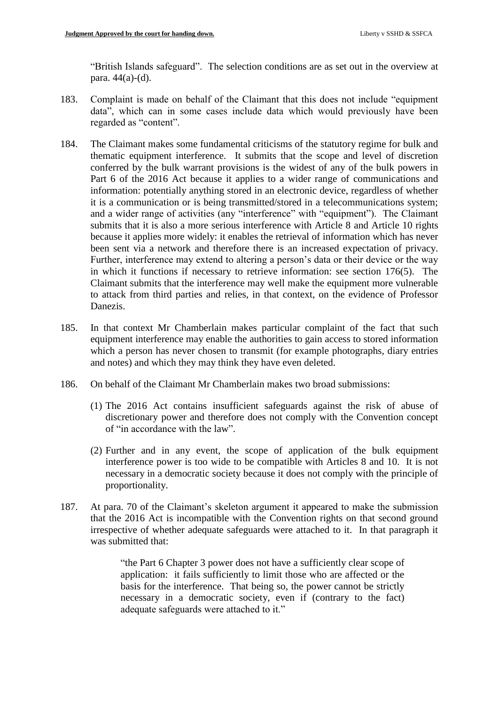"British Islands safeguard". The selection conditions are as set out in the overview at para. 44(a)-(d).

- 183. Complaint is made on behalf of the Claimant that this does not include "equipment data", which can in some cases include data which would previously have been regarded as "content".
- 184. The Claimant makes some fundamental criticisms of the statutory regime for bulk and thematic equipment interference. It submits that the scope and level of discretion conferred by the bulk warrant provisions is the widest of any of the bulk powers in Part 6 of the 2016 Act because it applies to a wider range of communications and information: potentially anything stored in an electronic device, regardless of whether it is a communication or is being transmitted/stored in a telecommunications system; and a wider range of activities (any "interference" with "equipment"). The Claimant submits that it is also a more serious interference with Article 8 and Article 10 rights because it applies more widely: it enables the retrieval of information which has never been sent via a network and therefore there is an increased expectation of privacy. Further, interference may extend to altering a person's data or their device or the way in which it functions if necessary to retrieve information: see section 176(5). The Claimant submits that the interference may well make the equipment more vulnerable to attack from third parties and relies, in that context, on the evidence of Professor Danezis.
- 185. In that context Mr Chamberlain makes particular complaint of the fact that such equipment interference may enable the authorities to gain access to stored information which a person has never chosen to transmit (for example photographs, diary entries and notes) and which they may think they have even deleted.
- 186. On behalf of the Claimant Mr Chamberlain makes two broad submissions:
	- (1) The 2016 Act contains insufficient safeguards against the risk of abuse of discretionary power and therefore does not comply with the Convention concept of "in accordance with the law".
	- (2) Further and in any event, the scope of application of the bulk equipment interference power is too wide to be compatible with Articles 8 and 10. It is not necessary in a democratic society because it does not comply with the principle of proportionality.
- 187. At para. 70 of the Claimant's skeleton argument it appeared to make the submission that the 2016 Act is incompatible with the Convention rights on that second ground irrespective of whether adequate safeguards were attached to it. In that paragraph it was submitted that:

"the Part 6 Chapter 3 power does not have a sufficiently clear scope of application: it fails sufficiently to limit those who are affected or the basis for the interference. That being so, the power cannot be strictly necessary in a democratic society, even if (contrary to the fact) adequate safeguards were attached to it."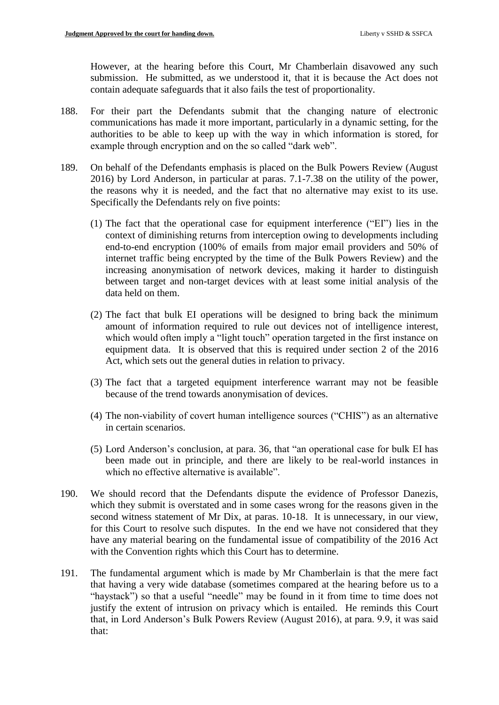However, at the hearing before this Court, Mr Chamberlain disavowed any such submission. He submitted, as we understood it, that it is because the Act does not contain adequate safeguards that it also fails the test of proportionality.

- 188. For their part the Defendants submit that the changing nature of electronic communications has made it more important, particularly in a dynamic setting, for the authorities to be able to keep up with the way in which information is stored, for example through encryption and on the so called "dark web".
- 189. On behalf of the Defendants emphasis is placed on the Bulk Powers Review (August 2016) by Lord Anderson, in particular at paras. 7.1-7.38 on the utility of the power, the reasons why it is needed, and the fact that no alternative may exist to its use. Specifically the Defendants rely on five points:
	- (1) The fact that the operational case for equipment interference ("EI") lies in the context of diminishing returns from interception owing to developments including end-to-end encryption (100% of emails from major email providers and 50% of internet traffic being encrypted by the time of the Bulk Powers Review) and the increasing anonymisation of network devices, making it harder to distinguish between target and non-target devices with at least some initial analysis of the data held on them.
	- (2) The fact that bulk EI operations will be designed to bring back the minimum amount of information required to rule out devices not of intelligence interest, which would often imply a "light touch" operation targeted in the first instance on equipment data. It is observed that this is required under section 2 of the 2016 Act, which sets out the general duties in relation to privacy.
	- (3) The fact that a targeted equipment interference warrant may not be feasible because of the trend towards anonymisation of devices.
	- (4) The non-viability of covert human intelligence sources ("CHIS") as an alternative in certain scenarios.
	- (5) Lord Anderson's conclusion, at para. 36, that "an operational case for bulk EI has been made out in principle, and there are likely to be real-world instances in which no effective alternative is available".
- 190. We should record that the Defendants dispute the evidence of Professor Danezis, which they submit is overstated and in some cases wrong for the reasons given in the second witness statement of Mr Dix, at paras. 10-18. It is unnecessary, in our view, for this Court to resolve such disputes. In the end we have not considered that they have any material bearing on the fundamental issue of compatibility of the 2016 Act with the Convention rights which this Court has to determine.
- 191. The fundamental argument which is made by Mr Chamberlain is that the mere fact that having a very wide database (sometimes compared at the hearing before us to a "haystack") so that a useful "needle" may be found in it from time to time does not justify the extent of intrusion on privacy which is entailed. He reminds this Court that, in Lord Anderson's Bulk Powers Review (August 2016), at para. 9.9, it was said that: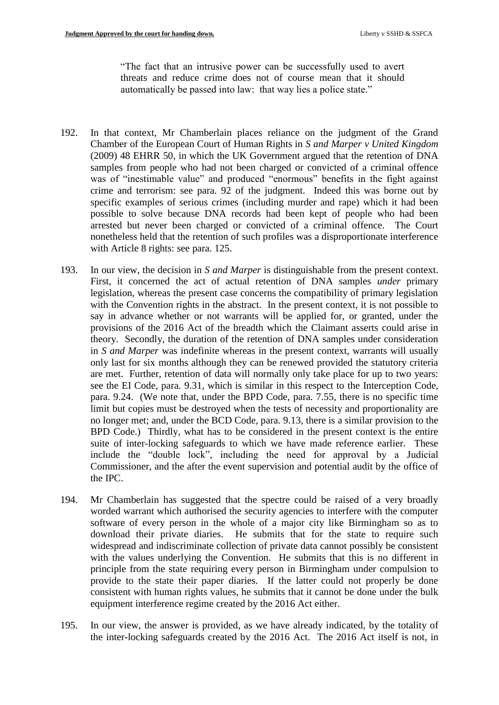"The fact that an intrusive power can be successfully used to avert threats and reduce crime does not of course mean that it should automatically be passed into law: that way lies a police state."

- 192. In that context, Mr Chamberlain places reliance on the judgment of the Grand Chamber of the European Court of Human Rights in *S and Marper v United Kingdom* (2009) 48 EHRR 50, in which the UK Government argued that the retention of DNA samples from people who had not been charged or convicted of a criminal offence was of "inestimable value" and produced "enormous" benefits in the fight against crime and terrorism: see para. 92 of the judgment. Indeed this was borne out by specific examples of serious crimes (including murder and rape) which it had been possible to solve because DNA records had been kept of people who had been arrested but never been charged or convicted of a criminal offence. The Court nonetheless held that the retention of such profiles was a disproportionate interference with Article 8 rights: see para. 125.
- 193. In our view, the decision in *S and Marper* is distinguishable from the present context. First, it concerned the act of actual retention of DNA samples *under* primary legislation, whereas the present case concerns the compatibility of primary legislation with the Convention rights in the abstract. In the present context, it is not possible to say in advance whether or not warrants will be applied for, or granted, under the provisions of the 2016 Act of the breadth which the Claimant asserts could arise in theory. Secondly, the duration of the retention of DNA samples under consideration in *S and Marper* was indefinite whereas in the present context, warrants will usually only last for six months although they can be renewed provided the statutory criteria are met. Further, retention of data will normally only take place for up to two years: see the EI Code, para. 9.31, which is similar in this respect to the Interception Code, para. 9.24. (We note that, under the BPD Code, para. 7.55, there is no specific time limit but copies must be destroyed when the tests of necessity and proportionality are no longer met; and, under the BCD Code, para. 9.13, there is a similar provision to the BPD Code.) Thirdly, what has to be considered in the present context is the entire suite of inter-locking safeguards to which we have made reference earlier. These include the "double lock", including the need for approval by a Judicial Commissioner, and the after the event supervision and potential audit by the office of the IPC.
- 194. Mr Chamberlain has suggested that the spectre could be raised of a very broadly worded warrant which authorised the security agencies to interfere with the computer software of every person in the whole of a major city like Birmingham so as to download their private diaries. He submits that for the state to require such widespread and indiscriminate collection of private data cannot possibly be consistent with the values underlying the Convention. He submits that this is no different in principle from the state requiring every person in Birmingham under compulsion to provide to the state their paper diaries. If the latter could not properly be done consistent with human rights values, he submits that it cannot be done under the bulk equipment interference regime created by the 2016 Act either.
- 195. In our view, the answer is provided, as we have already indicated, by the totality of the inter-locking safeguards created by the 2016 Act. The 2016 Act itself is not, in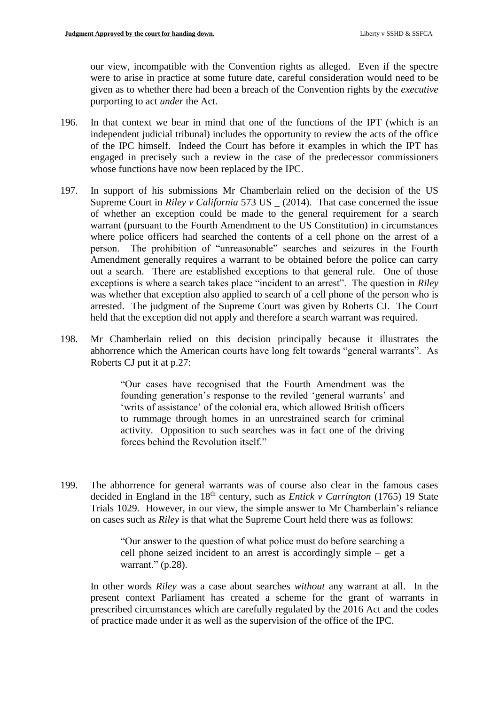our view, incompatible with the Convention rights as alleged. Even if the spectre were to arise in practice at some future date, careful consideration would need to be given as to whether there had been a breach of the Convention rights by the *executive* purporting to act *under* the Act.

- 196. In that context we bear in mind that one of the functions of the IPT (which is an independent judicial tribunal) includes the opportunity to review the acts of the office of the IPC himself. Indeed the Court has before it examples in which the IPT has engaged in precisely such a review in the case of the predecessor commissioners whose functions have now been replaced by the IPC.
- 197. In support of his submissions Mr Chamberlain relied on the decision of the US Supreme Court in *Riley v California* 573 US \_ (2014). That case concerned the issue of whether an exception could be made to the general requirement for a search warrant (pursuant to the Fourth Amendment to the US Constitution) in circumstances where police officers had searched the contents of a cell phone on the arrest of a person. The prohibition of "unreasonable" searches and seizures in the Fourth Amendment generally requires a warrant to be obtained before the police can carry out a search. There are established exceptions to that general rule. One of those exceptions is where a search takes place "incident to an arrest". The question in *Riley* was whether that exception also applied to search of a cell phone of the person who is arrested. The judgment of the Supreme Court was given by Roberts CJ. The Court held that the exception did not apply and therefore a search warrant was required.
- 198. Mr Chamberlain relied on this decision principally because it illustrates the abhorrence which the American courts have long felt towards "general warrants". As Roberts CJ put it at p.27:

"Our cases have recognised that the Fourth Amendment was the founding generation's response to the reviled 'general warrants' and 'writs of assistance' of the colonial era, which allowed British officers to rummage through homes in an unrestrained search for criminal activity. Opposition to such searches was in fact one of the driving forces behind the Revolution itself."

199. The abhorrence for general warrants was of course also clear in the famous cases decided in England in the 18th century, such as *Entick v Carrington* (1765) 19 State Trials 1029. However, in our view, the simple answer to Mr Chamberlain's reliance on cases such as *Riley* is that what the Supreme Court held there was as follows:

> "Our answer to the question of what police must do before searching a cell phone seized incident to an arrest is accordingly simple – get a warrant." (p.28).

In other words *Riley* was a case about searches *without* any warrant at all. In the present context Parliament has created a scheme for the grant of warrants in prescribed circumstances which are carefully regulated by the 2016 Act and the codes of practice made under it as well as the supervision of the office of the IPC.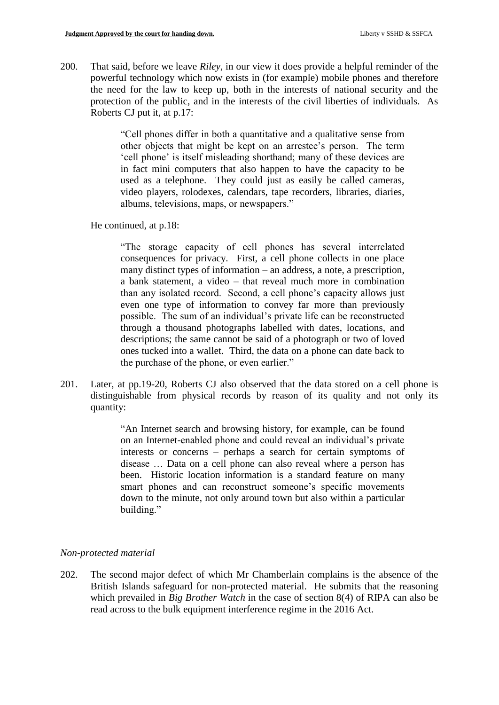200. That said, before we leave *Riley*, in our view it does provide a helpful reminder of the powerful technology which now exists in (for example) mobile phones and therefore the need for the law to keep up, both in the interests of national security and the protection of the public, and in the interests of the civil liberties of individuals. As Roberts CJ put it, at p.17:

> "Cell phones differ in both a quantitative and a qualitative sense from other objects that might be kept on an arrestee's person. The term 'cell phone' is itself misleading shorthand; many of these devices are in fact mini computers that also happen to have the capacity to be used as a telephone. They could just as easily be called cameras, video players, rolodexes, calendars, tape recorders, libraries, diaries, albums, televisions, maps, or newspapers."

He continued, at p.18:

"The storage capacity of cell phones has several interrelated consequences for privacy. First, a cell phone collects in one place many distinct types of information – an address, a note, a prescription, a bank statement, a video – that reveal much more in combination than any isolated record. Second, a cell phone's capacity allows just even one type of information to convey far more than previously possible. The sum of an individual's private life can be reconstructed through a thousand photographs labelled with dates, locations, and descriptions; the same cannot be said of a photograph or two of loved ones tucked into a wallet. Third, the data on a phone can date back to the purchase of the phone, or even earlier."

201. Later, at pp.19-20, Roberts CJ also observed that the data stored on a cell phone is distinguishable from physical records by reason of its quality and not only its quantity:

> "An Internet search and browsing history, for example, can be found on an Internet-enabled phone and could reveal an individual's private interests or concerns – perhaps a search for certain symptoms of disease … Data on a cell phone can also reveal where a person has been. Historic location information is a standard feature on many smart phones and can reconstruct someone's specific movements down to the minute, not only around town but also within a particular building."

# *Non-protected material*

202. The second major defect of which Mr Chamberlain complains is the absence of the British Islands safeguard for non-protected material. He submits that the reasoning which prevailed in *Big Brother Watch* in the case of section 8(4) of RIPA can also be read across to the bulk equipment interference regime in the 2016 Act.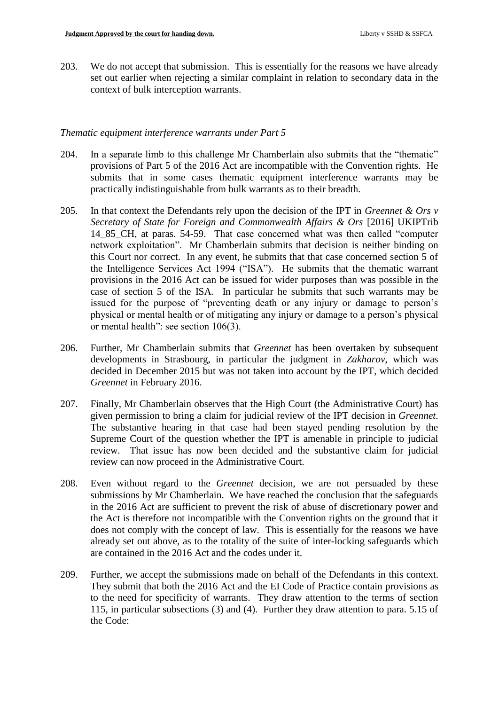203. We do not accept that submission. This is essentially for the reasons we have already set out earlier when rejecting a similar complaint in relation to secondary data in the context of bulk interception warrants.

### *Thematic equipment interference warrants under Part 5*

- 204. In a separate limb to this challenge Mr Chamberlain also submits that the "thematic" provisions of Part 5 of the 2016 Act are incompatible with the Convention rights. He submits that in some cases thematic equipment interference warrants may be practically indistinguishable from bulk warrants as to their breadth.
- 205. In that context the Defendants rely upon the decision of the IPT in *Greennet & Ors v Secretary of State for Foreign and Commonwealth Affairs & Ors* [2016] UKIPTrib 14 85 CH, at paras. 54-59. That case concerned what was then called "computer network exploitation". Mr Chamberlain submits that decision is neither binding on this Court nor correct. In any event, he submits that that case concerned section 5 of the Intelligence Services Act 1994 ("ISA"). He submits that the thematic warrant provisions in the 2016 Act can be issued for wider purposes than was possible in the case of section 5 of the ISA. In particular he submits that such warrants may be issued for the purpose of "preventing death or any injury or damage to person's physical or mental health or of mitigating any injury or damage to a person's physical or mental health": see section 106(3).
- 206. Further, Mr Chamberlain submits that *Greennet* has been overtaken by subsequent developments in Strasbourg, in particular the judgment in *Zakharov*, which was decided in December 2015 but was not taken into account by the IPT, which decided *Greennet* in February 2016.
- 207. Finally, Mr Chamberlain observes that the High Court (the Administrative Court) has given permission to bring a claim for judicial review of the IPT decision in *Greennet*. The substantive hearing in that case had been stayed pending resolution by the Supreme Court of the question whether the IPT is amenable in principle to judicial review. That issue has now been decided and the substantive claim for judicial review can now proceed in the Administrative Court.
- 208. Even without regard to the *Greennet* decision, we are not persuaded by these submissions by Mr Chamberlain. We have reached the conclusion that the safeguards in the 2016 Act are sufficient to prevent the risk of abuse of discretionary power and the Act is therefore not incompatible with the Convention rights on the ground that it does not comply with the concept of law. This is essentially for the reasons we have already set out above, as to the totality of the suite of inter-locking safeguards which are contained in the 2016 Act and the codes under it.
- 209. Further, we accept the submissions made on behalf of the Defendants in this context. They submit that both the 2016 Act and the EI Code of Practice contain provisions as to the need for specificity of warrants. They draw attention to the terms of section 115, in particular subsections (3) and (4). Further they draw attention to para. 5.15 of the Code: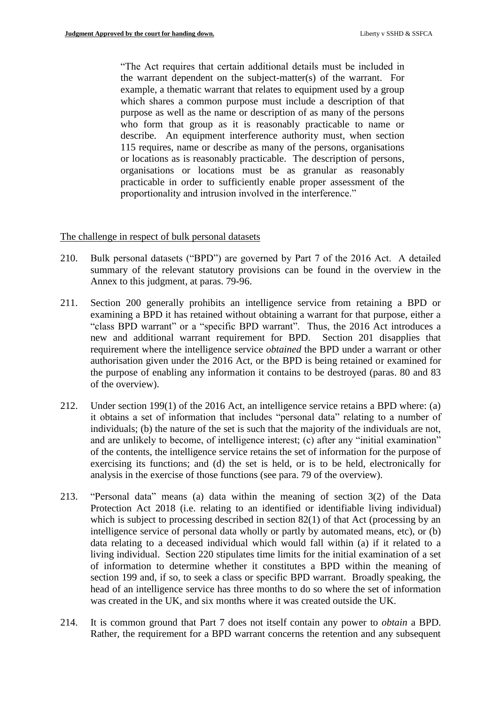"The Act requires that certain additional details must be included in the warrant dependent on the subject-matter(s) of the warrant. For example, a thematic warrant that relates to equipment used by a group which shares a common purpose must include a description of that purpose as well as the name or description of as many of the persons who form that group as it is reasonably practicable to name or describe. An equipment interference authority must, when section 115 requires, name or describe as many of the persons, organisations or locations as is reasonably practicable. The description of persons, organisations or locations must be as granular as reasonably practicable in order to sufficiently enable proper assessment of the proportionality and intrusion involved in the interference."

# The challenge in respect of bulk personal datasets

- 210. Bulk personal datasets ("BPD") are governed by Part 7 of the 2016 Act. A detailed summary of the relevant statutory provisions can be found in the overview in the Annex to this judgment, at paras. 79-96.
- 211. Section 200 generally prohibits an intelligence service from retaining a BPD or examining a BPD it has retained without obtaining a warrant for that purpose, either a "class BPD warrant" or a "specific BPD warrant". Thus, the 2016 Act introduces a new and additional warrant requirement for BPD. Section 201 disapplies that requirement where the intelligence service *obtained* the BPD under a warrant or other authorisation given under the 2016 Act, or the BPD is being retained or examined for the purpose of enabling any information it contains to be destroyed (paras. 80 and 83 of the overview).
- 212. Under section 199(1) of the 2016 Act, an intelligence service retains a BPD where: (a) it obtains a set of information that includes "personal data" relating to a number of individuals; (b) the nature of the set is such that the majority of the individuals are not, and are unlikely to become, of intelligence interest; (c) after any "initial examination" of the contents, the intelligence service retains the set of information for the purpose of exercising its functions; and (d) the set is held, or is to be held, electronically for analysis in the exercise of those functions (see para. 79 of the overview).
- 213. "Personal data" means (a) data within the meaning of section 3(2) of the Data Protection Act 2018 (i.e. relating to an identified or identifiable living individual) which is subject to processing described in section 82(1) of that Act (processing by an intelligence service of personal data wholly or partly by automated means, etc), or (b) data relating to a deceased individual which would fall within (a) if it related to a living individual. Section 220 stipulates time limits for the initial examination of a set of information to determine whether it constitutes a BPD within the meaning of section 199 and, if so, to seek a class or specific BPD warrant. Broadly speaking, the head of an intelligence service has three months to do so where the set of information was created in the UK, and six months where it was created outside the UK.
- 214. It is common ground that Part 7 does not itself contain any power to *obtain* a BPD. Rather, the requirement for a BPD warrant concerns the retention and any subsequent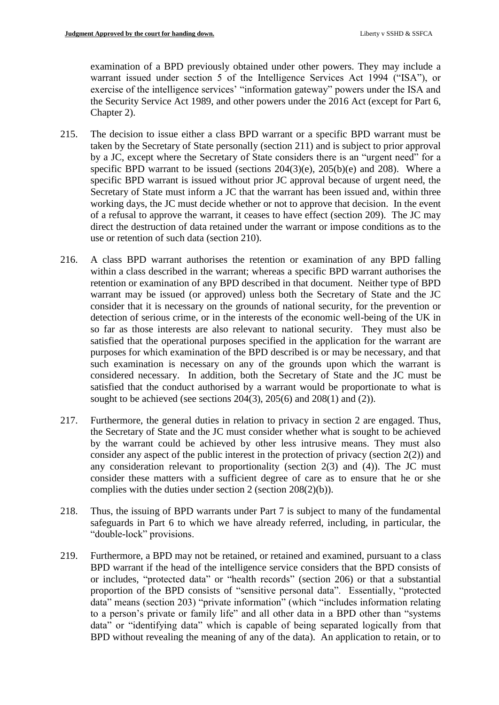examination of a BPD previously obtained under other powers. They may include a warrant issued under section 5 of the Intelligence Services Act 1994 ("ISA"), or exercise of the intelligence services' "information gateway" powers under the ISA and the Security Service Act 1989, and other powers under the 2016 Act (except for Part 6, Chapter 2).

- 215. The decision to issue either a class BPD warrant or a specific BPD warrant must be taken by the Secretary of State personally (section 211) and is subject to prior approval by a JC, except where the Secretary of State considers there is an "urgent need" for a specific BPD warrant to be issued (sections 204(3)(e), 205(b)(e) and 208). Where a specific BPD warrant is issued without prior JC approval because of urgent need, the Secretary of State must inform a JC that the warrant has been issued and, within three working days, the JC must decide whether or not to approve that decision. In the event of a refusal to approve the warrant, it ceases to have effect (section 209). The JC may direct the destruction of data retained under the warrant or impose conditions as to the use or retention of such data (section 210).
- 216. A class BPD warrant authorises the retention or examination of any BPD falling within a class described in the warrant; whereas a specific BPD warrant authorises the retention or examination of any BPD described in that document. Neither type of BPD warrant may be issued (or approved) unless both the Secretary of State and the JC consider that it is necessary on the grounds of national security, for the prevention or detection of serious crime, or in the interests of the economic well-being of the UK in so far as those interests are also relevant to national security. They must also be satisfied that the operational purposes specified in the application for the warrant are purposes for which examination of the BPD described is or may be necessary, and that such examination is necessary on any of the grounds upon which the warrant is considered necessary. In addition, both the Secretary of State and the JC must be satisfied that the conduct authorised by a warrant would be proportionate to what is sought to be achieved (see sections  $204(3)$ ,  $205(6)$  and  $208(1)$  and  $(2)$ ).
- 217. Furthermore, the general duties in relation to privacy in section 2 are engaged. Thus, the Secretary of State and the JC must consider whether what is sought to be achieved by the warrant could be achieved by other less intrusive means. They must also consider any aspect of the public interest in the protection of privacy (section 2(2)) and any consideration relevant to proportionality (section 2(3) and (4)). The JC must consider these matters with a sufficient degree of care as to ensure that he or she complies with the duties under section  $2$  (section  $208(2)(b)$ ).
- 218. Thus, the issuing of BPD warrants under Part 7 is subject to many of the fundamental safeguards in Part 6 to which we have already referred, including, in particular, the "double-lock" provisions.
- 219. Furthermore, a BPD may not be retained, or retained and examined, pursuant to a class BPD warrant if the head of the intelligence service considers that the BPD consists of or includes, "protected data" or "health records" (section 206) or that a substantial proportion of the BPD consists of "sensitive personal data". Essentially, "protected data" means (section 203) "private information" (which "includes information relating to a person's private or family life" and all other data in a BPD other than "systems data" or "identifying data" which is capable of being separated logically from that BPD without revealing the meaning of any of the data). An application to retain, or to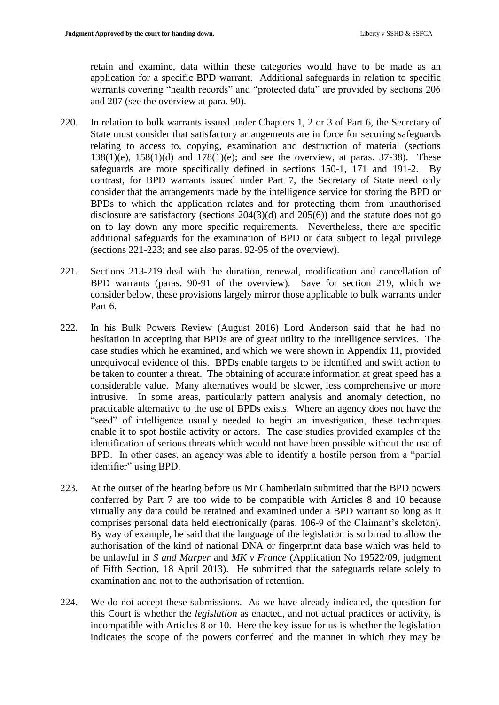retain and examine, data within these categories would have to be made as an application for a specific BPD warrant. Additional safeguards in relation to specific warrants covering "health records" and "protected data" are provided by sections 206 and 207 (see the overview at para. 90).

- 220. In relation to bulk warrants issued under Chapters 1, 2 or 3 of Part 6, the Secretary of State must consider that satisfactory arrangements are in force for securing safeguards relating to access to, copying, examination and destruction of material (sections  $138(1)(e)$ ,  $158(1)(d)$  and  $178(1)(e)$ ; and see the overview, at paras. 37-38). These safeguards are more specifically defined in sections 150-1, 171 and 191-2. By contrast, for BPD warrants issued under Part 7, the Secretary of State need only consider that the arrangements made by the intelligence service for storing the BPD or BPDs to which the application relates and for protecting them from unauthorised disclosure are satisfactory (sections 204(3)(d) and 205(6)) and the statute does not go on to lay down any more specific requirements. Nevertheless, there are specific additional safeguards for the examination of BPD or data subject to legal privilege (sections 221-223; and see also paras. 92-95 of the overview).
- 221. Sections 213-219 deal with the duration, renewal, modification and cancellation of BPD warrants (paras. 90-91 of the overview). Save for section 219, which we consider below, these provisions largely mirror those applicable to bulk warrants under Part 6.
- 222. In his Bulk Powers Review (August 2016) Lord Anderson said that he had no hesitation in accepting that BPDs are of great utility to the intelligence services. The case studies which he examined, and which we were shown in Appendix 11, provided unequivocal evidence of this. BPDs enable targets to be identified and swift action to be taken to counter a threat. The obtaining of accurate information at great speed has a considerable value. Many alternatives would be slower, less comprehensive or more intrusive. In some areas, particularly pattern analysis and anomaly detection, no practicable alternative to the use of BPDs exists. Where an agency does not have the "seed" of intelligence usually needed to begin an investigation, these techniques enable it to spot hostile activity or actors. The case studies provided examples of the identification of serious threats which would not have been possible without the use of BPD. In other cases, an agency was able to identify a hostile person from a "partial identifier" using BPD.
- 223. At the outset of the hearing before us Mr Chamberlain submitted that the BPD powers conferred by Part 7 are too wide to be compatible with Articles 8 and 10 because virtually any data could be retained and examined under a BPD warrant so long as it comprises personal data held electronically (paras. 106-9 of the Claimant's skeleton). By way of example, he said that the language of the legislation is so broad to allow the authorisation of the kind of national DNA or fingerprint data base which was held to be unlawful in *S and Marper* and *MK v France* (Application No 19522/09, judgment of Fifth Section, 18 April 2013). He submitted that the safeguards relate solely to examination and not to the authorisation of retention.
- 224. We do not accept these submissions. As we have already indicated, the question for this Court is whether the *legislation* as enacted, and not actual practices or activity, is incompatible with Articles 8 or 10. Here the key issue for us is whether the legislation indicates the scope of the powers conferred and the manner in which they may be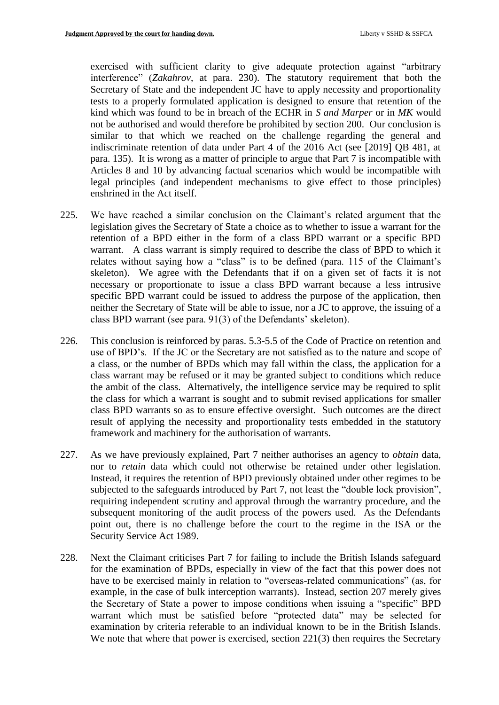exercised with sufficient clarity to give adequate protection against "arbitrary interference" (*Zakahrov*, at para. 230). The statutory requirement that both the Secretary of State and the independent JC have to apply necessity and proportionality tests to a properly formulated application is designed to ensure that retention of the kind which was found to be in breach of the ECHR in *S and Marper* or in *MK* would not be authorised and would therefore be prohibited by section 200. Our conclusion is similar to that which we reached on the challenge regarding the general and indiscriminate retention of data under Part 4 of the 2016 Act (see [2019] QB 481, at para. 135). It is wrong as a matter of principle to argue that Part 7 is incompatible with Articles 8 and 10 by advancing factual scenarios which would be incompatible with legal principles (and independent mechanisms to give effect to those principles) enshrined in the Act itself.

- 225. We have reached a similar conclusion on the Claimant's related argument that the legislation gives the Secretary of State a choice as to whether to issue a warrant for the retention of a BPD either in the form of a class BPD warrant or a specific BPD warrant. A class warrant is simply required to describe the class of BPD to which it relates without saying how a "class" is to be defined (para. 115 of the Claimant's skeleton). We agree with the Defendants that if on a given set of facts it is not necessary or proportionate to issue a class BPD warrant because a less intrusive specific BPD warrant could be issued to address the purpose of the application, then neither the Secretary of State will be able to issue, nor a JC to approve, the issuing of a class BPD warrant (see para. 91(3) of the Defendants' skeleton).
- 226. This conclusion is reinforced by paras. 5.3-5.5 of the Code of Practice on retention and use of BPD's. If the JC or the Secretary are not satisfied as to the nature and scope of a class, or the number of BPDs which may fall within the class, the application for a class warrant may be refused or it may be granted subject to conditions which reduce the ambit of the class. Alternatively, the intelligence service may be required to split the class for which a warrant is sought and to submit revised applications for smaller class BPD warrants so as to ensure effective oversight. Such outcomes are the direct result of applying the necessity and proportionality tests embedded in the statutory framework and machinery for the authorisation of warrants.
- 227. As we have previously explained, Part 7 neither authorises an agency to *obtain* data, nor to *retain* data which could not otherwise be retained under other legislation. Instead, it requires the retention of BPD previously obtained under other regimes to be subjected to the safeguards introduced by Part 7, not least the "double lock provision", requiring independent scrutiny and approval through the warrantry procedure, and the subsequent monitoring of the audit process of the powers used. As the Defendants point out, there is no challenge before the court to the regime in the ISA or the Security Service Act 1989.
- 228. Next the Claimant criticises Part 7 for failing to include the British Islands safeguard for the examination of BPDs, especially in view of the fact that this power does not have to be exercised mainly in relation to "overseas-related communications" (as, for example, in the case of bulk interception warrants). Instead, section 207 merely gives the Secretary of State a power to impose conditions when issuing a "specific" BPD warrant which must be satisfied before "protected data" may be selected for examination by criteria referable to an individual known to be in the British Islands. We note that where that power is exercised, section 221(3) then requires the Secretary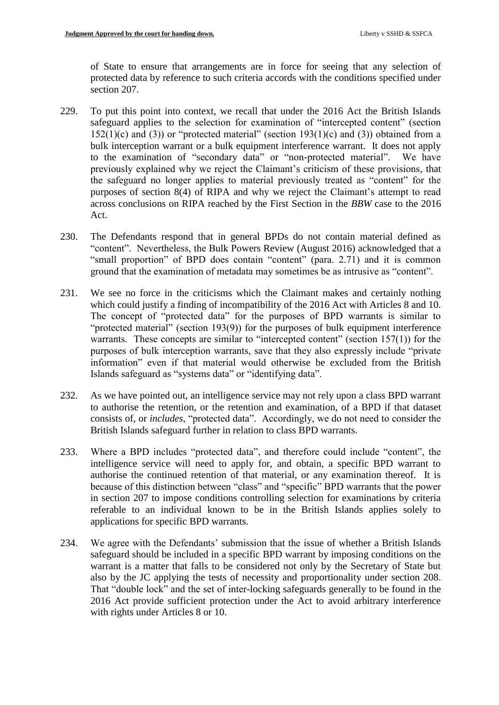of State to ensure that arrangements are in force for seeing that any selection of protected data by reference to such criteria accords with the conditions specified under section 207.

- 229. To put this point into context, we recall that under the 2016 Act the British Islands safeguard applies to the selection for examination of "intercepted content" (section  $152(1)(c)$  and (3)) or "protected material" (section 193(1)(c) and (3)) obtained from a bulk interception warrant or a bulk equipment interference warrant. It does not apply to the examination of "secondary data" or "non-protected material". We have previously explained why we reject the Claimant's criticism of these provisions, that the safeguard no longer applies to material previously treated as "content" for the purposes of section 8(4) of RIPA and why we reject the Claimant's attempt to read across conclusions on RIPA reached by the First Section in the *BBW* case to the 2016 Act.
- 230. The Defendants respond that in general BPDs do not contain material defined as "content". Nevertheless, the Bulk Powers Review (August 2016) acknowledged that a "small proportion" of BPD does contain "content" (para. 2.71) and it is common ground that the examination of metadata may sometimes be as intrusive as "content".
- 231. We see no force in the criticisms which the Claimant makes and certainly nothing which could justify a finding of incompatibility of the 2016 Act with Articles 8 and 10. The concept of "protected data" for the purposes of BPD warrants is similar to "protected material" (section 193(9)) for the purposes of bulk equipment interference warrants. These concepts are similar to "intercepted content" (section  $157(1)$ ) for the purposes of bulk interception warrants, save that they also expressly include "private information" even if that material would otherwise be excluded from the British Islands safeguard as "systems data" or "identifying data".
- 232. As we have pointed out, an intelligence service may not rely upon a class BPD warrant to authorise the retention, or the retention and examination, of a BPD if that dataset consists of, or *includes*, "protected data". Accordingly, we do not need to consider the British Islands safeguard further in relation to class BPD warrants.
- 233. Where a BPD includes "protected data", and therefore could include "content", the intelligence service will need to apply for, and obtain, a specific BPD warrant to authorise the continued retention of that material, or any examination thereof. It is because of this distinction between "class" and "specific" BPD warrants that the power in section 207 to impose conditions controlling selection for examinations by criteria referable to an individual known to be in the British Islands applies solely to applications for specific BPD warrants.
- 234. We agree with the Defendants' submission that the issue of whether a British Islands safeguard should be included in a specific BPD warrant by imposing conditions on the warrant is a matter that falls to be considered not only by the Secretary of State but also by the JC applying the tests of necessity and proportionality under section 208. That "double lock" and the set of inter-locking safeguards generally to be found in the 2016 Act provide sufficient protection under the Act to avoid arbitrary interference with rights under Articles 8 or 10.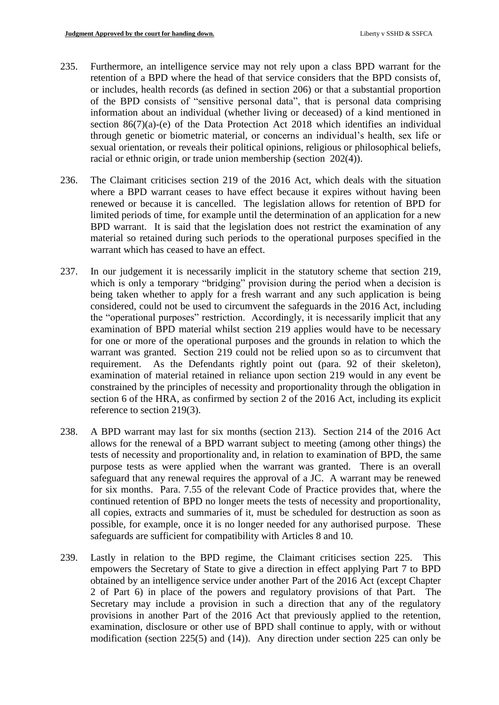- 235. Furthermore, an intelligence service may not rely upon a class BPD warrant for the retention of a BPD where the head of that service considers that the BPD consists of, or includes, health records (as defined in section 206) or that a substantial proportion of the BPD consists of "sensitive personal data", that is personal data comprising information about an individual (whether living or deceased) of a kind mentioned in section 86(7)(a)-(e) of the Data Protection Act 2018 which identifies an individual through genetic or biometric material, or concerns an individual's health, sex life or sexual orientation, or reveals their political opinions, religious or philosophical beliefs, racial or ethnic origin, or trade union membership (section 202(4)).
- 236. The Claimant criticises section 219 of the 2016 Act, which deals with the situation where a BPD warrant ceases to have effect because it expires without having been renewed or because it is cancelled. The legislation allows for retention of BPD for limited periods of time, for example until the determination of an application for a new BPD warrant. It is said that the legislation does not restrict the examination of any material so retained during such periods to the operational purposes specified in the warrant which has ceased to have an effect.
- 237. In our judgement it is necessarily implicit in the statutory scheme that section 219, which is only a temporary "bridging" provision during the period when a decision is being taken whether to apply for a fresh warrant and any such application is being considered, could not be used to circumvent the safeguards in the 2016 Act, including the "operational purposes" restriction. Accordingly, it is necessarily implicit that any examination of BPD material whilst section 219 applies would have to be necessary for one or more of the operational purposes and the grounds in relation to which the warrant was granted. Section 219 could not be relied upon so as to circumvent that requirement. As the Defendants rightly point out (para. 92 of their skeleton), examination of material retained in reliance upon section 219 would in any event be constrained by the principles of necessity and proportionality through the obligation in section 6 of the HRA, as confirmed by section 2 of the 2016 Act, including its explicit reference to section 219(3).
- 238. A BPD warrant may last for six months (section 213). Section 214 of the 2016 Act allows for the renewal of a BPD warrant subject to meeting (among other things) the tests of necessity and proportionality and, in relation to examination of BPD, the same purpose tests as were applied when the warrant was granted. There is an overall safeguard that any renewal requires the approval of a JC. A warrant may be renewed for six months. Para. 7.55 of the relevant Code of Practice provides that, where the continued retention of BPD no longer meets the tests of necessity and proportionality, all copies, extracts and summaries of it, must be scheduled for destruction as soon as possible, for example, once it is no longer needed for any authorised purpose. These safeguards are sufficient for compatibility with Articles 8 and 10.
- 239. Lastly in relation to the BPD regime, the Claimant criticises section 225. This empowers the Secretary of State to give a direction in effect applying Part 7 to BPD obtained by an intelligence service under another Part of the 2016 Act (except Chapter 2 of Part 6) in place of the powers and regulatory provisions of that Part. The Secretary may include a provision in such a direction that any of the regulatory provisions in another Part of the 2016 Act that previously applied to the retention, examination, disclosure or other use of BPD shall continue to apply, with or without modification (section 225(5) and (14)). Any direction under section 225 can only be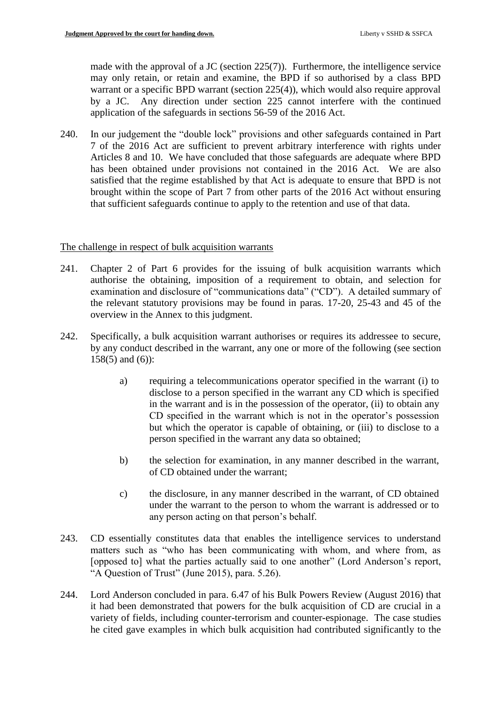made with the approval of a JC (section 225(7)). Furthermore, the intelligence service may only retain, or retain and examine, the BPD if so authorised by a class BPD warrant or a specific BPD warrant (section 225(4)), which would also require approval by a JC. Any direction under section 225 cannot interfere with the continued application of the safeguards in sections 56-59 of the 2016 Act.

240. In our judgement the "double lock" provisions and other safeguards contained in Part 7 of the 2016 Act are sufficient to prevent arbitrary interference with rights under Articles 8 and 10. We have concluded that those safeguards are adequate where BPD has been obtained under provisions not contained in the 2016 Act. We are also satisfied that the regime established by that Act is adequate to ensure that BPD is not brought within the scope of Part 7 from other parts of the 2016 Act without ensuring that sufficient safeguards continue to apply to the retention and use of that data.

# The challenge in respect of bulk acquisition warrants

- 241. Chapter 2 of Part 6 provides for the issuing of bulk acquisition warrants which authorise the obtaining, imposition of a requirement to obtain, and selection for examination and disclosure of "communications data" ("CD"). A detailed summary of the relevant statutory provisions may be found in paras. 17-20, 25-43 and 45 of the overview in the Annex to this judgment.
- 242. Specifically, a bulk acquisition warrant authorises or requires its addressee to secure, by any conduct described in the warrant, any one or more of the following (see section 158(5) and (6)):
	- a) requiring a telecommunications operator specified in the warrant (i) to disclose to a person specified in the warrant any CD which is specified in the warrant and is in the possession of the operator, (ii) to obtain any CD specified in the warrant which is not in the operator's possession but which the operator is capable of obtaining, or (iii) to disclose to a person specified in the warrant any data so obtained;
	- b) the selection for examination, in any manner described in the warrant, of CD obtained under the warrant;
	- c) the disclosure, in any manner described in the warrant, of CD obtained under the warrant to the person to whom the warrant is addressed or to any person acting on that person's behalf.
- 243. CD essentially constitutes data that enables the intelligence services to understand matters such as "who has been communicating with whom, and where from, as [opposed to] what the parties actually said to one another" (Lord Anderson's report, "A Question of Trust" (June 2015), para. 5.26).
- 244. Lord Anderson concluded in para. 6.47 of his Bulk Powers Review (August 2016) that it had been demonstrated that powers for the bulk acquisition of CD are crucial in a variety of fields, including counter-terrorism and counter-espionage. The case studies he cited gave examples in which bulk acquisition had contributed significantly to the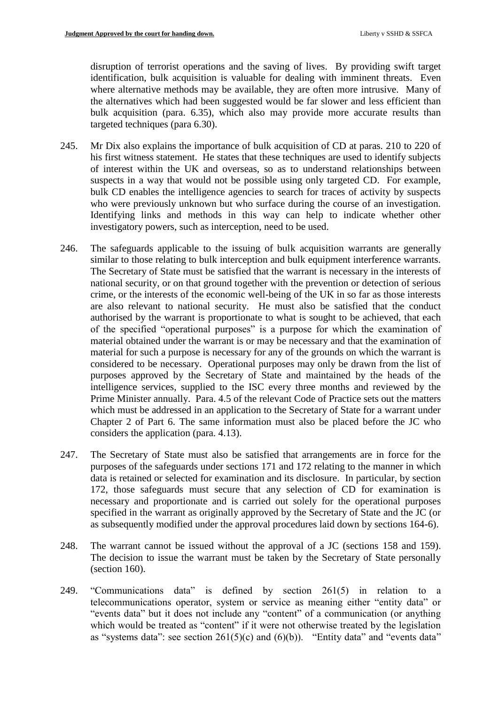disruption of terrorist operations and the saving of lives. By providing swift target identification, bulk acquisition is valuable for dealing with imminent threats. Even where alternative methods may be available, they are often more intrusive. Many of the alternatives which had been suggested would be far slower and less efficient than bulk acquisition (para. 6.35), which also may provide more accurate results than targeted techniques (para 6.30).

- 245. Mr Dix also explains the importance of bulk acquisition of CD at paras. 210 to 220 of his first witness statement. He states that these techniques are used to identify subjects of interest within the UK and overseas, so as to understand relationships between suspects in a way that would not be possible using only targeted CD. For example, bulk CD enables the intelligence agencies to search for traces of activity by suspects who were previously unknown but who surface during the course of an investigation. Identifying links and methods in this way can help to indicate whether other investigatory powers, such as interception, need to be used.
- 246. The safeguards applicable to the issuing of bulk acquisition warrants are generally similar to those relating to bulk interception and bulk equipment interference warrants. The Secretary of State must be satisfied that the warrant is necessary in the interests of national security, or on that ground together with the prevention or detection of serious crime, or the interests of the economic well-being of the UK in so far as those interests are also relevant to national security. He must also be satisfied that the conduct authorised by the warrant is proportionate to what is sought to be achieved, that each of the specified "operational purposes" is a purpose for which the examination of material obtained under the warrant is or may be necessary and that the examination of material for such a purpose is necessary for any of the grounds on which the warrant is considered to be necessary. Operational purposes may only be drawn from the list of purposes approved by the Secretary of State and maintained by the heads of the intelligence services, supplied to the ISC every three months and reviewed by the Prime Minister annually. Para. 4.5 of the relevant Code of Practice sets out the matters which must be addressed in an application to the Secretary of State for a warrant under Chapter 2 of Part 6. The same information must also be placed before the JC who considers the application (para. 4.13).
- 247. The Secretary of State must also be satisfied that arrangements are in force for the purposes of the safeguards under sections 171 and 172 relating to the manner in which data is retained or selected for examination and its disclosure. In particular, by section 172, those safeguards must secure that any selection of CD for examination is necessary and proportionate and is carried out solely for the operational purposes specified in the warrant as originally approved by the Secretary of State and the JC (or as subsequently modified under the approval procedures laid down by sections 164-6).
- 248. The warrant cannot be issued without the approval of a JC (sections 158 and 159). The decision to issue the warrant must be taken by the Secretary of State personally (section 160).
- 249. "Communications data" is defined by section 261(5) in relation to a telecommunications operator, system or service as meaning either "entity data" or "events data" but it does not include any "content" of a communication (or anything which would be treated as "content" if it were not otherwise treated by the legislation as "systems data": see section  $261(5)(c)$  and  $(6)(b)$ ). "Entity data" and "events data"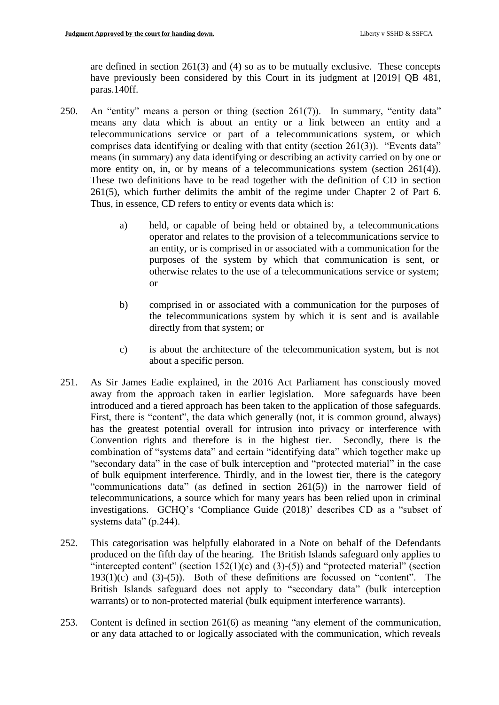are defined in section 261(3) and (4) so as to be mutually exclusive. These concepts have previously been considered by this Court in its judgment at [2019] QB 481, paras.140ff.

- 250. An "entity" means a person or thing (section 261(7)). In summary, "entity data" means any data which is about an entity or a link between an entity and a telecommunications service or part of a telecommunications system, or which comprises data identifying or dealing with that entity (section 261(3)). "Events data" means (in summary) any data identifying or describing an activity carried on by one or more entity on, in, or by means of a telecommunications system (section 261(4)). These two definitions have to be read together with the definition of CD in section 261(5), which further delimits the ambit of the regime under Chapter 2 of Part 6. Thus, in essence, CD refers to entity or events data which is:
	- a) held, or capable of being held or obtained by, a telecommunications operator and relates to the provision of a telecommunications service to an entity, or is comprised in or associated with a communication for the purposes of the system by which that communication is sent, or otherwise relates to the use of a telecommunications service or system; or
	- b) comprised in or associated with a communication for the purposes of the telecommunications system by which it is sent and is available directly from that system; or
	- c) is about the architecture of the telecommunication system, but is not about a specific person.
- 251. As Sir James Eadie explained, in the 2016 Act Parliament has consciously moved away from the approach taken in earlier legislation. More safeguards have been introduced and a tiered approach has been taken to the application of those safeguards. First, there is "content", the data which generally (not, it is common ground, always) has the greatest potential overall for intrusion into privacy or interference with Convention rights and therefore is in the highest tier. Secondly, there is the combination of "systems data" and certain "identifying data" which together make up "secondary data" in the case of bulk interception and "protected material" in the case of bulk equipment interference. Thirdly, and in the lowest tier, there is the category "communications data" (as defined in section 261(5)) in the narrower field of telecommunications, a source which for many years has been relied upon in criminal investigations. GCHQ's 'Compliance Guide (2018)' describes CD as a "subset of systems data" (p.244).
- 252. This categorisation was helpfully elaborated in a Note on behalf of the Defendants produced on the fifth day of the hearing. The British Islands safeguard only applies to "intercepted content" (section  $152(1)(c)$  and  $(3)-(5)$ ) and "protected material" (section  $193(1)(c)$  and  $(3)-(5)$ ). Both of these definitions are focussed on "content". The British Islands safeguard does not apply to "secondary data" (bulk interception warrants) or to non-protected material (bulk equipment interference warrants).
- 253. Content is defined in section 261(6) as meaning "any element of the communication, or any data attached to or logically associated with the communication, which reveals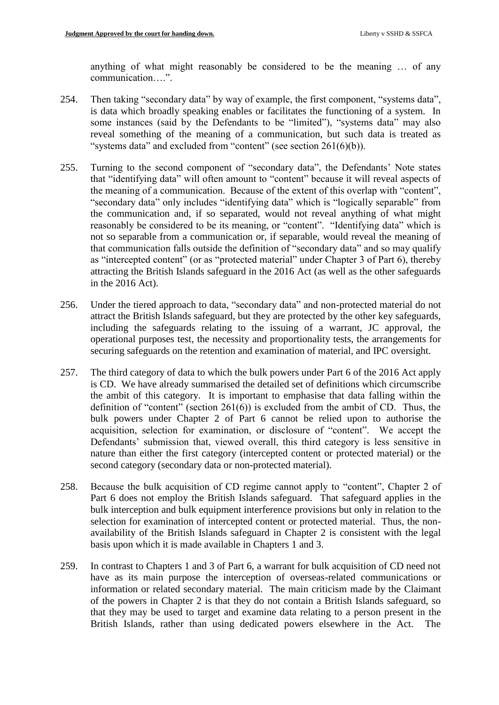anything of what might reasonably be considered to be the meaning … of any communication….".

- 254. Then taking "secondary data" by way of example, the first component, "systems data", is data which broadly speaking enables or facilitates the functioning of a system. In some instances (said by the Defendants to be "limited"), "systems data" may also reveal something of the meaning of a communication, but such data is treated as "systems data" and excluded from "content" (see section 261(6)(b)).
- 255. Turning to the second component of "secondary data", the Defendants' Note states that "identifying data" will often amount to "content" because it will reveal aspects of the meaning of a communication. Because of the extent of this overlap with "content", "secondary data" only includes "identifying data" which is "logically separable" from the communication and, if so separated, would not reveal anything of what might reasonably be considered to be its meaning, or "content". "Identifying data" which is not so separable from a communication or, if separable, would reveal the meaning of that communication falls outside the definition of "secondary data" and so may qualify as "intercepted content" (or as "protected material" under Chapter 3 of Part 6), thereby attracting the British Islands safeguard in the 2016 Act (as well as the other safeguards in the 2016 Act).
- 256. Under the tiered approach to data, "secondary data" and non-protected material do not attract the British Islands safeguard, but they are protected by the other key safeguards, including the safeguards relating to the issuing of a warrant, JC approval, the operational purposes test, the necessity and proportionality tests, the arrangements for securing safeguards on the retention and examination of material, and IPC oversight.
- 257. The third category of data to which the bulk powers under Part 6 of the 2016 Act apply is CD. We have already summarised the detailed set of definitions which circumscribe the ambit of this category. It is important to emphasise that data falling within the definition of "content" (section 261(6)) is excluded from the ambit of CD. Thus, the bulk powers under Chapter 2 of Part 6 cannot be relied upon to authorise the acquisition, selection for examination, or disclosure of "content". We accept the Defendants' submission that, viewed overall, this third category is less sensitive in nature than either the first category (intercepted content or protected material) or the second category (secondary data or non-protected material).
- 258. Because the bulk acquisition of CD regime cannot apply to "content", Chapter 2 of Part 6 does not employ the British Islands safeguard. That safeguard applies in the bulk interception and bulk equipment interference provisions but only in relation to the selection for examination of intercepted content or protected material. Thus, the nonavailability of the British Islands safeguard in Chapter 2 is consistent with the legal basis upon which it is made available in Chapters 1 and 3.
- 259. In contrast to Chapters 1 and 3 of Part 6, a warrant for bulk acquisition of CD need not have as its main purpose the interception of overseas-related communications or information or related secondary material. The main criticism made by the Claimant of the powers in Chapter 2 is that they do not contain a British Islands safeguard, so that they may be used to target and examine data relating to a person present in the British Islands, rather than using dedicated powers elsewhere in the Act. The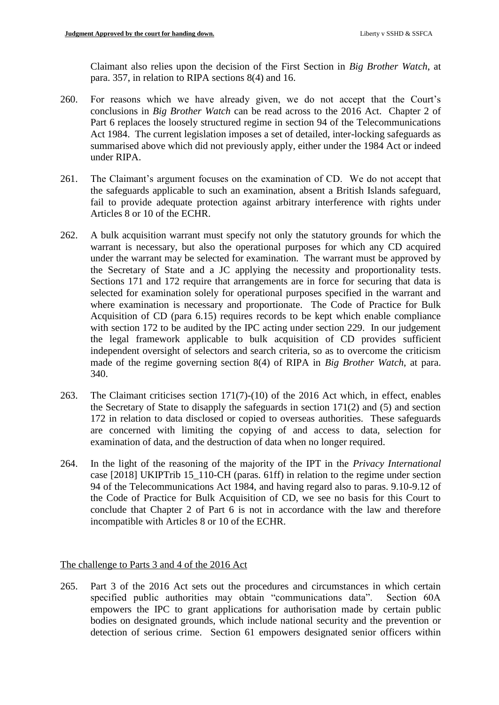Claimant also relies upon the decision of the First Section in *Big Brother Watch*, at para. 357, in relation to RIPA sections 8(4) and 16.

- 260. For reasons which we have already given, we do not accept that the Court's conclusions in *Big Brother Watch* can be read across to the 2016 Act. Chapter 2 of Part 6 replaces the loosely structured regime in section 94 of the Telecommunications Act 1984. The current legislation imposes a set of detailed, inter-locking safeguards as summarised above which did not previously apply, either under the 1984 Act or indeed under RIPA.
- 261. The Claimant's argument focuses on the examination of CD. We do not accept that the safeguards applicable to such an examination, absent a British Islands safeguard, fail to provide adequate protection against arbitrary interference with rights under Articles 8 or 10 of the ECHR.
- 262. A bulk acquisition warrant must specify not only the statutory grounds for which the warrant is necessary, but also the operational purposes for which any CD acquired under the warrant may be selected for examination. The warrant must be approved by the Secretary of State and a JC applying the necessity and proportionality tests. Sections 171 and 172 require that arrangements are in force for securing that data is selected for examination solely for operational purposes specified in the warrant and where examination is necessary and proportionate. The Code of Practice for Bulk Acquisition of CD (para 6.15) requires records to be kept which enable compliance with section 172 to be audited by the IPC acting under section 229. In our judgement the legal framework applicable to bulk acquisition of CD provides sufficient independent oversight of selectors and search criteria, so as to overcome the criticism made of the regime governing section 8(4) of RIPA in *Big Brother Watch*, at para. 340.
- 263. The Claimant criticises section 171(7)-(10) of the 2016 Act which, in effect, enables the Secretary of State to disapply the safeguards in section 171(2) and (5) and section 172 in relation to data disclosed or copied to overseas authorities. These safeguards are concerned with limiting the copying of and access to data, selection for examination of data, and the destruction of data when no longer required.
- 264. In the light of the reasoning of the majority of the IPT in the *Privacy International* case [2018] UKIPTrib 15\_110-CH (paras. 61ff) in relation to the regime under section 94 of the Telecommunications Act 1984, and having regard also to paras. 9.10-9.12 of the Code of Practice for Bulk Acquisition of CD, we see no basis for this Court to conclude that Chapter 2 of Part 6 is not in accordance with the law and therefore incompatible with Articles 8 or 10 of the ECHR.

The challenge to Parts 3 and 4 of the 2016 Act

265. Part 3 of the 2016 Act sets out the procedures and circumstances in which certain specified public authorities may obtain "communications data". Section 60A empowers the IPC to grant applications for authorisation made by certain public bodies on designated grounds, which include national security and the prevention or detection of serious crime. Section 61 empowers designated senior officers within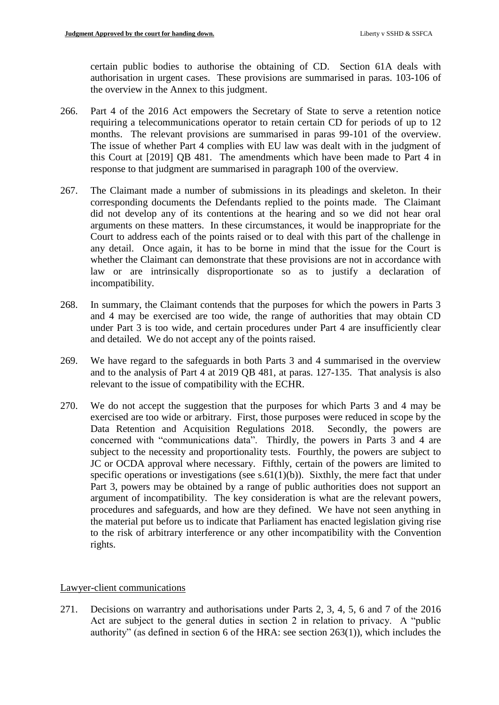certain public bodies to authorise the obtaining of CD. Section 61A deals with authorisation in urgent cases. These provisions are summarised in paras. 103-106 of the overview in the Annex to this judgment.

- 266. Part 4 of the 2016 Act empowers the Secretary of State to serve a retention notice requiring a telecommunications operator to retain certain CD for periods of up to 12 months. The relevant provisions are summarised in paras 99-101 of the overview. The issue of whether Part 4 complies with EU law was dealt with in the judgment of this Court at [2019] QB 481. The amendments which have been made to Part 4 in response to that judgment are summarised in paragraph 100 of the overview.
- 267. The Claimant made a number of submissions in its pleadings and skeleton. In their corresponding documents the Defendants replied to the points made. The Claimant did not develop any of its contentions at the hearing and so we did not hear oral arguments on these matters. In these circumstances, it would be inappropriate for the Court to address each of the points raised or to deal with this part of the challenge in any detail. Once again, it has to be borne in mind that the issue for the Court is whether the Claimant can demonstrate that these provisions are not in accordance with law or are intrinsically disproportionate so as to justify a declaration of incompatibility.
- 268. In summary, the Claimant contends that the purposes for which the powers in Parts 3 and 4 may be exercised are too wide, the range of authorities that may obtain CD under Part 3 is too wide, and certain procedures under Part 4 are insufficiently clear and detailed. We do not accept any of the points raised.
- 269. We have regard to the safeguards in both Parts 3 and 4 summarised in the overview and to the analysis of Part 4 at 2019 QB 481, at paras. 127-135. That analysis is also relevant to the issue of compatibility with the ECHR.
- 270. We do not accept the suggestion that the purposes for which Parts 3 and 4 may be exercised are too wide or arbitrary. First, those purposes were reduced in scope by the Data Retention and Acquisition Regulations 2018. Secondly, the powers are concerned with "communications data". Thirdly, the powers in Parts 3 and 4 are subject to the necessity and proportionality tests. Fourthly, the powers are subject to JC or OCDA approval where necessary. Fifthly, certain of the powers are limited to specific operations or investigations (see  $s.61(1)(b)$ ). Sixthly, the mere fact that under Part 3, powers may be obtained by a range of public authorities does not support an argument of incompatibility. The key consideration is what are the relevant powers, procedures and safeguards, and how are they defined. We have not seen anything in the material put before us to indicate that Parliament has enacted legislation giving rise to the risk of arbitrary interference or any other incompatibility with the Convention rights.

# Lawyer-client communications

271. Decisions on warrantry and authorisations under Parts 2, 3, 4, 5, 6 and 7 of the 2016 Act are subject to the general duties in section 2 in relation to privacy. A "public authority" (as defined in section 6 of the HRA: see section 263(1)), which includes the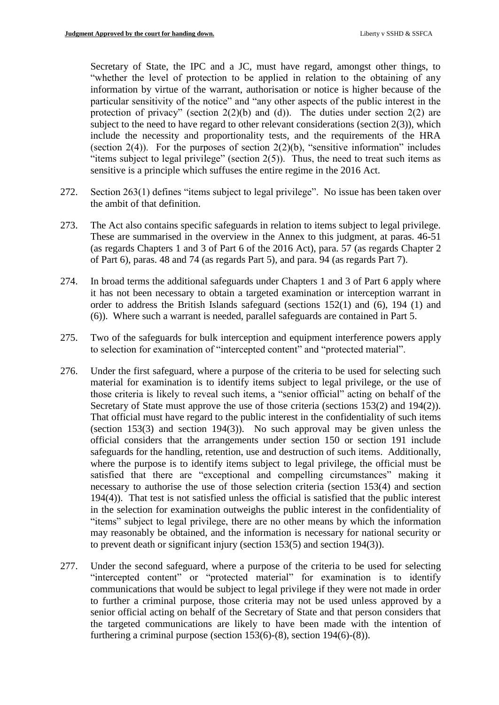Secretary of State, the IPC and a JC, must have regard, amongst other things, to "whether the level of protection to be applied in relation to the obtaining of any information by virtue of the warrant, authorisation or notice is higher because of the particular sensitivity of the notice" and "any other aspects of the public interest in the protection of privacy" (section  $2(2)(b)$  and (d)). The duties under section  $2(2)$  are subject to the need to have regard to other relevant considerations (section  $2(3)$ ), which include the necessity and proportionality tests, and the requirements of the HRA (section  $2(4)$ ). For the purposes of section  $2(2)(b)$ , "sensitive information" includes "items subject to legal privilege" (section  $2(5)$ ). Thus, the need to treat such items as sensitive is a principle which suffuses the entire regime in the 2016 Act.

- 272. Section 263(1) defines "items subject to legal privilege". No issue has been taken over the ambit of that definition.
- 273. The Act also contains specific safeguards in relation to items subject to legal privilege. These are summarised in the overview in the Annex to this judgment, at paras. 46-51 (as regards Chapters 1 and 3 of Part 6 of the 2016 Act), para. 57 (as regards Chapter 2 of Part 6), paras. 48 and 74 (as regards Part 5), and para. 94 (as regards Part 7).
- 274. In broad terms the additional safeguards under Chapters 1 and 3 of Part 6 apply where it has not been necessary to obtain a targeted examination or interception warrant in order to address the British Islands safeguard (sections 152(1) and (6), 194 (1) and (6)). Where such a warrant is needed, parallel safeguards are contained in Part 5.
- 275. Two of the safeguards for bulk interception and equipment interference powers apply to selection for examination of "intercepted content" and "protected material".
- 276. Under the first safeguard, where a purpose of the criteria to be used for selecting such material for examination is to identify items subject to legal privilege, or the use of those criteria is likely to reveal such items, a "senior official" acting on behalf of the Secretary of State must approve the use of those criteria (sections 153(2) and 194(2)). That official must have regard to the public interest in the confidentiality of such items (section 153(3) and section 194(3)). No such approval may be given unless the official considers that the arrangements under section 150 or section 191 include safeguards for the handling, retention, use and destruction of such items. Additionally, where the purpose is to identify items subject to legal privilege, the official must be satisfied that there are "exceptional and compelling circumstances" making it necessary to authorise the use of those selection criteria (section 153(4) and section 194(4)). That test is not satisfied unless the official is satisfied that the public interest in the selection for examination outweighs the public interest in the confidentiality of "items" subject to legal privilege, there are no other means by which the information may reasonably be obtained, and the information is necessary for national security or to prevent death or significant injury (section 153(5) and section 194(3)).
- 277. Under the second safeguard, where a purpose of the criteria to be used for selecting "intercepted content" or "protected material" for examination is to identify communications that would be subject to legal privilege if they were not made in order to further a criminal purpose, those criteria may not be used unless approved by a senior official acting on behalf of the Secretary of State and that person considers that the targeted communications are likely to have been made with the intention of furthering a criminal purpose (section 153(6)-(8), section 194(6)-(8)).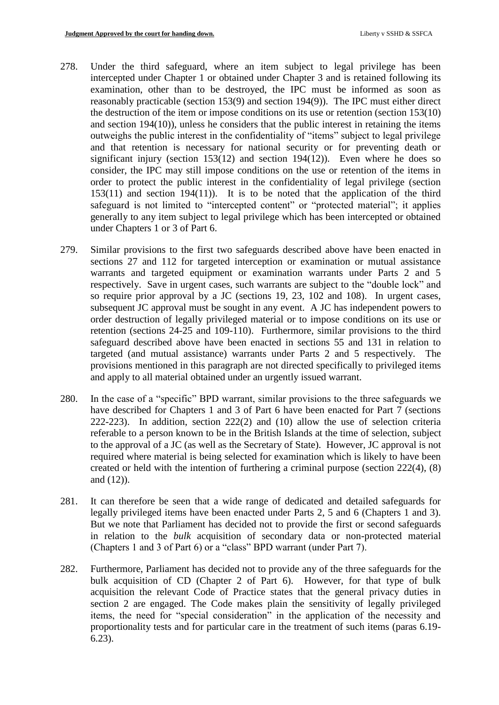- 278. Under the third safeguard, where an item subject to legal privilege has been intercepted under Chapter 1 or obtained under Chapter 3 and is retained following its examination, other than to be destroyed, the IPC must be informed as soon as reasonably practicable (section 153(9) and section 194(9)). The IPC must either direct the destruction of the item or impose conditions on its use or retention (section 153(10) and section 194(10)), unless he considers that the public interest in retaining the items outweighs the public interest in the confidentiality of "items" subject to legal privilege and that retention is necessary for national security or for preventing death or significant injury (section  $153(12)$  and section  $194(12)$ ). Even where he does so consider, the IPC may still impose conditions on the use or retention of the items in order to protect the public interest in the confidentiality of legal privilege (section  $153(11)$  and section  $194(11)$ ). It is to be noted that the application of the third safeguard is not limited to "intercepted content" or "protected material"; it applies generally to any item subject to legal privilege which has been intercepted or obtained under Chapters 1 or 3 of Part 6.
- 279. Similar provisions to the first two safeguards described above have been enacted in sections 27 and 112 for targeted interception or examination or mutual assistance warrants and targeted equipment or examination warrants under Parts 2 and 5 respectively. Save in urgent cases, such warrants are subject to the "double lock" and so require prior approval by a JC (sections 19, 23, 102 and 108). In urgent cases, subsequent JC approval must be sought in any event. A JC has independent powers to order destruction of legally privileged material or to impose conditions on its use or retention (sections 24-25 and 109-110). Furthermore, similar provisions to the third safeguard described above have been enacted in sections 55 and 131 in relation to targeted (and mutual assistance) warrants under Parts 2 and 5 respectively. The provisions mentioned in this paragraph are not directed specifically to privileged items and apply to all material obtained under an urgently issued warrant.
- 280. In the case of a "specific" BPD warrant, similar provisions to the three safeguards we have described for Chapters 1 and 3 of Part 6 have been enacted for Part 7 (sections 222-223). In addition, section 222(2) and (10) allow the use of selection criteria referable to a person known to be in the British Islands at the time of selection, subject to the approval of a JC (as well as the Secretary of State). However, JC approval is not required where material is being selected for examination which is likely to have been created or held with the intention of furthering a criminal purpose (section 222(4), (8) and (12)).
- 281. It can therefore be seen that a wide range of dedicated and detailed safeguards for legally privileged items have been enacted under Parts 2, 5 and 6 (Chapters 1 and 3). But we note that Parliament has decided not to provide the first or second safeguards in relation to the *bulk* acquisition of secondary data or non-protected material (Chapters 1 and 3 of Part 6) or a "class" BPD warrant (under Part 7).
- 282. Furthermore, Parliament has decided not to provide any of the three safeguards for the bulk acquisition of CD (Chapter 2 of Part 6). However, for that type of bulk acquisition the relevant Code of Practice states that the general privacy duties in section 2 are engaged. The Code makes plain the sensitivity of legally privileged items, the need for "special consideration" in the application of the necessity and proportionality tests and for particular care in the treatment of such items (paras 6.19- 6.23).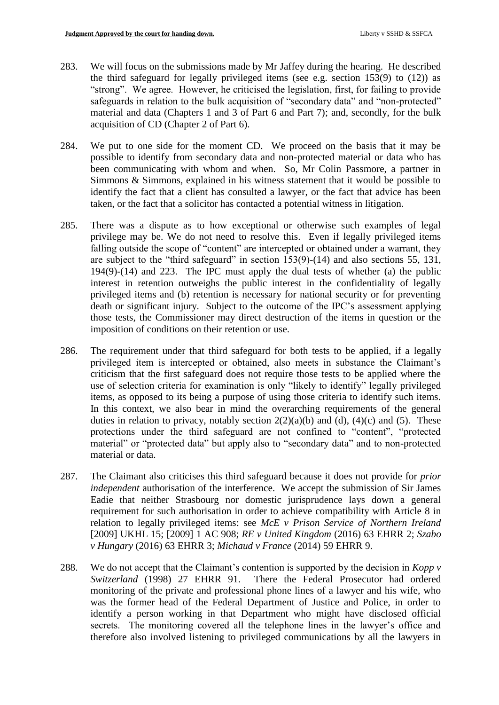- 283. We will focus on the submissions made by Mr Jaffey during the hearing. He described the third safeguard for legally privileged items (see e.g. section 153(9) to (12)) as "strong". We agree. However, he criticised the legislation, first, for failing to provide safeguards in relation to the bulk acquisition of "secondary data" and "non-protected" material and data (Chapters 1 and 3 of Part 6 and Part 7); and, secondly, for the bulk acquisition of CD (Chapter 2 of Part 6).
- 284. We put to one side for the moment CD. We proceed on the basis that it may be possible to identify from secondary data and non-protected material or data who has been communicating with whom and when. So, Mr Colin Passmore, a partner in Simmons & Simmons, explained in his witness statement that it would be possible to identify the fact that a client has consulted a lawyer, or the fact that advice has been taken, or the fact that a solicitor has contacted a potential witness in litigation.
- 285. There was a dispute as to how exceptional or otherwise such examples of legal privilege may be. We do not need to resolve this. Even if legally privileged items falling outside the scope of "content" are intercepted or obtained under a warrant, they are subject to the "third safeguard" in section 153(9)-(14) and also sections 55, 131, 194(9)-(14) and 223. The IPC must apply the dual tests of whether (a) the public interest in retention outweighs the public interest in the confidentiality of legally privileged items and (b) retention is necessary for national security or for preventing death or significant injury. Subject to the outcome of the IPC's assessment applying those tests, the Commissioner may direct destruction of the items in question or the imposition of conditions on their retention or use.
- 286. The requirement under that third safeguard for both tests to be applied, if a legally privileged item is intercepted or obtained, also meets in substance the Claimant's criticism that the first safeguard does not require those tests to be applied where the use of selection criteria for examination is only "likely to identify" legally privileged items, as opposed to its being a purpose of using those criteria to identify such items. In this context, we also bear in mind the overarching requirements of the general duties in relation to privacy, notably section  $2(2)(a)(b)$  and  $(d)$ ,  $(4)(c)$  and  $(5)$ . These protections under the third safeguard are not confined to "content", "protected material" or "protected data" but apply also to "secondary data" and to non-protected material or data.
- 287. The Claimant also criticises this third safeguard because it does not provide for *prior independent* authorisation of the interference. We accept the submission of Sir James Eadie that neither Strasbourg nor domestic jurisprudence lays down a general requirement for such authorisation in order to achieve compatibility with Article 8 in relation to legally privileged items: see *McE v Prison Service of Northern Ireland* [2009] UKHL 15; [2009] 1 AC 908; *RE v United Kingdom* (2016) 63 EHRR 2; *Szabo v Hungary* (2016) 63 EHRR 3; *Michaud v France* (2014) 59 EHRR 9.
- 288. We do not accept that the Claimant's contention is supported by the decision in *Kopp v Switzerland* (1998) 27 EHRR 91. There the Federal Prosecutor had ordered monitoring of the private and professional phone lines of a lawyer and his wife, who was the former head of the Federal Department of Justice and Police, in order to identify a person working in that Department who might have disclosed official secrets. The monitoring covered all the telephone lines in the lawyer's office and therefore also involved listening to privileged communications by all the lawyers in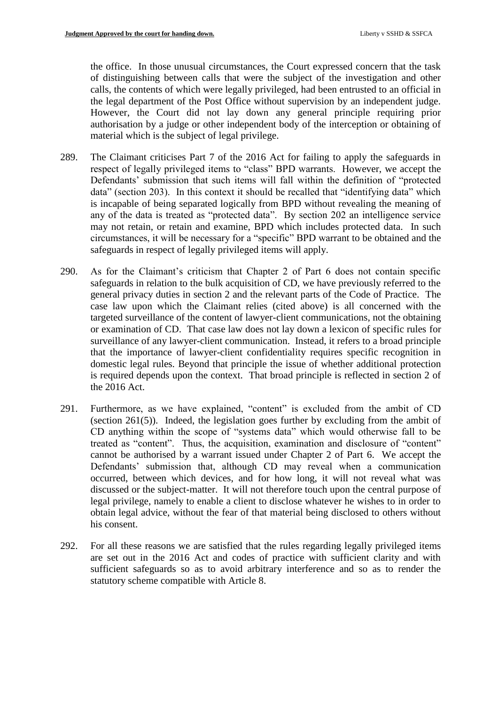the office. In those unusual circumstances, the Court expressed concern that the task of distinguishing between calls that were the subject of the investigation and other calls, the contents of which were legally privileged, had been entrusted to an official in the legal department of the Post Office without supervision by an independent judge. However, the Court did not lay down any general principle requiring prior authorisation by a judge or other independent body of the interception or obtaining of material which is the subject of legal privilege.

- 289. The Claimant criticises Part 7 of the 2016 Act for failing to apply the safeguards in respect of legally privileged items to "class" BPD warrants. However, we accept the Defendants' submission that such items will fall within the definition of "protected data" (section 203). In this context it should be recalled that "identifying data" which is incapable of being separated logically from BPD without revealing the meaning of any of the data is treated as "protected data". By section 202 an intelligence service may not retain, or retain and examine, BPD which includes protected data. In such circumstances, it will be necessary for a "specific" BPD warrant to be obtained and the safeguards in respect of legally privileged items will apply.
- 290. As for the Claimant's criticism that Chapter 2 of Part 6 does not contain specific safeguards in relation to the bulk acquisition of CD, we have previously referred to the general privacy duties in section 2 and the relevant parts of the Code of Practice. The case law upon which the Claimant relies (cited above) is all concerned with the targeted surveillance of the content of lawyer-client communications, not the obtaining or examination of CD. That case law does not lay down a lexicon of specific rules for surveillance of any lawyer-client communication. Instead, it refers to a broad principle that the importance of lawyer-client confidentiality requires specific recognition in domestic legal rules. Beyond that principle the issue of whether additional protection is required depends upon the context. That broad principle is reflected in section 2 of the 2016 Act.
- 291. Furthermore, as we have explained, "content" is excluded from the ambit of CD (section 261(5)). Indeed, the legislation goes further by excluding from the ambit of CD anything within the scope of "systems data" which would otherwise fall to be treated as "content". Thus, the acquisition, examination and disclosure of "content" cannot be authorised by a warrant issued under Chapter 2 of Part 6. We accept the Defendants' submission that, although CD may reveal when a communication occurred, between which devices, and for how long, it will not reveal what was discussed or the subject-matter. It will not therefore touch upon the central purpose of legal privilege, namely to enable a client to disclose whatever he wishes to in order to obtain legal advice, without the fear of that material being disclosed to others without his consent.
- 292. For all these reasons we are satisfied that the rules regarding legally privileged items are set out in the 2016 Act and codes of practice with sufficient clarity and with sufficient safeguards so as to avoid arbitrary interference and so as to render the statutory scheme compatible with Article 8.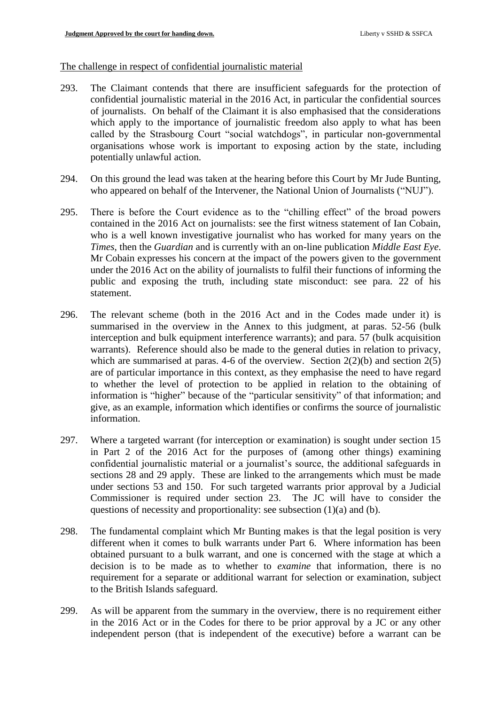### The challenge in respect of confidential journalistic material

- 293. The Claimant contends that there are insufficient safeguards for the protection of confidential journalistic material in the 2016 Act, in particular the confidential sources of journalists. On behalf of the Claimant it is also emphasised that the considerations which apply to the importance of journalistic freedom also apply to what has been called by the Strasbourg Court "social watchdogs", in particular non-governmental organisations whose work is important to exposing action by the state, including potentially unlawful action.
- 294. On this ground the lead was taken at the hearing before this Court by Mr Jude Bunting, who appeared on behalf of the Intervener, the National Union of Journalists ("NUJ").
- 295. There is before the Court evidence as to the "chilling effect" of the broad powers contained in the 2016 Act on journalists: see the first witness statement of Ian Cobain, who is a well known investigative journalist who has worked for many years on the *Times*, then the *Guardian* and is currently with an on-line publication *Middle East Eye*. Mr Cobain expresses his concern at the impact of the powers given to the government under the 2016 Act on the ability of journalists to fulfil their functions of informing the public and exposing the truth, including state misconduct: see para. 22 of his statement.
- 296. The relevant scheme (both in the 2016 Act and in the Codes made under it) is summarised in the overview in the Annex to this judgment, at paras. 52-56 (bulk interception and bulk equipment interference warrants); and para. 57 (bulk acquisition warrants). Reference should also be made to the general duties in relation to privacy, which are summarised at paras. 4-6 of the overview. Section  $2(2)(b)$  and section  $2(5)$ are of particular importance in this context, as they emphasise the need to have regard to whether the level of protection to be applied in relation to the obtaining of information is "higher" because of the "particular sensitivity" of that information; and give, as an example, information which identifies or confirms the source of journalistic information.
- 297. Where a targeted warrant (for interception or examination) is sought under section 15 in Part 2 of the 2016 Act for the purposes of (among other things) examining confidential journalistic material or a journalist's source, the additional safeguards in sections 28 and 29 apply. These are linked to the arrangements which must be made under sections 53 and 150. For such targeted warrants prior approval by a Judicial Commissioner is required under section 23. The JC will have to consider the questions of necessity and proportionality: see subsection (1)(a) and (b).
- 298. The fundamental complaint which Mr Bunting makes is that the legal position is very different when it comes to bulk warrants under Part 6. Where information has been obtained pursuant to a bulk warrant, and one is concerned with the stage at which a decision is to be made as to whether to *examine* that information, there is no requirement for a separate or additional warrant for selection or examination, subject to the British Islands safeguard.
- 299. As will be apparent from the summary in the overview, there is no requirement either in the 2016 Act or in the Codes for there to be prior approval by a JC or any other independent person (that is independent of the executive) before a warrant can be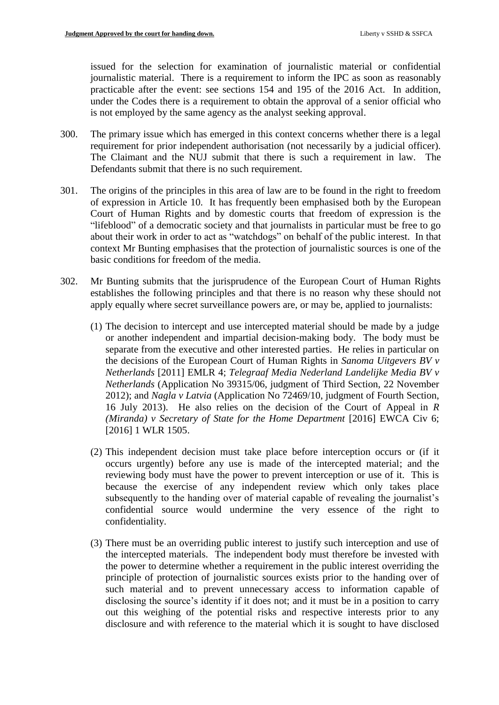issued for the selection for examination of journalistic material or confidential journalistic material. There is a requirement to inform the IPC as soon as reasonably practicable after the event: see sections 154 and 195 of the 2016 Act. In addition, under the Codes there is a requirement to obtain the approval of a senior official who is not employed by the same agency as the analyst seeking approval.

- 300. The primary issue which has emerged in this context concerns whether there is a legal requirement for prior independent authorisation (not necessarily by a judicial officer). The Claimant and the NUJ submit that there is such a requirement in law. The Defendants submit that there is no such requirement.
- 301. The origins of the principles in this area of law are to be found in the right to freedom of expression in Article 10. It has frequently been emphasised both by the European Court of Human Rights and by domestic courts that freedom of expression is the "lifeblood" of a democratic society and that journalists in particular must be free to go about their work in order to act as "watchdogs" on behalf of the public interest. In that context Mr Bunting emphasises that the protection of journalistic sources is one of the basic conditions for freedom of the media.
- 302. Mr Bunting submits that the jurisprudence of the European Court of Human Rights establishes the following principles and that there is no reason why these should not apply equally where secret surveillance powers are, or may be, applied to journalists:
	- (1) The decision to intercept and use intercepted material should be made by a judge or another independent and impartial decision-making body. The body must be separate from the executive and other interested parties. He relies in particular on the decisions of the European Court of Human Rights in *Sanoma Uitgevers BV v Netherlands* [2011] EMLR 4; *Telegraaf Media Nederland Landelijke Media BV v Netherlands* (Application No 39315/06, judgment of Third Section, 22 November 2012); and *Nagla v Latvia* (Application No 72469/10, judgment of Fourth Section, 16 July 2013). He also relies on the decision of the Court of Appeal in *R (Miranda) v Secretary of State for the Home Department* [2016] EWCA Civ 6; [2016] 1 WLR 1505.
	- (2) This independent decision must take place before interception occurs or (if it occurs urgently) before any use is made of the intercepted material; and the reviewing body must have the power to prevent interception or use of it. This is because the exercise of any independent review which only takes place subsequently to the handing over of material capable of revealing the journalist's confidential source would undermine the very essence of the right to confidentiality.
	- (3) There must be an overriding public interest to justify such interception and use of the intercepted materials. The independent body must therefore be invested with the power to determine whether a requirement in the public interest overriding the principle of protection of journalistic sources exists prior to the handing over of such material and to prevent unnecessary access to information capable of disclosing the source's identity if it does not; and it must be in a position to carry out this weighing of the potential risks and respective interests prior to any disclosure and with reference to the material which it is sought to have disclosed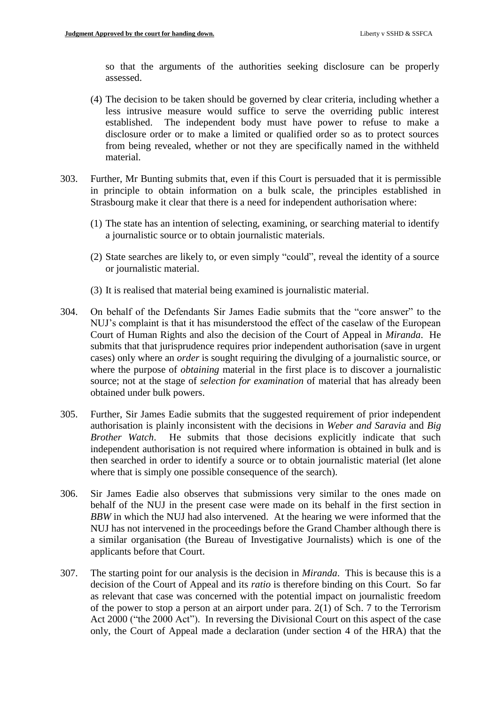so that the arguments of the authorities seeking disclosure can be properly assessed.

- (4) The decision to be taken should be governed by clear criteria, including whether a less intrusive measure would suffice to serve the overriding public interest established. The independent body must have power to refuse to make a disclosure order or to make a limited or qualified order so as to protect sources from being revealed, whether or not they are specifically named in the withheld material.
- 303. Further, Mr Bunting submits that, even if this Court is persuaded that it is permissible in principle to obtain information on a bulk scale, the principles established in Strasbourg make it clear that there is a need for independent authorisation where:
	- (1) The state has an intention of selecting, examining, or searching material to identify a journalistic source or to obtain journalistic materials.
	- (2) State searches are likely to, or even simply "could", reveal the identity of a source or journalistic material.
	- (3) It is realised that material being examined is journalistic material.
- 304. On behalf of the Defendants Sir James Eadie submits that the "core answer" to the NUJ's complaint is that it has misunderstood the effect of the caselaw of the European Court of Human Rights and also the decision of the Court of Appeal in *Miranda*. He submits that that jurisprudence requires prior independent authorisation (save in urgent cases) only where an *order* is sought requiring the divulging of a journalistic source, or where the purpose of *obtaining* material in the first place is to discover a journalistic source; not at the stage of *selection for examination* of material that has already been obtained under bulk powers.
- 305. Further, Sir James Eadie submits that the suggested requirement of prior independent authorisation is plainly inconsistent with the decisions in *Weber and Saravia* and *Big Brother Watch*. He submits that those decisions explicitly indicate that such independent authorisation is not required where information is obtained in bulk and is then searched in order to identify a source or to obtain journalistic material (let alone where that is simply one possible consequence of the search).
- 306. Sir James Eadie also observes that submissions very similar to the ones made on behalf of the NUJ in the present case were made on its behalf in the first section in *BBW* in which the NUJ had also intervened. At the hearing we were informed that the NUJ has not intervened in the proceedings before the Grand Chamber although there is a similar organisation (the Bureau of Investigative Journalists) which is one of the applicants before that Court.
- 307. The starting point for our analysis is the decision in *Miranda*. This is because this is a decision of the Court of Appeal and its *ratio* is therefore binding on this Court. So far as relevant that case was concerned with the potential impact on journalistic freedom of the power to stop a person at an airport under para. 2(1) of Sch. 7 to the Terrorism Act 2000 ("the 2000 Act"). In reversing the Divisional Court on this aspect of the case only, the Court of Appeal made a declaration (under section 4 of the HRA) that the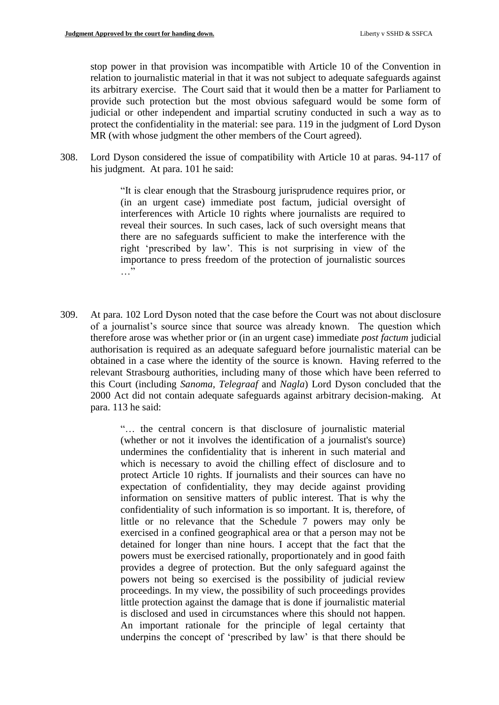stop power in that provision was incompatible with Article 10 of the Convention in relation to journalistic material in that it was not subject to adequate safeguards against its arbitrary exercise. The Court said that it would then be a matter for Parliament to provide such protection but the most obvious safeguard would be some form of judicial or other independent and impartial scrutiny conducted in such a way as to protect the confidentiality in the material: see para. 119 in the judgment of Lord Dyson MR (with whose judgment the other members of the Court agreed).

308. Lord Dyson considered the issue of compatibility with Article 10 at paras. 94-117 of his judgment. At para. 101 he said:

> "It is clear enough that the Strasbourg jurisprudence requires prior, or (in an urgent case) immediate post factum, judicial oversight of interferences with Article 10 rights where journalists are required to reveal their sources. In such cases, lack of such oversight means that there are no safeguards sufficient to make the interference with the right 'prescribed by law'. This is not surprising in view of the importance to press freedom of the protection of journalistic sources …"

309. At para. 102 Lord Dyson noted that the case before the Court was not about disclosure of a journalist's source since that source was already known. The question which therefore arose was whether prior or (in an urgent case) immediate *post factum* judicial authorisation is required as an adequate safeguard before journalistic material can be obtained in a case where the identity of the source is known. Having referred to the relevant Strasbourg authorities, including many of those which have been referred to this Court (including *Sanoma, Telegraaf* and *Nagla*) Lord Dyson concluded that the 2000 Act did not contain adequate safeguards against arbitrary decision-making. At para. 113 he said:

> "… the central concern is that disclosure of journalistic material (whether or not it involves the identification of a journalist's source) undermines the confidentiality that is inherent in such material and which is necessary to avoid the chilling effect of disclosure and to protect Article 10 rights. If journalists and their sources can have no expectation of confidentiality, they may decide against providing information on sensitive matters of public interest. That is why the confidentiality of such information is so important. It is, therefore, of little or no relevance that the Schedule 7 powers may only be exercised in a confined geographical area or that a person may not be detained for longer than nine hours. I accept that the fact that the powers must be exercised rationally, proportionately and in good faith provides a degree of protection. But the only safeguard against the powers not being so exercised is the possibility of judicial review proceedings. In my view, the possibility of such proceedings provides little protection against the damage that is done if journalistic material is disclosed and used in circumstances where this should not happen. An important rationale for the principle of legal certainty that underpins the concept of 'prescribed by law' is that there should be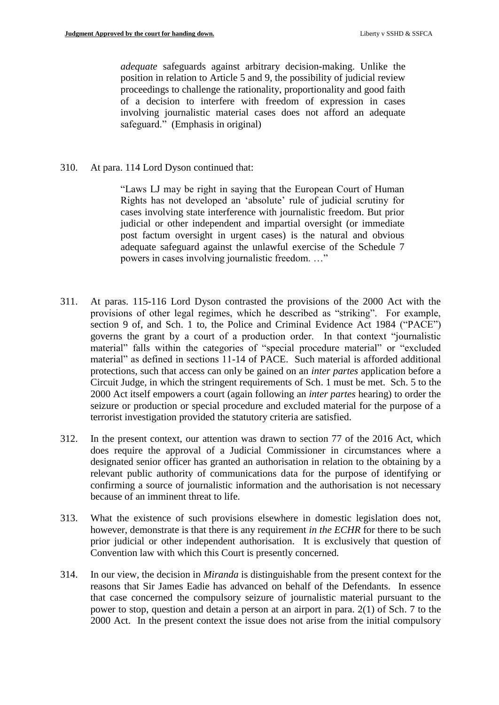*adequate* safeguards against arbitrary decision-making. Unlike the position in relation to Article 5 and 9, the possibility of judicial review proceedings to challenge the rationality, proportionality and good faith of a decision to interfere with freedom of expression in cases involving journalistic material cases does not afford an adequate safeguard." (Emphasis in original)

310. At para. 114 Lord Dyson continued that:

"Laws LJ may be right in saying that the European Court of Human Rights has not developed an 'absolute' rule of judicial scrutiny for cases involving state interference with journalistic freedom. But prior judicial or other independent and impartial oversight (or immediate post factum oversight in urgent cases) is the natural and obvious adequate safeguard against the unlawful exercise of the Schedule 7 powers in cases involving journalistic freedom. …"

- 311. At paras. 115-116 Lord Dyson contrasted the provisions of the 2000 Act with the provisions of other legal regimes, which he described as "striking". For example, section 9 of, and Sch. 1 to, the Police and Criminal Evidence Act 1984 ("PACE") governs the grant by a court of a production order. In that context "journalistic material" falls within the categories of "special procedure material" or "excluded material" as defined in sections 11-14 of PACE. Such material is afforded additional protections, such that access can only be gained on an *inter partes* application before a Circuit Judge, in which the stringent requirements of Sch. 1 must be met. Sch. 5 to the 2000 Act itself empowers a court (again following an *inter partes* hearing) to order the seizure or production or special procedure and excluded material for the purpose of a terrorist investigation provided the statutory criteria are satisfied.
- 312. In the present context, our attention was drawn to section 77 of the 2016 Act, which does require the approval of a Judicial Commissioner in circumstances where a designated senior officer has granted an authorisation in relation to the obtaining by a relevant public authority of communications data for the purpose of identifying or confirming a source of journalistic information and the authorisation is not necessary because of an imminent threat to life.
- 313. What the existence of such provisions elsewhere in domestic legislation does not, however, demonstrate is that there is any requirement *in the ECHR* for there to be such prior judicial or other independent authorisation. It is exclusively that question of Convention law with which this Court is presently concerned.
- 314. In our view, the decision in *Miranda* is distinguishable from the present context for the reasons that Sir James Eadie has advanced on behalf of the Defendants. In essence that case concerned the compulsory seizure of journalistic material pursuant to the power to stop, question and detain a person at an airport in para. 2(1) of Sch. 7 to the 2000 Act. In the present context the issue does not arise from the initial compulsory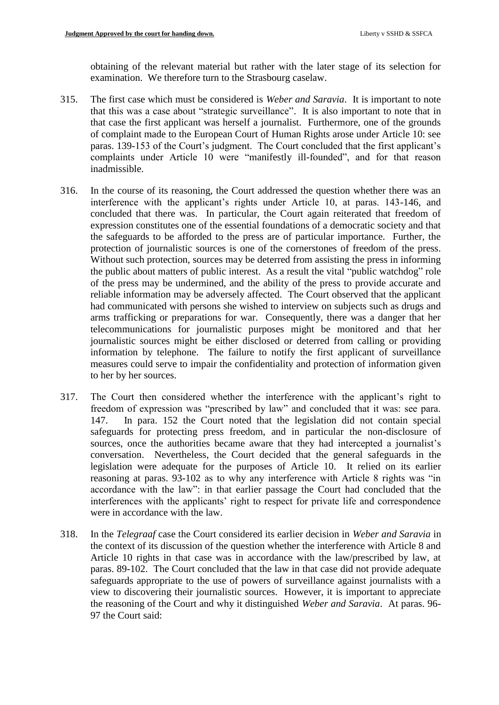obtaining of the relevant material but rather with the later stage of its selection for examination. We therefore turn to the Strasbourg caselaw.

- 315. The first case which must be considered is *Weber and Saravia*. It is important to note that this was a case about "strategic surveillance". It is also important to note that in that case the first applicant was herself a journalist. Furthermore, one of the grounds of complaint made to the European Court of Human Rights arose under Article 10: see paras. 139-153 of the Court's judgment. The Court concluded that the first applicant's complaints under Article 10 were "manifestly ill-founded", and for that reason inadmissible.
- 316. In the course of its reasoning, the Court addressed the question whether there was an interference with the applicant's rights under Article 10, at paras. 143-146, and concluded that there was. In particular, the Court again reiterated that freedom of expression constitutes one of the essential foundations of a democratic society and that the safeguards to be afforded to the press are of particular importance. Further, the protection of journalistic sources is one of the cornerstones of freedom of the press. Without such protection, sources may be deterred from assisting the press in informing the public about matters of public interest. As a result the vital "public watchdog" role of the press may be undermined, and the ability of the press to provide accurate and reliable information may be adversely affected. The Court observed that the applicant had communicated with persons she wished to interview on subjects such as drugs and arms trafficking or preparations for war. Consequently, there was a danger that her telecommunications for journalistic purposes might be monitored and that her journalistic sources might be either disclosed or deterred from calling or providing information by telephone. The failure to notify the first applicant of surveillance measures could serve to impair the confidentiality and protection of information given to her by her sources.
- 317. The Court then considered whether the interference with the applicant's right to freedom of expression was "prescribed by law" and concluded that it was: see para. 147. In para. 152 the Court noted that the legislation did not contain special safeguards for protecting press freedom, and in particular the non-disclosure of sources, once the authorities became aware that they had intercepted a journalist's conversation. Nevertheless, the Court decided that the general safeguards in the legislation were adequate for the purposes of Article 10. It relied on its earlier reasoning at paras. 93-102 as to why any interference with Article 8 rights was "in accordance with the law": in that earlier passage the Court had concluded that the interferences with the applicants' right to respect for private life and correspondence were in accordance with the law.
- 318. In the *Telegraaf* case the Court considered its earlier decision in *Weber and Saravia* in the context of its discussion of the question whether the interference with Article 8 and Article 10 rights in that case was in accordance with the law/prescribed by law, at paras. 89-102. The Court concluded that the law in that case did not provide adequate safeguards appropriate to the use of powers of surveillance against journalists with a view to discovering their journalistic sources. However, it is important to appreciate the reasoning of the Court and why it distinguished *Weber and Saravia*. At paras. 96- 97 the Court said: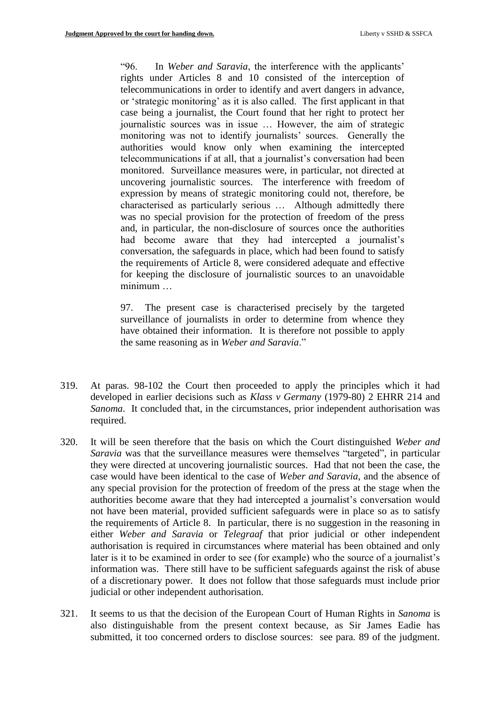"96. In *Weber and Saravia*, the interference with the applicants' rights under Articles 8 and 10 consisted of the interception of telecommunications in order to identify and avert dangers in advance, or 'strategic monitoring' as it is also called. The first applicant in that case being a journalist, the Court found that her right to protect her journalistic sources was in issue … However, the aim of strategic monitoring was not to identify journalists' sources. Generally the authorities would know only when examining the intercepted telecommunications if at all, that a journalist's conversation had been monitored. Surveillance measures were, in particular, not directed at uncovering journalistic sources. The interference with freedom of expression by means of strategic monitoring could not, therefore, be characterised as particularly serious … Although admittedly there was no special provision for the protection of freedom of the press and, in particular, the non-disclosure of sources once the authorities had become aware that they had intercepted a journalist's conversation, the safeguards in place, which had been found to satisfy the requirements of Article 8, were considered adequate and effective for keeping the disclosure of journalistic sources to an unavoidable minimum …

97. The present case is characterised precisely by the targeted surveillance of journalists in order to determine from whence they have obtained their information. It is therefore not possible to apply the same reasoning as in *Weber and Saravia*."

- 319. At paras. 98-102 the Court then proceeded to apply the principles which it had developed in earlier decisions such as *Klass v Germany* (1979-80) 2 EHRR 214 and *Sanoma*. It concluded that, in the circumstances, prior independent authorisation was required.
- 320. It will be seen therefore that the basis on which the Court distinguished *Weber and Saravia* was that the surveillance measures were themselves "targeted", in particular they were directed at uncovering journalistic sources. Had that not been the case, the case would have been identical to the case of *Weber and Saravia*, and the absence of any special provision for the protection of freedom of the press at the stage when the authorities become aware that they had intercepted a journalist's conversation would not have been material, provided sufficient safeguards were in place so as to satisfy the requirements of Article 8. In particular, there is no suggestion in the reasoning in either *Weber and Saravia* or *Telegraaf* that prior judicial or other independent authorisation is required in circumstances where material has been obtained and only later is it to be examined in order to see (for example) who the source of a journalist's information was. There still have to be sufficient safeguards against the risk of abuse of a discretionary power. It does not follow that those safeguards must include prior judicial or other independent authorisation.
- 321. It seems to us that the decision of the European Court of Human Rights in *Sanoma* is also distinguishable from the present context because, as Sir James Eadie has submitted, it too concerned orders to disclose sources: see para. 89 of the judgment.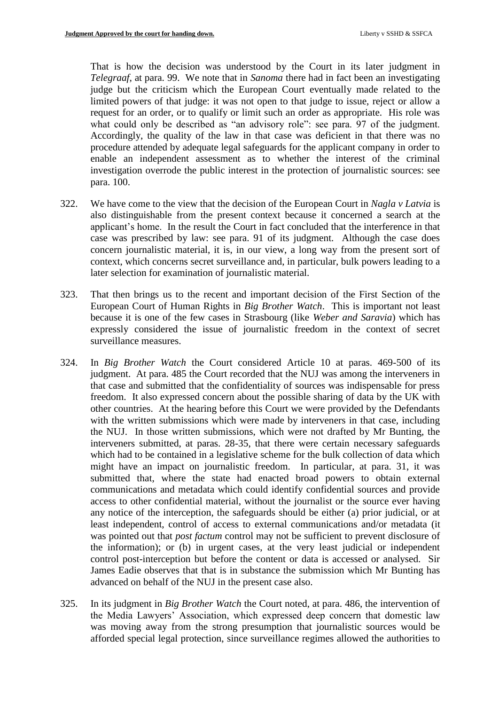That is how the decision was understood by the Court in its later judgment in *Telegraaf*, at para. 99. We note that in *Sanoma* there had in fact been an investigating judge but the criticism which the European Court eventually made related to the limited powers of that judge: it was not open to that judge to issue, reject or allow a request for an order, or to qualify or limit such an order as appropriate. His role was what could only be described as "an advisory role": see para. 97 of the judgment. Accordingly, the quality of the law in that case was deficient in that there was no procedure attended by adequate legal safeguards for the applicant company in order to enable an independent assessment as to whether the interest of the criminal investigation overrode the public interest in the protection of journalistic sources: see para. 100.

- 322. We have come to the view that the decision of the European Court in *Nagla v Latvia* is also distinguishable from the present context because it concerned a search at the applicant's home. In the result the Court in fact concluded that the interference in that case was prescribed by law: see para. 91 of its judgment. Although the case does concern journalistic material, it is, in our view, a long way from the present sort of context, which concerns secret surveillance and, in particular, bulk powers leading to a later selection for examination of journalistic material.
- 323. That then brings us to the recent and important decision of the First Section of the European Court of Human Rights in *Big Brother Watch*. This is important not least because it is one of the few cases in Strasbourg (like *Weber and Saravia*) which has expressly considered the issue of journalistic freedom in the context of secret surveillance measures.
- 324. In *Big Brother Watch* the Court considered Article 10 at paras. 469-500 of its judgment. At para. 485 the Court recorded that the NUJ was among the interveners in that case and submitted that the confidentiality of sources was indispensable for press freedom. It also expressed concern about the possible sharing of data by the UK with other countries. At the hearing before this Court we were provided by the Defendants with the written submissions which were made by interveners in that case, including the NUJ. In those written submissions, which were not drafted by Mr Bunting, the interveners submitted, at paras. 28-35, that there were certain necessary safeguards which had to be contained in a legislative scheme for the bulk collection of data which might have an impact on journalistic freedom. In particular, at para. 31, it was submitted that, where the state had enacted broad powers to obtain external communications and metadata which could identify confidential sources and provide access to other confidential material, without the journalist or the source ever having any notice of the interception, the safeguards should be either (a) prior judicial, or at least independent, control of access to external communications and/or metadata (it was pointed out that *post factum* control may not be sufficient to prevent disclosure of the information); or (b) in urgent cases, at the very least judicial or independent control post-interception but before the content or data is accessed or analysed. Sir James Eadie observes that that is in substance the submission which Mr Bunting has advanced on behalf of the NUJ in the present case also.
- 325. In its judgment in *Big Brother Watch* the Court noted, at para. 486, the intervention of the Media Lawyers' Association, which expressed deep concern that domestic law was moving away from the strong presumption that journalistic sources would be afforded special legal protection, since surveillance regimes allowed the authorities to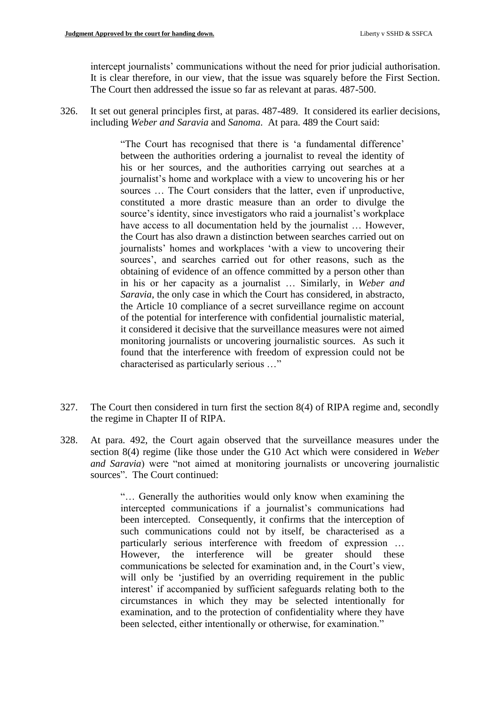intercept journalists' communications without the need for prior judicial authorisation. It is clear therefore, in our view, that the issue was squarely before the First Section. The Court then addressed the issue so far as relevant at paras. 487-500.

326. It set out general principles first, at paras. 487-489. It considered its earlier decisions, including *Weber and Saravia* and *Sanoma*. At para. 489 the Court said:

> "The Court has recognised that there is 'a fundamental difference' between the authorities ordering a journalist to reveal the identity of his or her sources, and the authorities carrying out searches at a journalist's home and workplace with a view to uncovering his or her sources … The Court considers that the latter, even if unproductive, constituted a more drastic measure than an order to divulge the source's identity, since investigators who raid a journalist's workplace have access to all documentation held by the journalist ... However, the Court has also drawn a distinction between searches carried out on journalists' homes and workplaces 'with a view to uncovering their sources', and searches carried out for other reasons, such as the obtaining of evidence of an offence committed by a person other than in his or her capacity as a journalist … Similarly, in *Weber and Saravia*, the only case in which the Court has considered, in abstracto, the Article 10 compliance of a secret surveillance regime on account of the potential for interference with confidential journalistic material, it considered it decisive that the surveillance measures were not aimed monitoring journalists or uncovering journalistic sources. As such it found that the interference with freedom of expression could not be characterised as particularly serious …"

- 327. The Court then considered in turn first the section 8(4) of RIPA regime and, secondly the regime in Chapter II of RIPA.
- 328. At para. 492, the Court again observed that the surveillance measures under the section 8(4) regime (like those under the G10 Act which were considered in *Weber and Saravia*) were "not aimed at monitoring journalists or uncovering journalistic sources". The Court continued:

"… Generally the authorities would only know when examining the intercepted communications if a journalist's communications had been intercepted. Consequently, it confirms that the interception of such communications could not by itself, be characterised as a particularly serious interference with freedom of expression … However, the interference will be greater should these communications be selected for examination and, in the Court's view, will only be 'justified by an overriding requirement in the public interest' if accompanied by sufficient safeguards relating both to the circumstances in which they may be selected intentionally for examination, and to the protection of confidentiality where they have been selected, either intentionally or otherwise, for examination."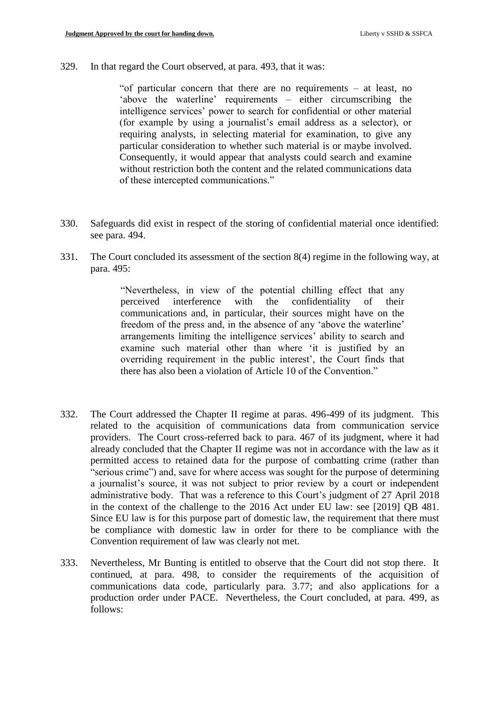329. In that regard the Court observed, at para. 493, that it was:

"of particular concern that there are no requirements – at least, no 'above the waterline' requirements – either circumscribing the intelligence services' power to search for confidential or other material (for example by using a journalist's email address as a selector), or requiring analysts, in selecting material for examination, to give any particular consideration to whether such material is or maybe involved. Consequently, it would appear that analysts could search and examine without restriction both the content and the related communications data of these intercepted communications."

- 330. Safeguards did exist in respect of the storing of confidential material once identified: see para. 494.
- 331. The Court concluded its assessment of the section 8(4) regime in the following way, at para. 495:

"Nevertheless, in view of the potential chilling effect that any perceived interference with the confidentiality of their communications and, in particular, their sources might have on the freedom of the press and, in the absence of any 'above the waterline' arrangements limiting the intelligence services' ability to search and examine such material other than where 'it is justified by an overriding requirement in the public interest', the Court finds that there has also been a violation of Article 10 of the Convention."

- 332. The Court addressed the Chapter II regime at paras. 496-499 of its judgment. This related to the acquisition of communications data from communication service providers. The Court cross-referred back to para. 467 of its judgment, where it had already concluded that the Chapter II regime was not in accordance with the law as it permitted access to retained data for the purpose of combatting crime (rather than "serious crime") and, save for where access was sought for the purpose of determining a journalist's source, it was not subject to prior review by a court or independent administrative body. That was a reference to this Court's judgment of 27 April 2018 in the context of the challenge to the 2016 Act under EU law: see [2019] QB 481. Since EU law is for this purpose part of domestic law, the requirement that there must be compliance with domestic law in order for there to be compliance with the Convention requirement of law was clearly not met.
- 333. Nevertheless, Mr Bunting is entitled to observe that the Court did not stop there. It continued, at para. 498, to consider the requirements of the acquisition of communications data code, particularly para. 3.77; and also applications for a production order under PACE. Nevertheless, the Court concluded, at para. 499, as follows: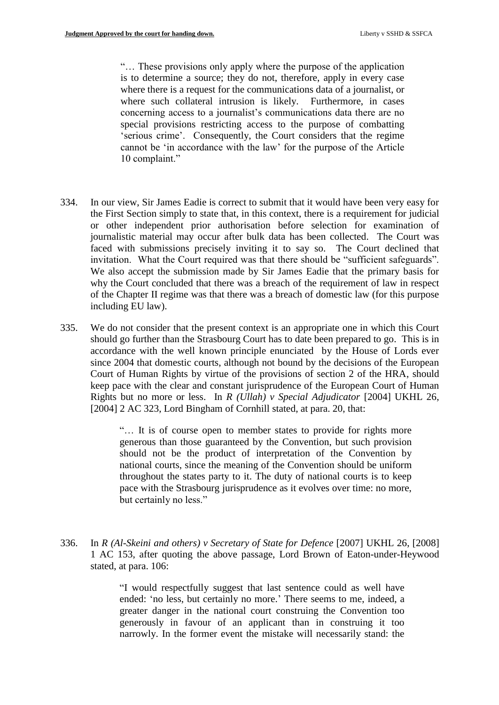"… These provisions only apply where the purpose of the application is to determine a source; they do not, therefore, apply in every case where there is a request for the communications data of a journalist, or where such collateral intrusion is likely. Furthermore, in cases concerning access to a journalist's communications data there are no special provisions restricting access to the purpose of combatting 'serious crime'. Consequently, the Court considers that the regime cannot be 'in accordance with the law' for the purpose of the Article 10 complaint."

- 334. In our view, Sir James Eadie is correct to submit that it would have been very easy for the First Section simply to state that, in this context, there is a requirement for judicial or other independent prior authorisation before selection for examination of journalistic material may occur after bulk data has been collected. The Court was faced with submissions precisely inviting it to say so. The Court declined that invitation. What the Court required was that there should be "sufficient safeguards". We also accept the submission made by Sir James Eadie that the primary basis for why the Court concluded that there was a breach of the requirement of law in respect of the Chapter II regime was that there was a breach of domestic law (for this purpose including EU law).
- 335. We do not consider that the present context is an appropriate one in which this Court should go further than the Strasbourg Court has to date been prepared to go. This is in accordance with the well known principle enunciated by the House of Lords ever since 2004 that domestic courts, although not bound by the decisions of the European Court of Human Rights by virtue of the provisions of section 2 of the HRA, should keep pace with the clear and constant jurisprudence of the European Court of Human Rights but no more or less. In *R (Ullah) v Special Adjudicator* [2004] UKHL 26, [2004] 2 AC 323, Lord Bingham of Cornhill stated, at para. 20, that:

"… It is of course open to member states to provide for rights more generous than those guaranteed by the Convention, but such provision should not be the product of interpretation of the Convention by national courts, since the meaning of the Convention should be uniform throughout the states party to it. The duty of national courts is to keep pace with the Strasbourg jurisprudence as it evolves over time: no more, but certainly no less."

336. In *R (Al-Skeini and others) v Secretary of State for Defence* [2007] UKHL 26, [2008] 1 AC 153, after quoting the above passage, Lord Brown of Eaton-under-Heywood stated, at para. 106:

> "I would respectfully suggest that last sentence could as well have ended: 'no less, but certainly no more.' There seems to me, indeed, a greater danger in the national court construing the Convention too generously in favour of an applicant than in construing it too narrowly. In the former event the mistake will necessarily stand: the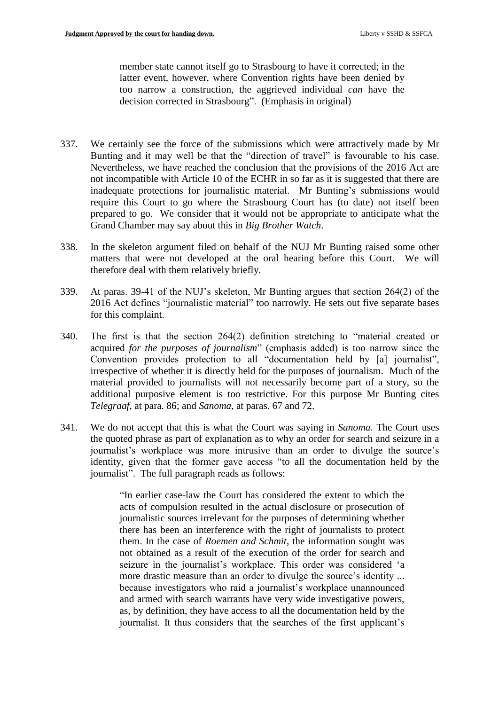member state cannot itself go to Strasbourg to have it corrected; in the latter event, however, where Convention rights have been denied by too narrow a construction, the aggrieved individual *can* have the decision corrected in Strasbourg". (Emphasis in original)

- 337. We certainly see the force of the submissions which were attractively made by Mr Bunting and it may well be that the "direction of travel" is favourable to his case. Nevertheless, we have reached the conclusion that the provisions of the 2016 Act are not incompatible with Article 10 of the ECHR in so far as it is suggested that there are inadequate protections for journalistic material. Mr Bunting's submissions would require this Court to go where the Strasbourg Court has (to date) not itself been prepared to go. We consider that it would not be appropriate to anticipate what the Grand Chamber may say about this in *Big Brother Watch*.
- 338. In the skeleton argument filed on behalf of the NUJ Mr Bunting raised some other matters that were not developed at the oral hearing before this Court. We will therefore deal with them relatively briefly.
- 339. At paras. 39-41 of the NUJ's skeleton, Mr Bunting argues that section 264(2) of the 2016 Act defines "journalistic material" too narrowly. He sets out five separate bases for this complaint.
- 340. The first is that the section 264(2) definition stretching to "material created or acquired *for the purposes of journalism*" (emphasis added) is too narrow since the Convention provides protection to all "documentation held by [a] journalist", irrespective of whether it is directly held for the purposes of journalism. Much of the material provided to journalists will not necessarily become part of a story, so the additional purposive element is too restrictive. For this purpose Mr Bunting cites *Telegraaf*, at para. 86; and *Sanoma*, at paras. 67 and 72.
- 341. We do not accept that this is what the Court was saying in *Sanoma*. The Court uses the quoted phrase as part of explanation as to why an order for search and seizure in a journalist's workplace was more intrusive than an order to divulge the source's identity, given that the former gave access "to all the documentation held by the journalist". The full paragraph reads as follows:

"In earlier case-law the Court has considered the extent to which the acts of compulsion resulted in the actual disclosure or prosecution of journalistic sources irrelevant for the purposes of determining whether there has been an interference with the right of journalists to protect them. In the case of *Roemen and Schmit*, the information sought was not obtained as a result of the execution of the order for search and seizure in the journalist's workplace. This order was considered 'a more drastic measure than an order to divulge the source's identity ... because investigators who raid a journalist's workplace unannounced and armed with search warrants have very wide investigative powers, as, by definition, they have access to all the documentation held by the journalist. It thus considers that the searches of the first applicant's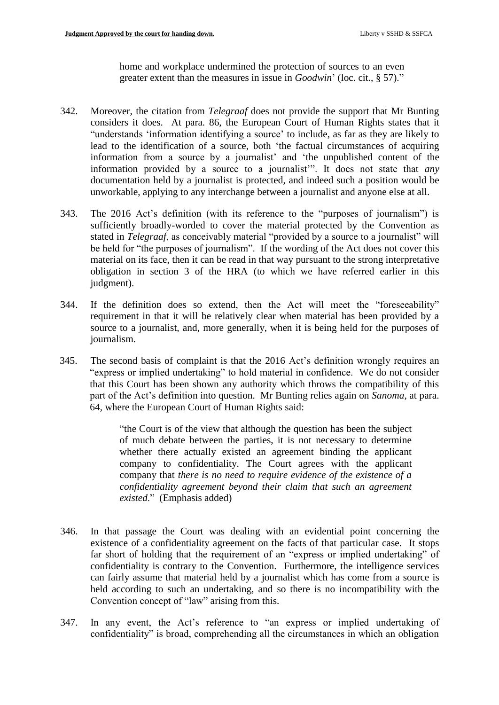home and workplace undermined the protection of sources to an even greater extent than the measures in issue in *Goodwin*' (loc. cit., § 57)."

- 342. Moreover, the citation from *Telegraaf* does not provide the support that Mr Bunting considers it does. At para. 86, the European Court of Human Rights states that it "understands 'information identifying a source' to include, as far as they are likely to lead to the identification of a source, both 'the factual circumstances of acquiring information from a source by a journalist' and 'the unpublished content of the information provided by a source to a journalist'". It does not state that *any* documentation held by a journalist is protected, and indeed such a position would be unworkable, applying to any interchange between a journalist and anyone else at all.
- 343. The 2016 Act's definition (with its reference to the "purposes of journalism") is sufficiently broadly-worded to cover the material protected by the Convention as stated in *Telegraaf*, as conceivably material "provided by a source to a journalist" will be held for "the purposes of journalism". If the wording of the Act does not cover this material on its face, then it can be read in that way pursuant to the strong interpretative obligation in section 3 of the HRA (to which we have referred earlier in this judgment).
- 344. If the definition does so extend, then the Act will meet the "foreseeability" requirement in that it will be relatively clear when material has been provided by a source to a journalist, and, more generally, when it is being held for the purposes of journalism.
- 345. The second basis of complaint is that the 2016 Act's definition wrongly requires an "express or implied undertaking" to hold material in confidence. We do not consider that this Court has been shown any authority which throws the compatibility of this part of the Act's definition into question. Mr Bunting relies again on *Sanoma*, at para. 64, where the European Court of Human Rights said:

"the Court is of the view that although the question has been the subject of much debate between the parties, it is not necessary to determine whether there actually existed an agreement binding the applicant company to confidentiality. The Court agrees with the applicant company that *there is no need to require evidence of the existence of a confidentiality agreement beyond their claim that such an agreement existed*." (Emphasis added)

- 346. In that passage the Court was dealing with an evidential point concerning the existence of a confidentiality agreement on the facts of that particular case. It stops far short of holding that the requirement of an "express or implied undertaking" of confidentiality is contrary to the Convention. Furthermore, the intelligence services can fairly assume that material held by a journalist which has come from a source is held according to such an undertaking, and so there is no incompatibility with the Convention concept of "law" arising from this.
- 347. In any event, the Act's reference to "an express or implied undertaking of confidentiality" is broad, comprehending all the circumstances in which an obligation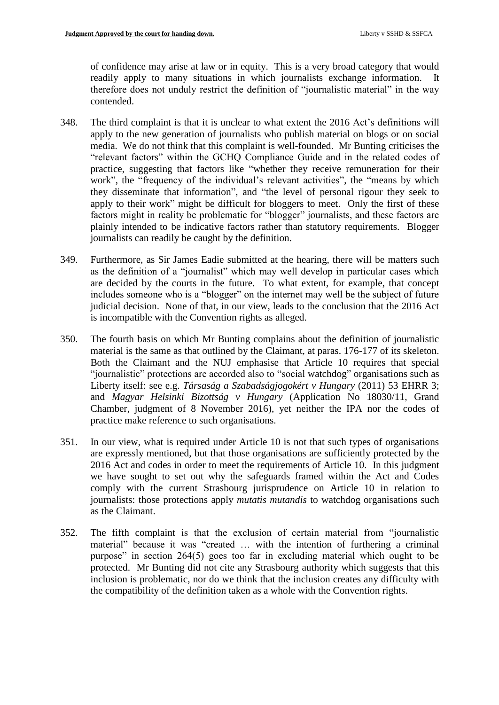of confidence may arise at law or in equity. This is a very broad category that would readily apply to many situations in which journalists exchange information. therefore does not unduly restrict the definition of "journalistic material" in the way contended.

- 348. The third complaint is that it is unclear to what extent the 2016 Act's definitions will apply to the new generation of journalists who publish material on blogs or on social media. We do not think that this complaint is well-founded. Mr Bunting criticises the "relevant factors" within the GCHQ Compliance Guide and in the related codes of practice, suggesting that factors like "whether they receive remuneration for their work", the "frequency of the individual's relevant activities", the "means by which they disseminate that information", and "the level of personal rigour they seek to apply to their work" might be difficult for bloggers to meet. Only the first of these factors might in reality be problematic for "blogger" journalists, and these factors are plainly intended to be indicative factors rather than statutory requirements. Blogger journalists can readily be caught by the definition.
- 349. Furthermore, as Sir James Eadie submitted at the hearing, there will be matters such as the definition of a "journalist" which may well develop in particular cases which are decided by the courts in the future. To what extent, for example, that concept includes someone who is a "blogger" on the internet may well be the subject of future judicial decision. None of that, in our view, leads to the conclusion that the 2016 Act is incompatible with the Convention rights as alleged.
- 350. The fourth basis on which Mr Bunting complains about the definition of journalistic material is the same as that outlined by the Claimant, at paras. 176-177 of its skeleton. Both the Claimant and the NUJ emphasise that Article 10 requires that special "journalistic" protections are accorded also to "social watchdog" organisations such as Liberty itself: see e.g. *Társaság a Szabadságjogokért v Hungary* (2011) 53 EHRR 3; and *Magyar Helsinki Bizottság v Hungary* (Application No 18030/11, Grand Chamber, judgment of 8 November 2016), yet neither the IPA nor the codes of practice make reference to such organisations.
- 351. In our view, what is required under Article 10 is not that such types of organisations are expressly mentioned, but that those organisations are sufficiently protected by the 2016 Act and codes in order to meet the requirements of Article 10. In this judgment we have sought to set out why the safeguards framed within the Act and Codes comply with the current Strasbourg jurisprudence on Article 10 in relation to journalists: those protections apply *mutatis mutandis* to watchdog organisations such as the Claimant.
- 352. The fifth complaint is that the exclusion of certain material from "journalistic material" because it was "created … with the intention of furthering a criminal purpose" in section 264(5) goes too far in excluding material which ought to be protected. Mr Bunting did not cite any Strasbourg authority which suggests that this inclusion is problematic, nor do we think that the inclusion creates any difficulty with the compatibility of the definition taken as a whole with the Convention rights.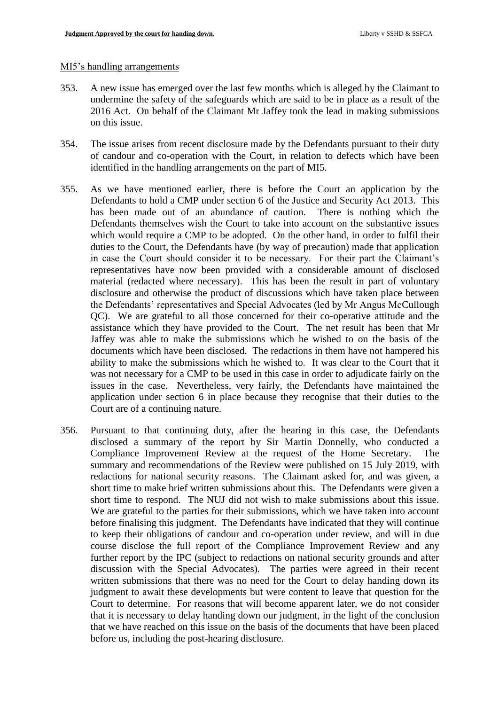## MI5's handling arrangements

- 353. A new issue has emerged over the last few months which is alleged by the Claimant to undermine the safety of the safeguards which are said to be in place as a result of the 2016 Act. On behalf of the Claimant Mr Jaffey took the lead in making submissions on this issue.
- 354. The issue arises from recent disclosure made by the Defendants pursuant to their duty of candour and co-operation with the Court, in relation to defects which have been identified in the handling arrangements on the part of MI5.
- 355. As we have mentioned earlier, there is before the Court an application by the Defendants to hold a CMP under section 6 of the Justice and Security Act 2013. This has been made out of an abundance of caution. There is nothing which the Defendants themselves wish the Court to take into account on the substantive issues which would require a CMP to be adopted. On the other hand, in order to fulfil their duties to the Court, the Defendants have (by way of precaution) made that application in case the Court should consider it to be necessary. For their part the Claimant's representatives have now been provided with a considerable amount of disclosed material (redacted where necessary). This has been the result in part of voluntary disclosure and otherwise the product of discussions which have taken place between the Defendants' representatives and Special Advocates (led by Mr Angus McCullough QC). We are grateful to all those concerned for their co-operative attitude and the assistance which they have provided to the Court. The net result has been that Mr Jaffey was able to make the submissions which he wished to on the basis of the documents which have been disclosed. The redactions in them have not hampered his ability to make the submissions which he wished to. It was clear to the Court that it was not necessary for a CMP to be used in this case in order to adjudicate fairly on the issues in the case. Nevertheless, very fairly, the Defendants have maintained the application under section 6 in place because they recognise that their duties to the Court are of a continuing nature.
- 356. Pursuant to that continuing duty, after the hearing in this case, the Defendants disclosed a summary of the report by Sir Martin Donnelly, who conducted a Compliance Improvement Review at the request of the Home Secretary. The summary and recommendations of the Review were published on 15 July 2019, with redactions for national security reasons. The Claimant asked for, and was given, a short time to make brief written submissions about this. The Defendants were given a short time to respond. The NUJ did not wish to make submissions about this issue. We are grateful to the parties for their submissions, which we have taken into account before finalising this judgment. The Defendants have indicated that they will continue to keep their obligations of candour and co-operation under review, and will in due course disclose the full report of the Compliance Improvement Review and any further report by the IPC (subject to redactions on national security grounds and after discussion with the Special Advocates). The parties were agreed in their recent written submissions that there was no need for the Court to delay handing down its judgment to await these developments but were content to leave that question for the Court to determine. For reasons that will become apparent later, we do not consider that it is necessary to delay handing down our judgment, in the light of the conclusion that we have reached on this issue on the basis of the documents that have been placed before us, including the post-hearing disclosure.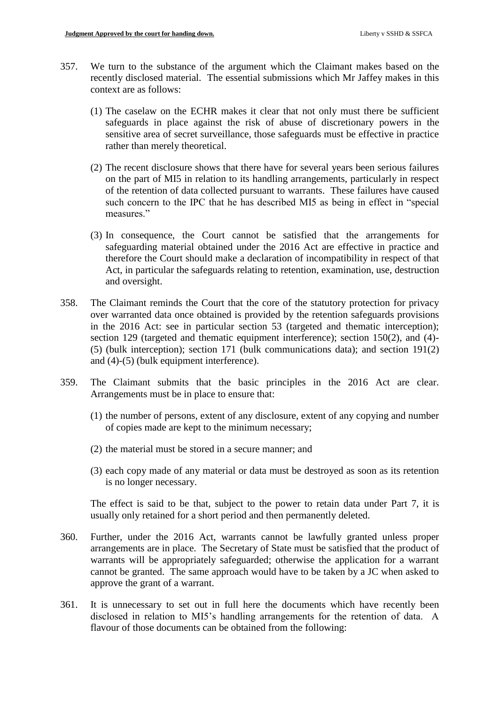- 357. We turn to the substance of the argument which the Claimant makes based on the recently disclosed material. The essential submissions which Mr Jaffey makes in this context are as follows:
	- (1) The caselaw on the ECHR makes it clear that not only must there be sufficient safeguards in place against the risk of abuse of discretionary powers in the sensitive area of secret surveillance, those safeguards must be effective in practice rather than merely theoretical.
	- (2) The recent disclosure shows that there have for several years been serious failures on the part of MI5 in relation to its handling arrangements, particularly in respect of the retention of data collected pursuant to warrants. These failures have caused such concern to the IPC that he has described MI5 as being in effect in "special measures."
	- (3) In consequence, the Court cannot be satisfied that the arrangements for safeguarding material obtained under the 2016 Act are effective in practice and therefore the Court should make a declaration of incompatibility in respect of that Act, in particular the safeguards relating to retention, examination, use, destruction and oversight.
- 358. The Claimant reminds the Court that the core of the statutory protection for privacy over warranted data once obtained is provided by the retention safeguards provisions in the 2016 Act: see in particular section 53 (targeted and thematic interception); section 129 (targeted and thematic equipment interference); section 150(2), and (4)- (5) (bulk interception); section 171 (bulk communications data); and section 191(2) and (4)-(5) (bulk equipment interference).
- 359. The Claimant submits that the basic principles in the 2016 Act are clear. Arrangements must be in place to ensure that:
	- (1) the number of persons, extent of any disclosure, extent of any copying and number of copies made are kept to the minimum necessary;
	- (2) the material must be stored in a secure manner; and
	- (3) each copy made of any material or data must be destroyed as soon as its retention is no longer necessary.

The effect is said to be that, subject to the power to retain data under Part 7, it is usually only retained for a short period and then permanently deleted.

- 360. Further, under the 2016 Act, warrants cannot be lawfully granted unless proper arrangements are in place. The Secretary of State must be satisfied that the product of warrants will be appropriately safeguarded; otherwise the application for a warrant cannot be granted. The same approach would have to be taken by a JC when asked to approve the grant of a warrant.
- 361. It is unnecessary to set out in full here the documents which have recently been disclosed in relation to MI5's handling arrangements for the retention of data. A flavour of those documents can be obtained from the following: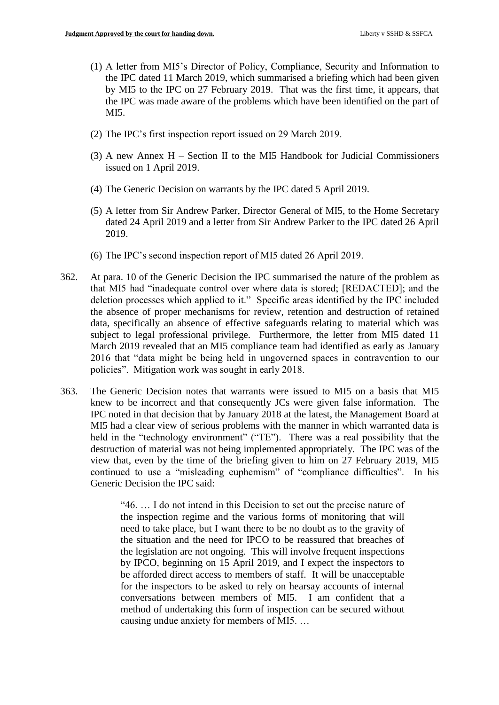- (1) A letter from MI5's Director of Policy, Compliance, Security and Information to the IPC dated 11 March 2019, which summarised a briefing which had been given by MI5 to the IPC on 27 February 2019. That was the first time, it appears, that the IPC was made aware of the problems which have been identified on the part of MI5.
- (2) The IPC's first inspection report issued on 29 March 2019.
- (3) A new Annex  $H -$  Section II to the MI5 Handbook for Judicial Commissioners issued on 1 April 2019.
- (4) The Generic Decision on warrants by the IPC dated 5 April 2019.
- (5) A letter from Sir Andrew Parker, Director General of MI5, to the Home Secretary dated 24 April 2019 and a letter from Sir Andrew Parker to the IPC dated 26 April 2019.
- (6) The IPC's second inspection report of MI5 dated 26 April 2019.
- 362. At para. 10 of the Generic Decision the IPC summarised the nature of the problem as that MI5 had "inadequate control over where data is stored; [REDACTED]; and the deletion processes which applied to it." Specific areas identified by the IPC included the absence of proper mechanisms for review, retention and destruction of retained data, specifically an absence of effective safeguards relating to material which was subject to legal professional privilege. Furthermore, the letter from MI5 dated 11 March 2019 revealed that an MI5 compliance team had identified as early as January 2016 that "data might be being held in ungoverned spaces in contravention to our policies". Mitigation work was sought in early 2018.
- 363. The Generic Decision notes that warrants were issued to MI5 on a basis that MI5 knew to be incorrect and that consequently JCs were given false information. The IPC noted in that decision that by January 2018 at the latest, the Management Board at MI5 had a clear view of serious problems with the manner in which warranted data is held in the "technology environment" ("TE"). There was a real possibility that the destruction of material was not being implemented appropriately. The IPC was of the view that, even by the time of the briefing given to him on 27 February 2019, MI5 continued to use a "misleading euphemism" of "compliance difficulties". In his Generic Decision the IPC said:

"46. … I do not intend in this Decision to set out the precise nature of the inspection regime and the various forms of monitoring that will need to take place, but I want there to be no doubt as to the gravity of the situation and the need for IPCO to be reassured that breaches of the legislation are not ongoing. This will involve frequent inspections by IPCO, beginning on 15 April 2019, and I expect the inspectors to be afforded direct access to members of staff. It will be unacceptable for the inspectors to be asked to rely on hearsay accounts of internal conversations between members of MI5. I am confident that a method of undertaking this form of inspection can be secured without causing undue anxiety for members of MI5. …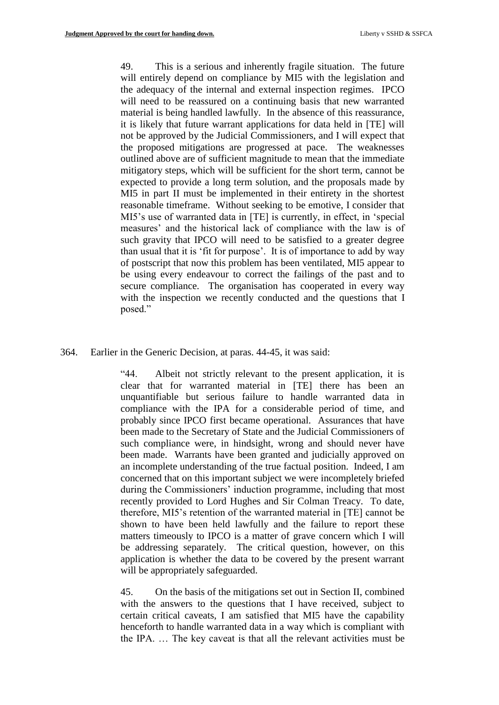49. This is a serious and inherently fragile situation. The future will entirely depend on compliance by MI5 with the legislation and the adequacy of the internal and external inspection regimes. IPCO will need to be reassured on a continuing basis that new warranted material is being handled lawfully. In the absence of this reassurance, it is likely that future warrant applications for data held in [TE] will not be approved by the Judicial Commissioners, and I will expect that the proposed mitigations are progressed at pace. The weaknesses outlined above are of sufficient magnitude to mean that the immediate mitigatory steps, which will be sufficient for the short term, cannot be expected to provide a long term solution, and the proposals made by MI5 in part II must be implemented in their entirety in the shortest reasonable timeframe. Without seeking to be emotive, I consider that MI5's use of warranted data in [TE] is currently, in effect, in 'special measures' and the historical lack of compliance with the law is of such gravity that IPCO will need to be satisfied to a greater degree than usual that it is 'fit for purpose'. It is of importance to add by way of postscript that now this problem has been ventilated, MI5 appear to be using every endeavour to correct the failings of the past and to secure compliance. The organisation has cooperated in every way with the inspection we recently conducted and the questions that I posed."

## 364. Earlier in the Generic Decision, at paras. 44-45, it was said:

"44. Albeit not strictly relevant to the present application, it is clear that for warranted material in [TE] there has been an unquantifiable but serious failure to handle warranted data in compliance with the IPA for a considerable period of time, and probably since IPCO first became operational. Assurances that have been made to the Secretary of State and the Judicial Commissioners of such compliance were, in hindsight, wrong and should never have been made. Warrants have been granted and judicially approved on an incomplete understanding of the true factual position. Indeed, I am concerned that on this important subject we were incompletely briefed during the Commissioners' induction programme, including that most recently provided to Lord Hughes and Sir Colman Treacy. To date, therefore, MI5's retention of the warranted material in [TE] cannot be shown to have been held lawfully and the failure to report these matters timeously to IPCO is a matter of grave concern which I will be addressing separately. The critical question, however, on this application is whether the data to be covered by the present warrant will be appropriately safeguarded.

45. On the basis of the mitigations set out in Section II, combined with the answers to the questions that I have received, subject to certain critical caveats, I am satisfied that MI5 have the capability henceforth to handle warranted data in a way which is compliant with the IPA. … The key caveat is that all the relevant activities must be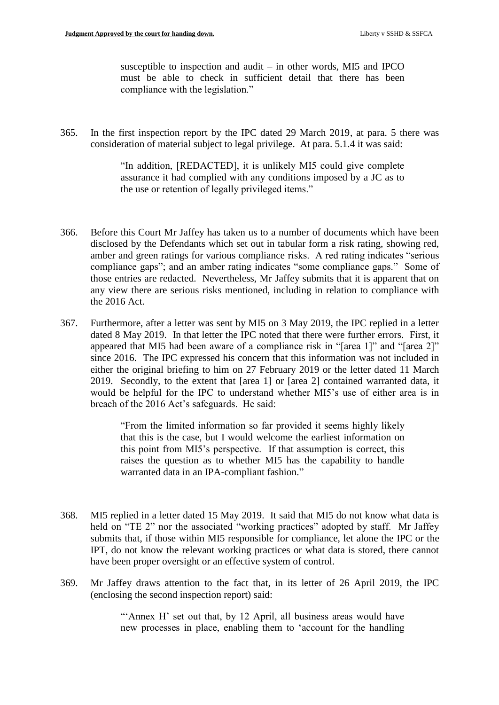susceptible to inspection and audit – in other words, MI5 and IPCO must be able to check in sufficient detail that there has been compliance with the legislation."

365. In the first inspection report by the IPC dated 29 March 2019, at para. 5 there was consideration of material subject to legal privilege. At para. 5.1.4 it was said:

> "In addition, [REDACTED], it is unlikely MI5 could give complete assurance it had complied with any conditions imposed by a JC as to the use or retention of legally privileged items."

- 366. Before this Court Mr Jaffey has taken us to a number of documents which have been disclosed by the Defendants which set out in tabular form a risk rating, showing red, amber and green ratings for various compliance risks. A red rating indicates "serious compliance gaps"; and an amber rating indicates "some compliance gaps." Some of those entries are redacted. Nevertheless, Mr Jaffey submits that it is apparent that on any view there are serious risks mentioned, including in relation to compliance with the 2016 Act.
- 367. Furthermore, after a letter was sent by MI5 on 3 May 2019, the IPC replied in a letter dated 8 May 2019. In that letter the IPC noted that there were further errors. First, it appeared that MI5 had been aware of a compliance risk in "[area 1]" and "[area 2]" since 2016. The IPC expressed his concern that this information was not included in either the original briefing to him on 27 February 2019 or the letter dated 11 March 2019. Secondly, to the extent that [area 1] or [area 2] contained warranted data, it would be helpful for the IPC to understand whether MI5's use of either area is in breach of the 2016 Act's safeguards. He said:

"From the limited information so far provided it seems highly likely that this is the case, but I would welcome the earliest information on this point from MI5's perspective. If that assumption is correct, this raises the question as to whether MI5 has the capability to handle warranted data in an IPA-compliant fashion."

- 368. MI5 replied in a letter dated 15 May 2019. It said that MI5 do not know what data is held on "TE 2" nor the associated "working practices" adopted by staff. Mr Jaffey submits that, if those within MI5 responsible for compliance, let alone the IPC or the IPT, do not know the relevant working practices or what data is stored, there cannot have been proper oversight or an effective system of control.
- 369. Mr Jaffey draws attention to the fact that, in its letter of 26 April 2019, the IPC (enclosing the second inspection report) said:

"'Annex H' set out that, by 12 April, all business areas would have new processes in place, enabling them to 'account for the handling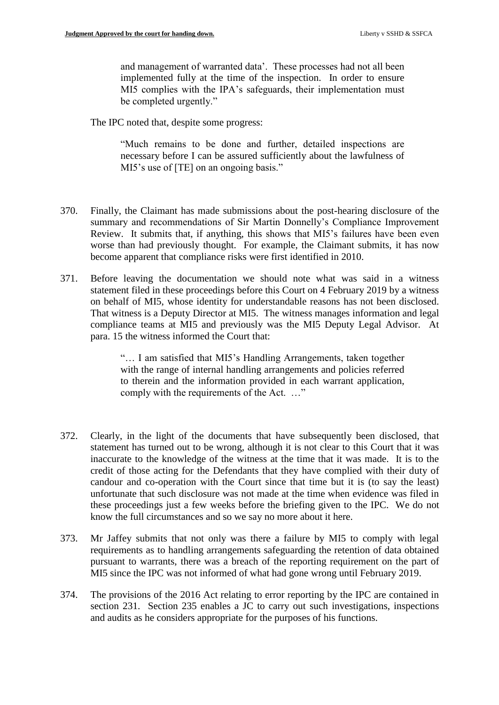and management of warranted data'. These processes had not all been implemented fully at the time of the inspection. In order to ensure MI5 complies with the IPA's safeguards, their implementation must be completed urgently."

The IPC noted that, despite some progress:

"Much remains to be done and further, detailed inspections are necessary before I can be assured sufficiently about the lawfulness of MI5's use of [TE] on an ongoing basis."

- 370. Finally, the Claimant has made submissions about the post-hearing disclosure of the summary and recommendations of Sir Martin Donnelly's Compliance Improvement Review. It submits that, if anything, this shows that MI5's failures have been even worse than had previously thought. For example, the Claimant submits, it has now become apparent that compliance risks were first identified in 2010.
- 371. Before leaving the documentation we should note what was said in a witness statement filed in these proceedings before this Court on 4 February 2019 by a witness on behalf of MI5, whose identity for understandable reasons has not been disclosed. That witness is a Deputy Director at MI5. The witness manages information and legal compliance teams at MI5 and previously was the MI5 Deputy Legal Advisor. At para. 15 the witness informed the Court that:

"… I am satisfied that MI5's Handling Arrangements, taken together with the range of internal handling arrangements and policies referred to therein and the information provided in each warrant application, comply with the requirements of the Act. …"

- 372. Clearly, in the light of the documents that have subsequently been disclosed, that statement has turned out to be wrong, although it is not clear to this Court that it was inaccurate to the knowledge of the witness at the time that it was made. It is to the credit of those acting for the Defendants that they have complied with their duty of candour and co-operation with the Court since that time but it is (to say the least) unfortunate that such disclosure was not made at the time when evidence was filed in these proceedings just a few weeks before the briefing given to the IPC. We do not know the full circumstances and so we say no more about it here.
- 373. Mr Jaffey submits that not only was there a failure by MI5 to comply with legal requirements as to handling arrangements safeguarding the retention of data obtained pursuant to warrants, there was a breach of the reporting requirement on the part of MI5 since the IPC was not informed of what had gone wrong until February 2019.
- 374. The provisions of the 2016 Act relating to error reporting by the IPC are contained in section 231. Section 235 enables a JC to carry out such investigations, inspections and audits as he considers appropriate for the purposes of his functions.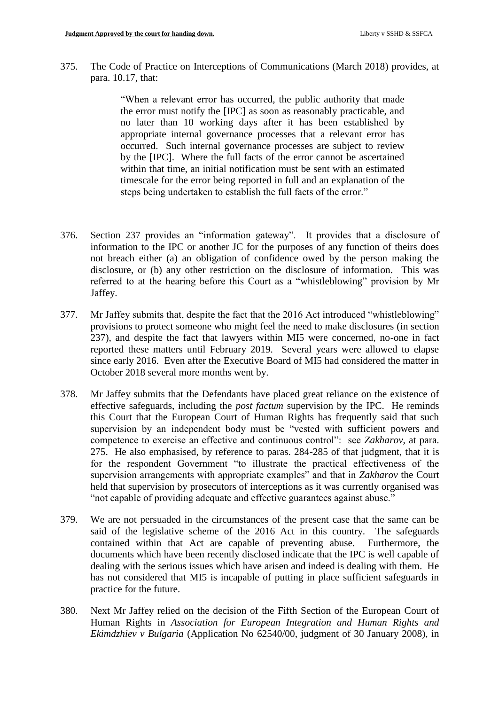375. The Code of Practice on Interceptions of Communications (March 2018) provides, at para. 10.17, that:

> "When a relevant error has occurred, the public authority that made the error must notify the [IPC] as soon as reasonably practicable, and no later than 10 working days after it has been established by appropriate internal governance processes that a relevant error has occurred. Such internal governance processes are subject to review by the [IPC]. Where the full facts of the error cannot be ascertained within that time, an initial notification must be sent with an estimated timescale for the error being reported in full and an explanation of the steps being undertaken to establish the full facts of the error."

- 376. Section 237 provides an "information gateway". It provides that a disclosure of information to the IPC or another JC for the purposes of any function of theirs does not breach either (a) an obligation of confidence owed by the person making the disclosure, or (b) any other restriction on the disclosure of information. This was referred to at the hearing before this Court as a "whistleblowing" provision by Mr Jaffey.
- 377. Mr Jaffey submits that, despite the fact that the 2016 Act introduced "whistleblowing" provisions to protect someone who might feel the need to make disclosures (in section 237), and despite the fact that lawyers within MI5 were concerned, no-one in fact reported these matters until February 2019. Several years were allowed to elapse since early 2016. Even after the Executive Board of MI5 had considered the matter in October 2018 several more months went by.
- 378. Mr Jaffey submits that the Defendants have placed great reliance on the existence of effective safeguards, including the *post factum* supervision by the IPC. He reminds this Court that the European Court of Human Rights has frequently said that such supervision by an independent body must be "vested with sufficient powers and competence to exercise an effective and continuous control": see *Zakharov*, at para. 275. He also emphasised, by reference to paras. 284-285 of that judgment, that it is for the respondent Government "to illustrate the practical effectiveness of the supervision arrangements with appropriate examples" and that in *Zakharov* the Court held that supervision by prosecutors of interceptions as it was currently organised was "not capable of providing adequate and effective guarantees against abuse."
- 379. We are not persuaded in the circumstances of the present case that the same can be said of the legislative scheme of the 2016 Act in this country. The safeguards contained within that Act are capable of preventing abuse. Furthermore, the documents which have been recently disclosed indicate that the IPC is well capable of dealing with the serious issues which have arisen and indeed is dealing with them. He has not considered that MI5 is incapable of putting in place sufficient safeguards in practice for the future.
- 380. Next Mr Jaffey relied on the decision of the Fifth Section of the European Court of Human Rights in *Association for European Integration and Human Rights and Ekimdzhiev v Bulgaria* (Application No 62540/00, judgment of 30 January 2008), in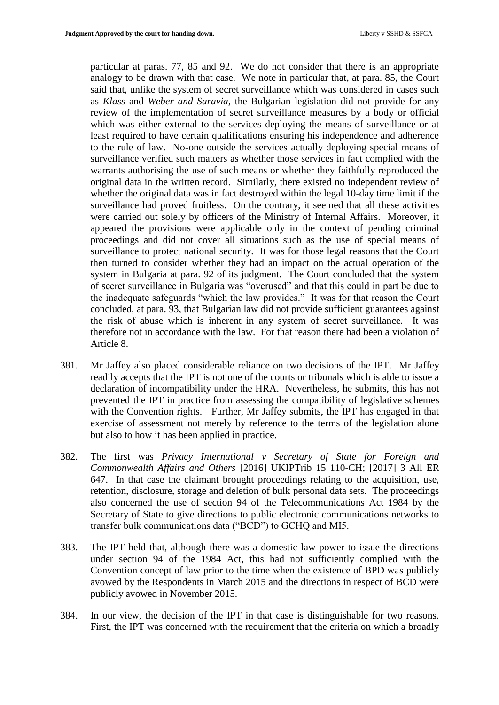particular at paras. 77, 85 and 92. We do not consider that there is an appropriate analogy to be drawn with that case. We note in particular that, at para. 85, the Court said that, unlike the system of secret surveillance which was considered in cases such as *Klass* and *Weber and Saravia*, the Bulgarian legislation did not provide for any review of the implementation of secret surveillance measures by a body or official which was either external to the services deploying the means of surveillance or at least required to have certain qualifications ensuring his independence and adherence to the rule of law. No-one outside the services actually deploying special means of surveillance verified such matters as whether those services in fact complied with the warrants authorising the use of such means or whether they faithfully reproduced the original data in the written record. Similarly, there existed no independent review of whether the original data was in fact destroyed within the legal 10-day time limit if the surveillance had proved fruitless. On the contrary, it seemed that all these activities were carried out solely by officers of the Ministry of Internal Affairs. Moreover, it appeared the provisions were applicable only in the context of pending criminal proceedings and did not cover all situations such as the use of special means of surveillance to protect national security. It was for those legal reasons that the Court then turned to consider whether they had an impact on the actual operation of the system in Bulgaria at para. 92 of its judgment. The Court concluded that the system of secret surveillance in Bulgaria was "overused" and that this could in part be due to the inadequate safeguards "which the law provides." It was for that reason the Court concluded, at para. 93, that Bulgarian law did not provide sufficient guarantees against the risk of abuse which is inherent in any system of secret surveillance. It was therefore not in accordance with the law. For that reason there had been a violation of Article 8.

- 381. Mr Jaffey also placed considerable reliance on two decisions of the IPT. Mr Jaffey readily accepts that the IPT is not one of the courts or tribunals which is able to issue a declaration of incompatibility under the HRA. Nevertheless, he submits, this has not prevented the IPT in practice from assessing the compatibility of legislative schemes with the Convention rights. Further, Mr Jaffey submits, the IPT has engaged in that exercise of assessment not merely by reference to the terms of the legislation alone but also to how it has been applied in practice.
- 382. The first was *Privacy International v Secretary of State for Foreign and Commonwealth Affairs and Others* [2016] UKIPTrib 15 110-CH; [2017] 3 All ER 647. In that case the claimant brought proceedings relating to the acquisition, use, retention, disclosure, storage and deletion of bulk personal data sets. The proceedings also concerned the use of section 94 of the Telecommunications Act 1984 by the Secretary of State to give directions to public electronic communications networks to transfer bulk communications data ("BCD") to GCHQ and MI5.
- 383. The IPT held that, although there was a domestic law power to issue the directions under section 94 of the 1984 Act, this had not sufficiently complied with the Convention concept of law prior to the time when the existence of BPD was publicly avowed by the Respondents in March 2015 and the directions in respect of BCD were publicly avowed in November 2015.
- 384. In our view, the decision of the IPT in that case is distinguishable for two reasons. First, the IPT was concerned with the requirement that the criteria on which a broadly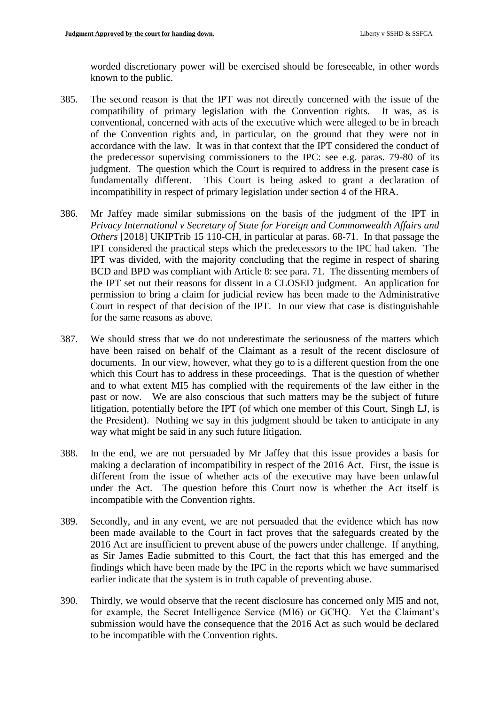worded discretionary power will be exercised should be foreseeable, in other words known to the public.

- 385. The second reason is that the IPT was not directly concerned with the issue of the compatibility of primary legislation with the Convention rights. It was, as is conventional, concerned with acts of the executive which were alleged to be in breach of the Convention rights and, in particular, on the ground that they were not in accordance with the law. It was in that context that the IPT considered the conduct of the predecessor supervising commissioners to the IPC: see e.g. paras. 79-80 of its judgment. The question which the Court is required to address in the present case is fundamentally different. This Court is being asked to grant a declaration of incompatibility in respect of primary legislation under section 4 of the HRA.
- 386. Mr Jaffey made similar submissions on the basis of the judgment of the IPT in *Privacy International v Secretary of State for Foreign and Commonwealth Affairs and Others* [2018] UKIPTrib 15 110-CH, in particular at paras. 68-71. In that passage the IPT considered the practical steps which the predecessors to the IPC had taken. The IPT was divided, with the majority concluding that the regime in respect of sharing BCD and BPD was compliant with Article 8: see para. 71. The dissenting members of the IPT set out their reasons for dissent in a CLOSED judgment. An application for permission to bring a claim for judicial review has been made to the Administrative Court in respect of that decision of the IPT. In our view that case is distinguishable for the same reasons as above.
- 387. We should stress that we do not underestimate the seriousness of the matters which have been raised on behalf of the Claimant as a result of the recent disclosure of documents. In our view, however, what they go to is a different question from the one which this Court has to address in these proceedings. That is the question of whether and to what extent MI5 has complied with the requirements of the law either in the past or now. We are also conscious that such matters may be the subject of future litigation, potentially before the IPT (of which one member of this Court, Singh LJ, is the President). Nothing we say in this judgment should be taken to anticipate in any way what might be said in any such future litigation.
- 388. In the end, we are not persuaded by Mr Jaffey that this issue provides a basis for making a declaration of incompatibility in respect of the 2016 Act. First, the issue is different from the issue of whether acts of the executive may have been unlawful under the Act. The question before this Court now is whether the Act itself is incompatible with the Convention rights.
- 389. Secondly, and in any event, we are not persuaded that the evidence which has now been made available to the Court in fact proves that the safeguards created by the 2016 Act are insufficient to prevent abuse of the powers under challenge. If anything, as Sir James Eadie submitted to this Court, the fact that this has emerged and the findings which have been made by the IPC in the reports which we have summarised earlier indicate that the system is in truth capable of preventing abuse.
- 390. Thirdly, we would observe that the recent disclosure has concerned only MI5 and not, for example, the Secret Intelligence Service (MI6) or GCHQ. Yet the Claimant's submission would have the consequence that the 2016 Act as such would be declared to be incompatible with the Convention rights.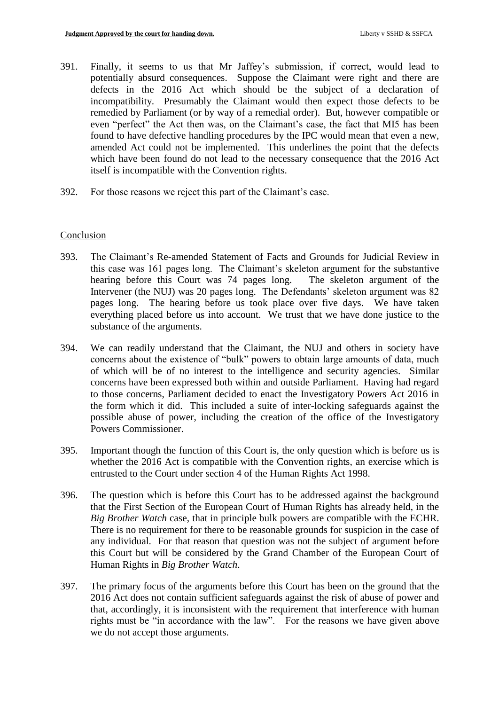- 391. Finally, it seems to us that Mr Jaffey's submission, if correct, would lead to potentially absurd consequences. Suppose the Claimant were right and there are defects in the 2016 Act which should be the subject of a declaration of incompatibility. Presumably the Claimant would then expect those defects to be remedied by Parliament (or by way of a remedial order). But, however compatible or even "perfect" the Act then was, on the Claimant's case, the fact that MI5 has been found to have defective handling procedures by the IPC would mean that even a new, amended Act could not be implemented. This underlines the point that the defects which have been found do not lead to the necessary consequence that the 2016 Act itself is incompatible with the Convention rights.
- 392. For those reasons we reject this part of the Claimant's case.

## Conclusion

- 393. The Claimant's Re-amended Statement of Facts and Grounds for Judicial Review in this case was 161 pages long. The Claimant's skeleton argument for the substantive hearing before this Court was 74 pages long. The skeleton argument of the Intervener (the NUJ) was 20 pages long. The Defendants' skeleton argument was 82 pages long. The hearing before us took place over five days. We have taken everything placed before us into account. We trust that we have done justice to the substance of the arguments.
- 394. We can readily understand that the Claimant, the NUJ and others in society have concerns about the existence of "bulk" powers to obtain large amounts of data, much of which will be of no interest to the intelligence and security agencies. Similar concerns have been expressed both within and outside Parliament. Having had regard to those concerns, Parliament decided to enact the Investigatory Powers Act 2016 in the form which it did. This included a suite of inter-locking safeguards against the possible abuse of power, including the creation of the office of the Investigatory Powers Commissioner.
- 395. Important though the function of this Court is, the only question which is before us is whether the 2016 Act is compatible with the Convention rights, an exercise which is entrusted to the Court under section 4 of the Human Rights Act 1998.
- 396. The question which is before this Court has to be addressed against the background that the First Section of the European Court of Human Rights has already held, in the *Big Brother Watch* case, that in principle bulk powers are compatible with the ECHR. There is no requirement for there to be reasonable grounds for suspicion in the case of any individual. For that reason that question was not the subject of argument before this Court but will be considered by the Grand Chamber of the European Court of Human Rights in *Big Brother Watch*.
- 397. The primary focus of the arguments before this Court has been on the ground that the 2016 Act does not contain sufficient safeguards against the risk of abuse of power and that, accordingly, it is inconsistent with the requirement that interference with human rights must be "in accordance with the law". For the reasons we have given above we do not accept those arguments.